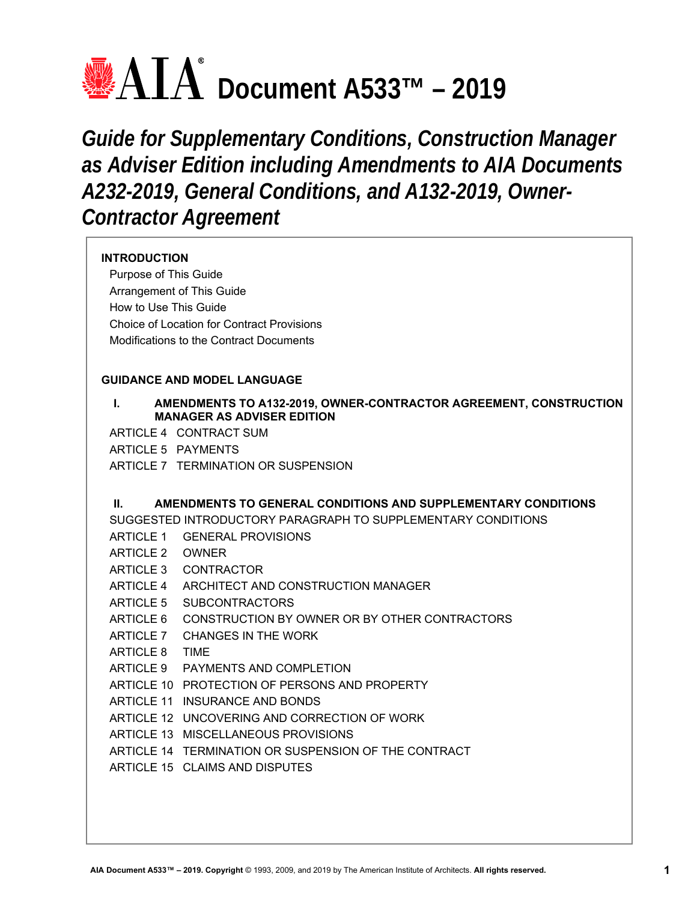# **<u>● ATA</u>** Document A533™ – 2019

*Guide for Supplementary Conditions, Construction Manager as Adviser Edition including Amendments to AIA Documents A232-2019, General Conditions, and A132-2019, Owner-Contractor Agreement* 

# **INTRODUCTION**

Purpose of This Guide Arrangement of This Guide How to Use This Guide Choice of Location for Contract Provisions Modifications to the Contract Documents

# **GUIDANCE AND MODEL LANGUAGE**

# **I. AMENDMENTS TO A132-2019, OWNER-CONTRACTOR AGREEMENT, CONSTRUCTION MANAGER AS ADVISER EDITION**

ARTICLE 4 CONTRACT SUM

ARTICLE 5 PAYMENTS

ARTICLE 7 TERMINATION OR SUSPENSION

# **II. AMENDMENTS TO GENERAL CONDITIONS AND SUPPLEMENTARY CONDITIONS**

SUGGESTED INTRODUCTORY PARAGRAPH TO SUPPLEMENTARY CONDITIONS

- ARTICLE 1 GENERAL PROVISIONS
- ARTICLE 2 OWNER
- ARTICLE 3 CONTRACTOR
- ARTICLE 4 ARCHITECT AND CONSTRUCTION MANAGER
- ARTICLE 5 SUBCONTRACTORS
- ARTICLE 6 CONSTRUCTION BY OWNER OR BY OTHER CONTRACTORS
- ARTICLE 7 CHANGES IN THE WORK
- ARTICLE 8 TIME
- ARTICLE 9 PAYMENTS AND COMPLETION
- ARTICLE 10 PROTECTION OF PERSONS AND PROPERTY
- ARTICLE 11 INSURANCE AND BONDS
- ARTICLE 12 UNCOVERING AND CORRECTION OF WORK
- ARTICLE 13 MISCELLANEOUS PROVISIONS
- ARTICLE 14 TERMINATION OR SUSPENSION OF THE CONTRACT
- ARTICLE 15 CLAIMS AND DISPUTES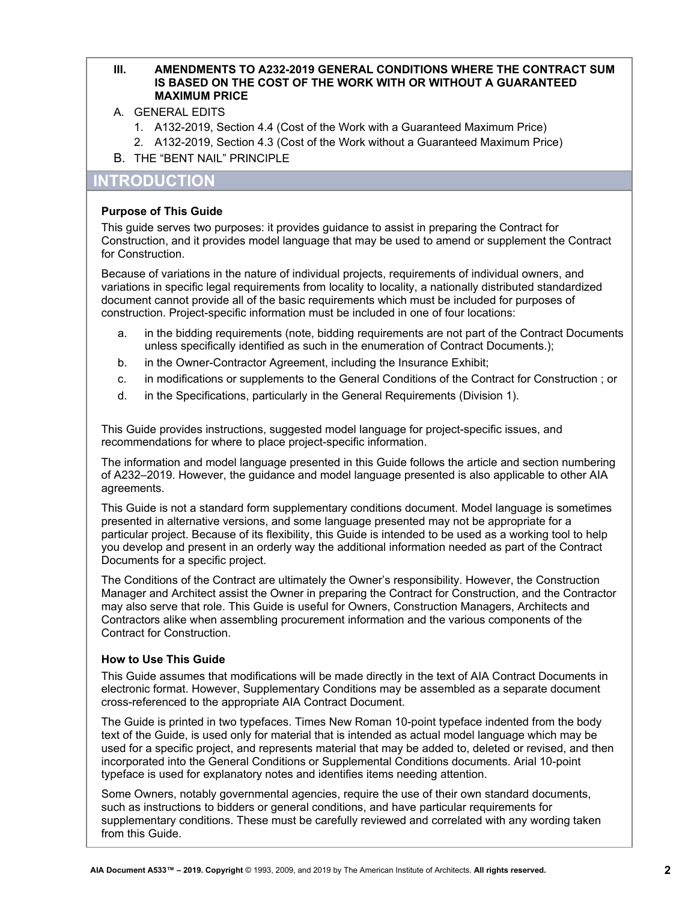# **III. AMENDMENTS TO A232-2019 GENERAL CONDITIONS WHERE THE CONTRACT SUM IS BASED ON THE COST OF THE WORK WITH OR WITHOUT A GUARANTEED MAXIMUM PRICE**

- A. GENERAL EDITS
	- 1. A132-2019, Section 4.4 (Cost of the Work with a Guaranteed Maximum Price)
	- 2. A132-2019, Section 4.3 (Cost of the Work without a Guaranteed Maximum Price)
- B. THE "BENT NAIL" PRINCIPLE

# **INTRODUCTION**

# **Purpose of This Guide**

This guide serves two purposes: it provides guidance to assist in preparing the Contract for Construction, and it provides model language that may be used to amend or supplement the Contract for Construction.

Because of variations in the nature of individual projects, requirements of individual owners, and variations in specific legal requirements from locality to locality, a nationally distributed standardized document cannot provide all of the basic requirements which must be included for purposes of construction. Project-specific information must be included in one of four locations:

- a. in the bidding requirements (note, bidding requirements are not part of the Contract Documents unless specifically identified as such in the enumeration of Contract Documents.);
- b. in the Owner-Contractor Agreement, including the Insurance Exhibit;
- c. in modifications or supplements to the General Conditions of the Contract for Construction ; or
- d. in the Specifications, particularly in the General Requirements (Division 1).

This Guide provides instructions, suggested model language for project-specific issues, and recommendations for where to place project-specific information.

The information and model language presented in this Guide follows the article and section numbering of A232–2019. However, the guidance and model language presented is also applicable to other AIA agreements.

This Guide is not a standard form supplementary conditions document. Model language is sometimes presented in alternative versions, and some language presented may not be appropriate for a particular project. Because of its flexibility, this Guide is intended to be used as a working tool to help you develop and present in an orderly way the additional information needed as part of the Contract Documents for a specific project.

The Conditions of the Contract are ultimately the Owner's responsibility. However, the Construction Manager and Architect assist the Owner in preparing the Contract for Construction, and the Contractor may also serve that role. This Guide is useful for Owners, Construction Managers, Architects and Contractors alike when assembling procurement information and the various components of the Contract for Construction.

# **How to Use This Guide**

This Guide assumes that modifications will be made directly in the text of AIA Contract Documents in electronic format. However, Supplementary Conditions may be assembled as a separate document cross-referenced to the appropriate AIA Contract Document.

The Guide is printed in two typefaces. Times New Roman 10-point typeface indented from the body text of the Guide, is used only for material that is intended as actual model language which may be used for a specific project, and represents material that may be added to, deleted or revised, and then incorporated into the General Conditions or Supplemental Conditions documents. Arial 10-point typeface is used for explanatory notes and identifies items needing attention.

Some Owners, notably governmental agencies, require the use of their own standard documents, such as instructions to bidders or general conditions, and have particular requirements for supplementary conditions. These must be carefully reviewed and correlated with any wording taken from this Guide.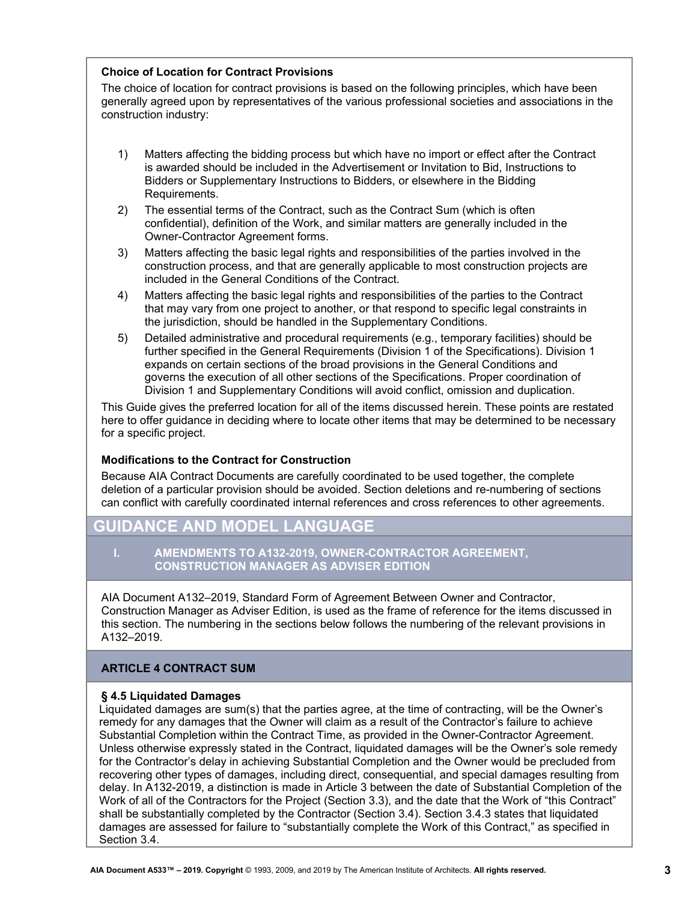# **Choice of Location for Contract Provisions**

The choice of location for contract provisions is based on the following principles, which have been generally agreed upon by representatives of the various professional societies and associations in the construction industry:

- 1) Matters affecting the bidding process but which have no import or effect after the Contract is awarded should be included in the Advertisement or Invitation to Bid, Instructions to Bidders or Supplementary Instructions to Bidders, or elsewhere in the Bidding Requirements.
- 2) The essential terms of the Contract, such as the Contract Sum (which is often confidential), definition of the Work, and similar matters are generally included in the Owner-Contractor Agreement forms.
- 3) Matters affecting the basic legal rights and responsibilities of the parties involved in the construction process, and that are generally applicable to most construction projects are included in the General Conditions of the Contract.
- 4) Matters affecting the basic legal rights and responsibilities of the parties to the Contract that may vary from one project to another, or that respond to specific legal constraints in the jurisdiction, should be handled in the Supplementary Conditions.
- 5) Detailed administrative and procedural requirements (e.g., temporary facilities) should be further specified in the General Requirements (Division 1 of the Specifications). Division 1 expands on certain sections of the broad provisions in the General Conditions and governs the execution of all other sections of the Specifications. Proper coordination of Division 1 and Supplementary Conditions will avoid conflict, omission and duplication.

This Guide gives the preferred location for all of the items discussed herein. These points are restated here to offer guidance in deciding where to locate other items that may be determined to be necessary for a specific project.

# **Modifications to the Contract for Construction**

Because AIA Contract Documents are carefully coordinated to be used together, the complete deletion of a particular provision should be avoided. Section deletions and re-numbering of sections can conflict with carefully coordinated internal references and cross references to other agreements.

# **GUIDANCE AND MODEL LANGUAGE**

#### **I. AMENDMENTS TO A132-2019, OWNER-CONTRACTOR AGREEMENT, CONSTRUCTION MANAGER AS ADVISER EDITION**

AIA Document A132–2019, Standard Form of Agreement Between Owner and Contractor, Construction Manager as Adviser Edition, is used as the frame of reference for the items discussed in this section. The numbering in the sections below follows the numbering of the relevant provisions in A132–2019.

# **ARTICLE 4 CONTRACT SUM**

#### **§ 4.5 Liquidated Damages**

Liquidated damages are sum(s) that the parties agree, at the time of contracting, will be the Owner's remedy for any damages that the Owner will claim as a result of the Contractor's failure to achieve Substantial Completion within the Contract Time, as provided in the Owner-Contractor Agreement. Unless otherwise expressly stated in the Contract, liquidated damages will be the Owner's sole remedy for the Contractor's delay in achieving Substantial Completion and the Owner would be precluded from recovering other types of damages, including direct, consequential, and special damages resulting from delay. In A132-2019, a distinction is made in Article 3 between the date of Substantial Completion of the Work of all of the Contractors for the Project (Section 3.3), and the date that the Work of "this Contract" shall be substantially completed by the Contractor (Section 3.4). Section 3.4.3 states that liquidated damages are assessed for failure to "substantially complete the Work of this Contract," as specified in Section 3.4.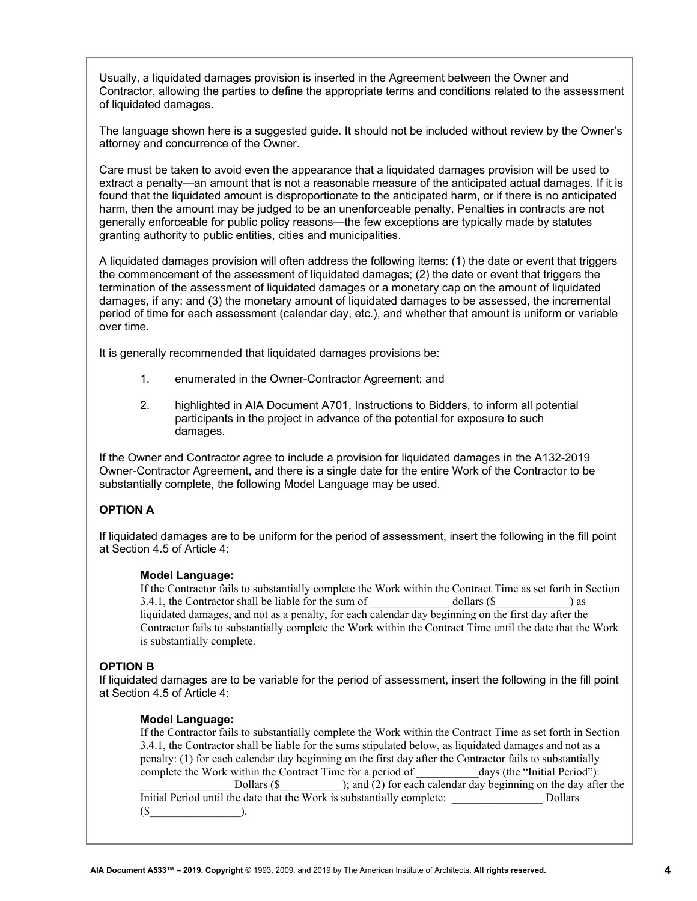Usually, a liquidated damages provision is inserted in the Agreement between the Owner and Contractor, allowing the parties to define the appropriate terms and conditions related to the assessment of liquidated damages.

The language shown here is a suggested guide. It should not be included without review by the Owner's attorney and concurrence of the Owner.

Care must be taken to avoid even the appearance that a liquidated damages provision will be used to extract a penalty—an amount that is not a reasonable measure of the anticipated actual damages. If it is found that the liquidated amount is disproportionate to the anticipated harm, or if there is no anticipated harm, then the amount may be judged to be an unenforceable penalty. Penalties in contracts are not generally enforceable for public policy reasons—the few exceptions are typically made by statutes granting authority to public entities, cities and municipalities.

A liquidated damages provision will often address the following items: (1) the date or event that triggers the commencement of the assessment of liquidated damages; (2) the date or event that triggers the termination of the assessment of liquidated damages or a monetary cap on the amount of liquidated damages, if any; and (3) the monetary amount of liquidated damages to be assessed, the incremental period of time for each assessment (calendar day, etc.), and whether that amount is uniform or variable over time.

It is generally recommended that liquidated damages provisions be:

- 1. enumerated in the Owner-Contractor Agreement; and
- 2. highlighted in AIA Document A701, Instructions to Bidders, to inform all potential participants in the project in advance of the potential for exposure to such damages.

If the Owner and Contractor agree to include a provision for liquidated damages in the A132-2019 Owner-Contractor Agreement, and there is a single date for the entire Work of the Contractor to be substantially complete, the following Model Language may be used.

#### **OPTION A**

If liquidated damages are to be uniform for the period of assessment, insert the following in the fill point at Section 4.5 of Article 4:

#### **Model Language:**

If the Contractor fails to substantially complete the Work within the Contract Time as set forth in Section 3.4.1, the Contractor shall be liable for the sum of  $\omega$  dollars (\$) as liquidated damages, and not as a penalty, for each calendar day beginning on the first day after the Contractor fails to substantially complete the Work within the Contract Time until the date that the Work is substantially complete.

#### **OPTION B**

If liquidated damages are to be variable for the period of assessment, insert the following in the fill point at Section 4.5 of Article 4:

#### **Model Language:**

If the Contractor fails to substantially complete the Work within the Contract Time as set forth in Section 3.4.1, the Contractor shall be liable for the sums stipulated below, as liquidated damages and not as a penalty: (1) for each calendar day beginning on the first day after the Contractor fails to substantially complete the Work within the Contract Time for a period of \_\_\_\_\_\_\_\_\_\_\_days (the "Initial Period"): Dollars (\$  $\qquad$  ); and (2) for each calendar day beginning on the day after the Initial Period until the date that the Work is substantially complete: Dollars (\$\_\_\_\_\_\_\_\_\_\_\_\_\_\_\_\_).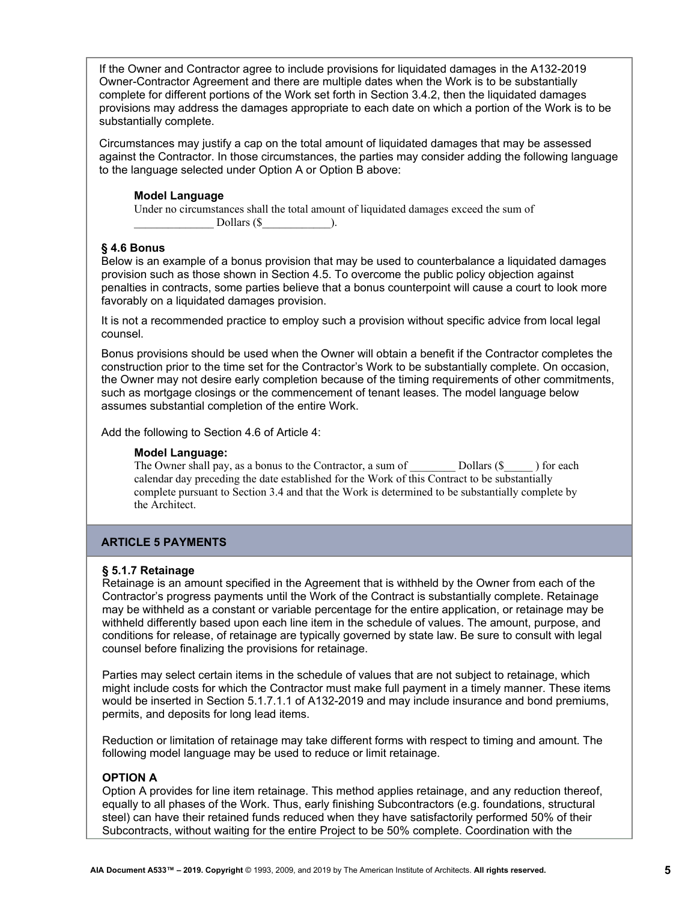If the Owner and Contractor agree to include provisions for liquidated damages in the A132-2019 Owner-Contractor Agreement and there are multiple dates when the Work is to be substantially complete for different portions of the Work set forth in Section 3.4.2, then the liquidated damages provisions may address the damages appropriate to each date on which a portion of the Work is to be substantially complete.

Circumstances may justify a cap on the total amount of liquidated damages that may be assessed against the Contractor. In those circumstances, the parties may consider adding the following language to the language selected under Option A or Option B above:

# **Model Language**

Under no circumstances shall the total amount of liquidated damages exceed the sum of Dollars  $(\$  ).

# **§ 4.6 Bonus**

Below is an example of a bonus provision that may be used to counterbalance a liquidated damages provision such as those shown in Section 4.5. To overcome the public policy objection against penalties in contracts, some parties believe that a bonus counterpoint will cause a court to look more favorably on a liquidated damages provision.

It is not a recommended practice to employ such a provision without specific advice from local legal counsel.

Bonus provisions should be used when the Owner will obtain a benefit if the Contractor completes the construction prior to the time set for the Contractor's Work to be substantially complete. On occasion, the Owner may not desire early completion because of the timing requirements of other commitments, such as mortgage closings or the commencement of tenant leases. The model language below assumes substantial completion of the entire Work.

Add the following to Section 4.6 of Article 4:

#### **Model Language:**

The Owner shall pay, as a bonus to the Contractor, a sum of Dollars (\$  $\Box$  ) for each calendar day preceding the date established for the Work of this Contract to be substantially complete pursuant to Section 3.4 and that the Work is determined to be substantially complete by the Architect.

# **ARTICLE 5 PAYMENTS**

#### **§ 5.1.7 Retainage**

Retainage is an amount specified in the Agreement that is withheld by the Owner from each of the Contractor's progress payments until the Work of the Contract is substantially complete. Retainage may be withheld as a constant or variable percentage for the entire application, or retainage may be withheld differently based upon each line item in the schedule of values. The amount, purpose, and conditions for release, of retainage are typically governed by state law. Be sure to consult with legal counsel before finalizing the provisions for retainage.

Parties may select certain items in the schedule of values that are not subject to retainage, which might include costs for which the Contractor must make full payment in a timely manner. These items would be inserted in Section 5.1.7.1.1 of A132-2019 and may include insurance and bond premiums, permits, and deposits for long lead items.

Reduction or limitation of retainage may take different forms with respect to timing and amount. The following model language may be used to reduce or limit retainage.

# **OPTION A**

Option A provides for line item retainage. This method applies retainage, and any reduction thereof, equally to all phases of the Work. Thus, early finishing Subcontractors (e.g. foundations, structural steel) can have their retained funds reduced when they have satisfactorily performed 50% of their Subcontracts, without waiting for the entire Project to be 50% complete. Coordination with the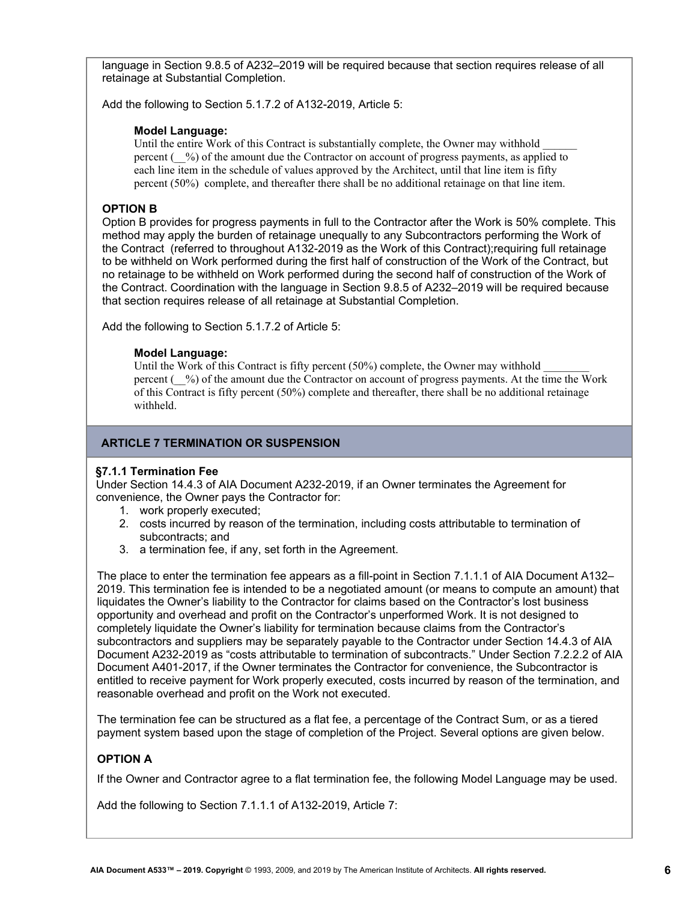language in Section 9.8.5 of A232–2019 will be required because that section requires release of all retainage at Substantial Completion.

Add the following to Section 5.1.7.2 of A132-2019, Article 5:

# **Model Language:**

Until the entire Work of this Contract is substantially complete, the Owner may withhold percent (\_\_%) of the amount due the Contractor on account of progress payments, as applied to each line item in the schedule of values approved by the Architect, until that line item is fifty percent (50%) complete, and thereafter there shall be no additional retainage on that line item.

# **OPTION B**

Option B provides for progress payments in full to the Contractor after the Work is 50% complete. This method may apply the burden of retainage unequally to any Subcontractors performing the Work of the Contract (referred to throughout A132-2019 as the Work of this Contract);requiring full retainage to be withheld on Work performed during the first half of construction of the Work of the Contract, but no retainage to be withheld on Work performed during the second half of construction of the Work of the Contract. Coordination with the language in Section 9.8.5 of A232–2019 will be required because that section requires release of all retainage at Substantial Completion.

Add the following to Section 5.1.7.2 of Article 5:

# **Model Language:**

Until the Work of this Contract is fifty percent  $(50%)$  complete, the Owner may withhold percent (\_\_%) of the amount due the Contractor on account of progress payments. At the time the Work of this Contract is fifty percent (50%) complete and thereafter, there shall be no additional retainage withheld.

# **ARTICLE 7 TERMINATION OR SUSPENSION**

#### **§7.1.1 Termination Fee**

Under Section 14.4.3 of AIA Document A232-2019, if an Owner terminates the Agreement for convenience, the Owner pays the Contractor for:

- 1. work properly executed;
- 2. costs incurred by reason of the termination, including costs attributable to termination of subcontracts; and
- 3. a termination fee, if any, set forth in the Agreement.

The place to enter the termination fee appears as a fill-point in Section 7.1.1.1 of AIA Document A132– 2019. This termination fee is intended to be a negotiated amount (or means to compute an amount) that liquidates the Owner's liability to the Contractor for claims based on the Contractor's lost business opportunity and overhead and profit on the Contractor's unperformed Work. It is not designed to completely liquidate the Owner's liability for termination because claims from the Contractor's subcontractors and suppliers may be separately payable to the Contractor under Section 14.4.3 of AIA Document A232-2019 as "costs attributable to termination of subcontracts." Under Section 7.2.2.2 of AIA Document A401-2017, if the Owner terminates the Contractor for convenience, the Subcontractor is entitled to receive payment for Work properly executed, costs incurred by reason of the termination, and reasonable overhead and profit on the Work not executed.

The termination fee can be structured as a flat fee, a percentage of the Contract Sum, or as a tiered payment system based upon the stage of completion of the Project. Several options are given below.

# **OPTION A**

If the Owner and Contractor agree to a flat termination fee, the following Model Language may be used.

Add the following to Section 7.1.1.1 of A132-2019, Article 7: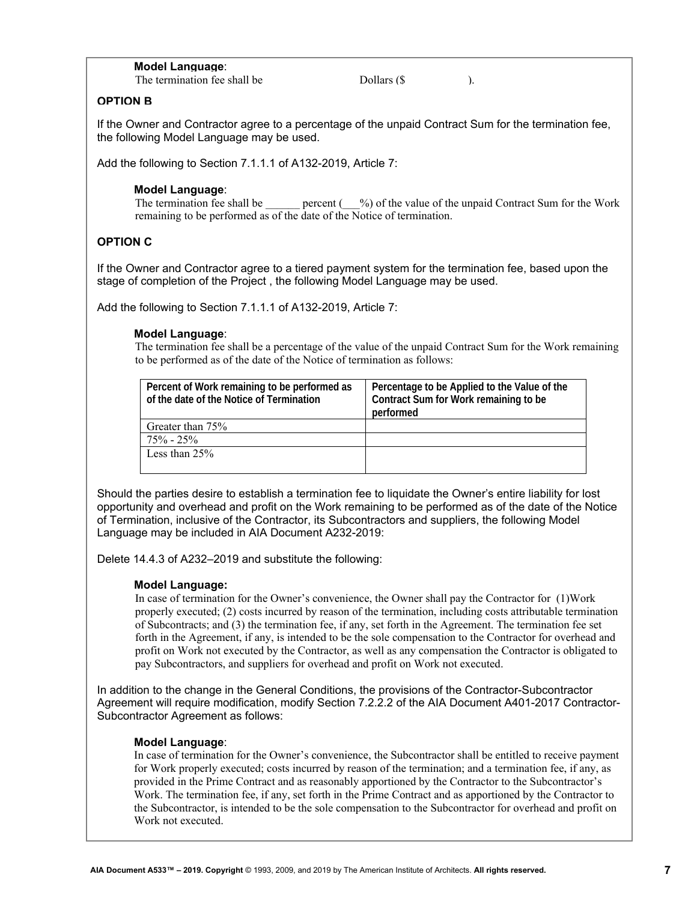#### **Model Language**:

The termination fee shall be  $\qquad \qquad$  Dollars (\$

#### **OPTION B**

If the Owner and Contractor agree to a percentage of the unpaid Contract Sum for the termination fee, the following Model Language may be used.

Add the following to Section 7.1.1.1 of A132-2019, Article 7:

#### **Model Language**:

The termination fee shall be  $\qquad \qquad$  percent ( $\qquad$ %) of the value of the unpaid Contract Sum for the Work remaining to be performed as of the date of the Notice of termination.

# **OPTION C**

If the Owner and Contractor agree to a tiered payment system for the termination fee, based upon the stage of completion of the Project , the following Model Language may be used.

Add the following to Section 7.1.1.1 of A132-2019, Article 7:

#### **Model Language**:

The termination fee shall be a percentage of the value of the unpaid Contract Sum for the Work remaining to be performed as of the date of the Notice of termination as follows:

| Percent of Work remaining to be performed as<br>of the date of the Notice of Termination | Percentage to be Applied to the Value of the<br>Contract Sum for Work remaining to be<br>performed |
|------------------------------------------------------------------------------------------|----------------------------------------------------------------------------------------------------|
| Greater than 75%                                                                         |                                                                                                    |
| $75\% - 25\%$                                                                            |                                                                                                    |
| Less than $25%$                                                                          |                                                                                                    |

Should the parties desire to establish a termination fee to liquidate the Owner's entire liability for lost opportunity and overhead and profit on the Work remaining to be performed as of the date of the Notice of Termination, inclusive of the Contractor, its Subcontractors and suppliers, the following Model Language may be included in AIA Document A232-2019:

Delete 14.4.3 of A232–2019 and substitute the following:

#### **Model Language:**

In case of termination for the Owner's convenience, the Owner shall pay the Contractor for (1)Work properly executed; (2) costs incurred by reason of the termination, including costs attributable termination of Subcontracts; and (3) the termination fee, if any, set forth in the Agreement. The termination fee set forth in the Agreement, if any, is intended to be the sole compensation to the Contractor for overhead and profit on Work not executed by the Contractor, as well as any compensation the Contractor is obligated to pay Subcontractors, and suppliers for overhead and profit on Work not executed.

In addition to the change in the General Conditions, the provisions of the Contractor-Subcontractor Agreement will require modification, modify Section 7.2.2.2 of the AIA Document A401-2017 Contractor-Subcontractor Agreement as follows:

#### **Model Language**:

In case of termination for the Owner's convenience, the Subcontractor shall be entitled to receive payment for Work properly executed; costs incurred by reason of the termination; and a termination fee, if any, as provided in the Prime Contract and as reasonably apportioned by the Contractor to the Subcontractor's Work. The termination fee, if any, set forth in the Prime Contract and as apportioned by the Contractor to the Subcontractor, is intended to be the sole compensation to the Subcontractor for overhead and profit on Work not executed.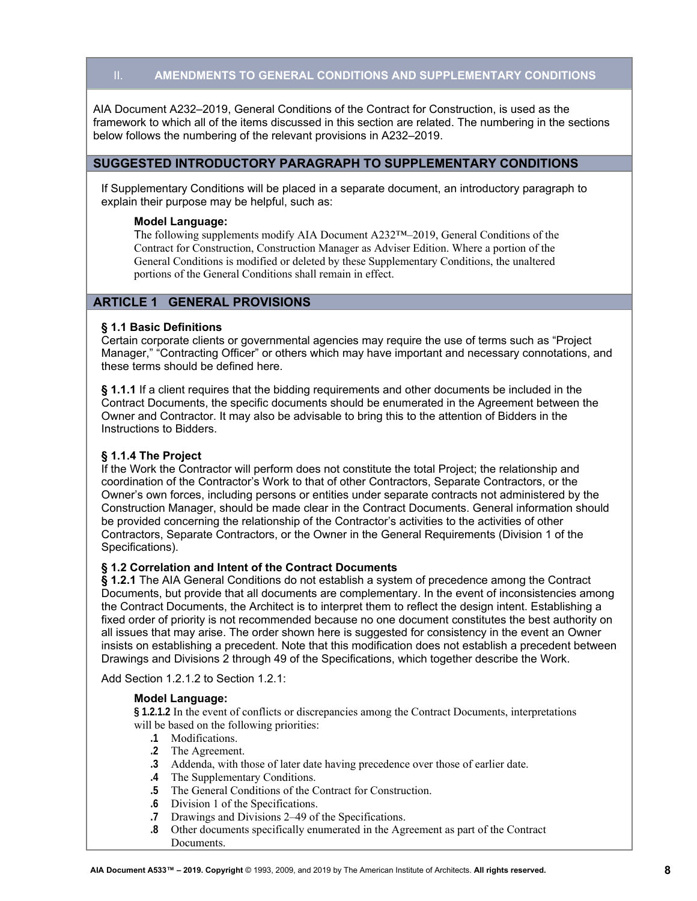# II. **AMENDMENTS TO GENERAL CONDITIONS AND SUPPLEMENTARY CONDITIONS**

AIA Document A232–2019, General Conditions of the Contract for Construction, is used as the framework to which all of the items discussed in this section are related. The numbering in the sections below follows the numbering of the relevant provisions in A232–2019.

# **SUGGESTED INTRODUCTORY PARAGRAPH TO SUPPLEMENTARY CONDITIONS**

If Supplementary Conditions will be placed in a separate document, an introductory paragraph to explain their purpose may be helpful, such as:

#### **Model Language:**

The following supplements modify AIA Document A232™–2019, General Conditions of the Contract for Construction, Construction Manager as Adviser Edition. Where a portion of the General Conditions is modified or deleted by these Supplementary Conditions, the unaltered portions of the General Conditions shall remain in effect.

# **ARTICLE 1 GENERAL PROVISIONS**

#### **§ 1.1 Basic Definitions**

Certain corporate clients or governmental agencies may require the use of terms such as "Project Manager," "Contracting Officer" or others which may have important and necessary connotations, and these terms should be defined here.

**§ 1.1.1** If a client requires that the bidding requirements and other documents be included in the Contract Documents, the specific documents should be enumerated in the Agreement between the Owner and Contractor. It may also be advisable to bring this to the attention of Bidders in the Instructions to Bidders.

#### **§ 1.1.4 The Project**

If the Work the Contractor will perform does not constitute the total Project; the relationship and coordination of the Contractor's Work to that of other Contractors, Separate Contractors, or the Owner's own forces, including persons or entities under separate contracts not administered by the Construction Manager, should be made clear in the Contract Documents. General information should be provided concerning the relationship of the Contractor's activities to the activities of other Contractors, Separate Contractors, or the Owner in the General Requirements (Division 1 of the Specifications).

#### **§ 1.2 Correlation and Intent of the Contract Documents**

**§ 1.2.1** The AIA General Conditions do not establish a system of precedence among the Contract Documents, but provide that all documents are complementary. In the event of inconsistencies among the Contract Documents, the Architect is to interpret them to reflect the design intent. Establishing a fixed order of priority is not recommended because no one document constitutes the best authority on all issues that may arise. The order shown here is suggested for consistency in the event an Owner insists on establishing a precedent. Note that this modification does not establish a precedent between Drawings and Divisions 2 through 49 of the Specifications, which together describe the Work.

Add Section 1.2.1.2 to Section 1.2.1:

#### **Model Language:**

**§ 1.2.1.2** In the event of conflicts or discrepancies among the Contract Documents, interpretations will be based on the following priorities:

- **.1** Modifications.
- **.2** The Agreement.
- **.3** Addenda, with those of later date having precedence over those of earlier date.
- **.4** The Supplementary Conditions.
- **.5** The General Conditions of the Contract for Construction.
- **.6** Division 1 of the Specifications.
- **.7** Drawings and Divisions 2–49 of the Specifications.
- **.8** Other documents specifically enumerated in the Agreement as part of the Contract Documents.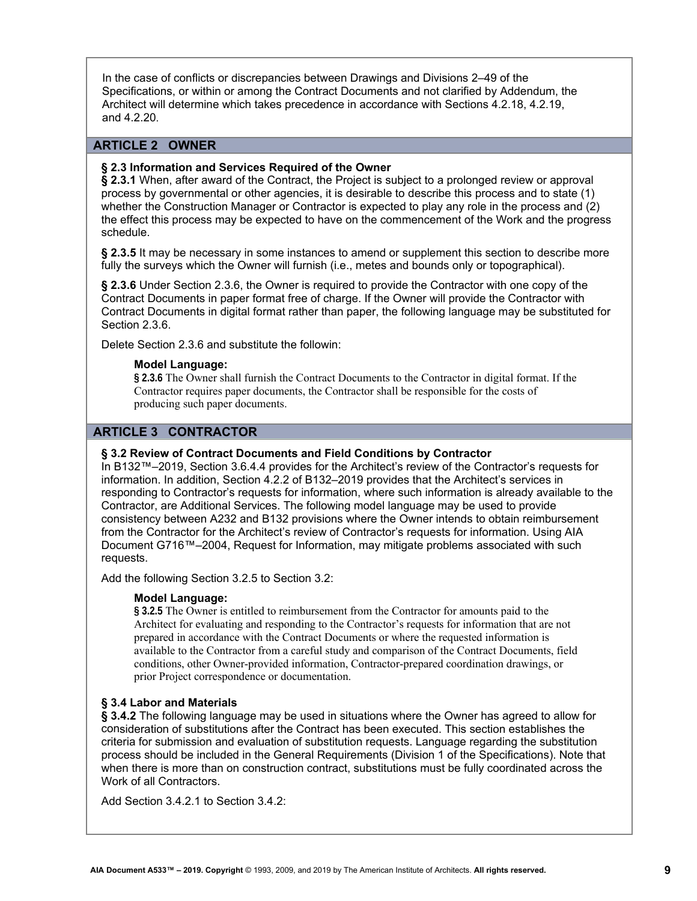In the case of conflicts or discrepancies between Drawings and Divisions 2–49 of the Specifications, or within or among the Contract Documents and not clarified by Addendum, the Architect will determine which takes precedence in accordance with Sections 4.2.18, 4.2.19, and 4.2.20.

# **ARTICLE 2 OWNER**

#### **§ 2.3 Information and Services Required of the Owner**

**§ 2.3.1** When, after award of the Contract, the Project is subject to a prolonged review or approval process by governmental or other agencies, it is desirable to describe this process and to state (1) whether the Construction Manager or Contractor is expected to play any role in the process and (2) the effect this process may be expected to have on the commencement of the Work and the progress schedule.

**§ 2.3.5** It may be necessary in some instances to amend or supplement this section to describe more fully the surveys which the Owner will furnish (i.e., metes and bounds only or topographical).

**§ 2.3.6** Under Section 2.3.6, the Owner is required to provide the Contractor with one copy of the Contract Documents in paper format free of charge. If the Owner will provide the Contractor with Contract Documents in digital format rather than paper, the following language may be substituted for Section 2.3.6.

Delete Section 2.3.6 and substitute the followin:

#### **Model Language:**

**§ 2.3.6** The Owner shall furnish the Contract Documents to the Contractor in digital format. If the Contractor requires paper documents, the Contractor shall be responsible for the costs of producing such paper documents.

# **ARTICLE 3 CONTRACTOR**

#### **§ 3.2 Review of Contract Documents and Field Conditions by Contractor**

In B132™–2019, Section 3.6.4.4 provides for the Architect's review of the Contractor's requests for information. In addition, Section 4.2.2 of B132–2019 provides that the Architect's services in responding to Contractor's requests for information, where such information is already available to the Contractor, are Additional Services. The following model language may be used to provide consistency between A232 and B132 provisions where the Owner intends to obtain reimbursement from the Contractor for the Architect's review of Contractor's requests for information. Using AIA Document G716™–2004, Request for Information, may mitigate problems associated with such requests.

Add the following Section 3.2.5 to Section 3.2:

#### **Model Language:**

**§ 3.2.5** The Owner is entitled to reimbursement from the Contractor for amounts paid to the Architect for evaluating and responding to the Contractor's requests for information that are not prepared in accordance with the Contract Documents or where the requested information is available to the Contractor from a careful study and comparison of the Contract Documents, field conditions, other Owner-provided information, Contractor-prepared coordination drawings, or prior Project correspondence or documentation.

# **§ 3.4 Labor and Materials**

**§ 3.4.2** The following language may be used in situations where the Owner has agreed to allow for consideration of substitutions after the Contract has been executed. This section establishes the criteria for submission and evaluation of substitution requests. Language regarding the substitution process should be included in the General Requirements (Division 1 of the Specifications). Note that when there is more than on construction contract, substitutions must be fully coordinated across the Work of all Contractors.

Add Section 3.4.2.1 to Section 3.4.2: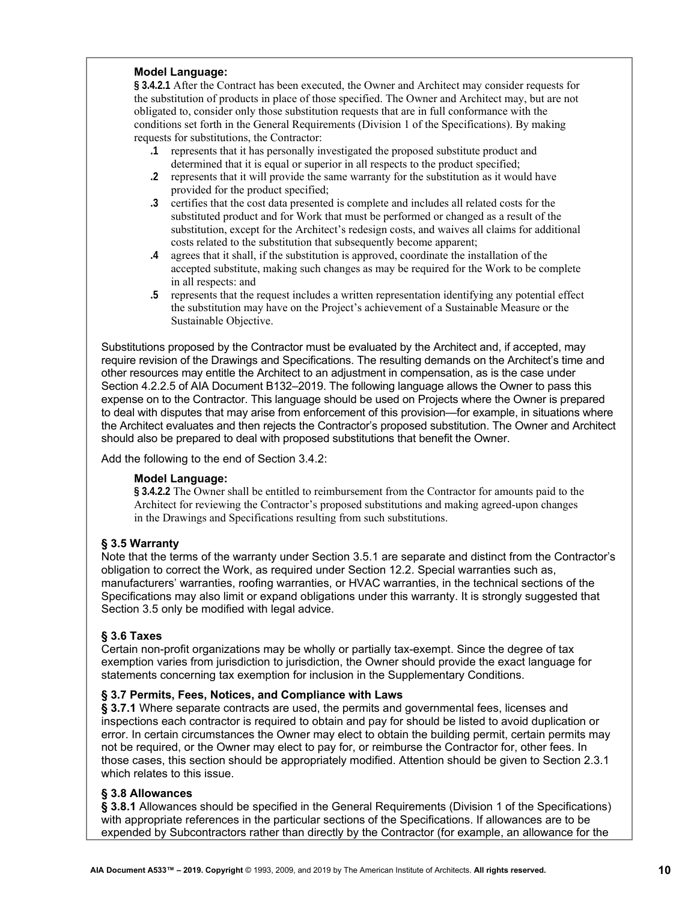#### **Model Language:**

**§ 3.4.2.1** After the Contract has been executed, the Owner and Architect may consider requests for the substitution of products in place of those specified. The Owner and Architect may, but are not obligated to, consider only those substitution requests that are in full conformance with the conditions set forth in the General Requirements (Division 1 of the Specifications). By making requests for substitutions, the Contractor:

- **.1** represents that it has personally investigated the proposed substitute product and determined that it is equal or superior in all respects to the product specified;
- **.2** represents that it will provide the same warranty for the substitution as it would have provided for the product specified;
- **.3** certifies that the cost data presented is complete and includes all related costs for the substituted product and for Work that must be performed or changed as a result of the substitution, except for the Architect's redesign costs, and waives all claims for additional costs related to the substitution that subsequently become apparent;
- **.4** agrees that it shall, if the substitution is approved, coordinate the installation of the accepted substitute, making such changes as may be required for the Work to be complete in all respects: and
- **.5** represents that the request includes a written representation identifying any potential effect the substitution may have on the Project's achievement of a Sustainable Measure or the Sustainable Objective.

Substitutions proposed by the Contractor must be evaluated by the Architect and, if accepted, may require revision of the Drawings and Specifications. The resulting demands on the Architect's time and other resources may entitle the Architect to an adjustment in compensation, as is the case under Section 4.2.2.5 of AIA Document B132–2019. The following language allows the Owner to pass this expense on to the Contractor. This language should be used on Projects where the Owner is prepared to deal with disputes that may arise from enforcement of this provision—for example, in situations where the Architect evaluates and then rejects the Contractor's proposed substitution. The Owner and Architect should also be prepared to deal with proposed substitutions that benefit the Owner.

Add the following to the end of Section 3.4.2:

#### **Model Language:**

**§ 3.4.2.2** The Owner shall be entitled to reimbursement from the Contractor for amounts paid to the Architect for reviewing the Contractor's proposed substitutions and making agreed-upon changes in the Drawings and Specifications resulting from such substitutions.

#### **§ 3.5 Warranty**

Note that the terms of the warranty under Section 3.5.1 are separate and distinct from the Contractor's obligation to correct the Work, as required under Section 12.2. Special warranties such as, manufacturers' warranties, roofing warranties, or HVAC warranties, in the technical sections of the Specifications may also limit or expand obligations under this warranty. It is strongly suggested that Section 3.5 only be modified with legal advice.

# **§ 3.6 Taxes**

Certain non-profit organizations may be wholly or partially tax-exempt. Since the degree of tax exemption varies from jurisdiction to jurisdiction, the Owner should provide the exact language for statements concerning tax exemption for inclusion in the Supplementary Conditions.

## **§ 3.7 Permits, Fees, Notices, and Compliance with Laws**

**§ 3.7.1** Where separate contracts are used, the permits and governmental fees, licenses and inspections each contractor is required to obtain and pay for should be listed to avoid duplication or error. In certain circumstances the Owner may elect to obtain the building permit, certain permits may not be required, or the Owner may elect to pay for, or reimburse the Contractor for, other fees. In those cases, this section should be appropriately modified. Attention should be given to Section 2.3.1 which relates to this issue.

# **§ 3.8 Allowances**

**§ 3.8.1** Allowances should be specified in the General Requirements (Division 1 of the Specifications) with appropriate references in the particular sections of the Specifications. If allowances are to be expended by Subcontractors rather than directly by the Contractor (for example, an allowance for the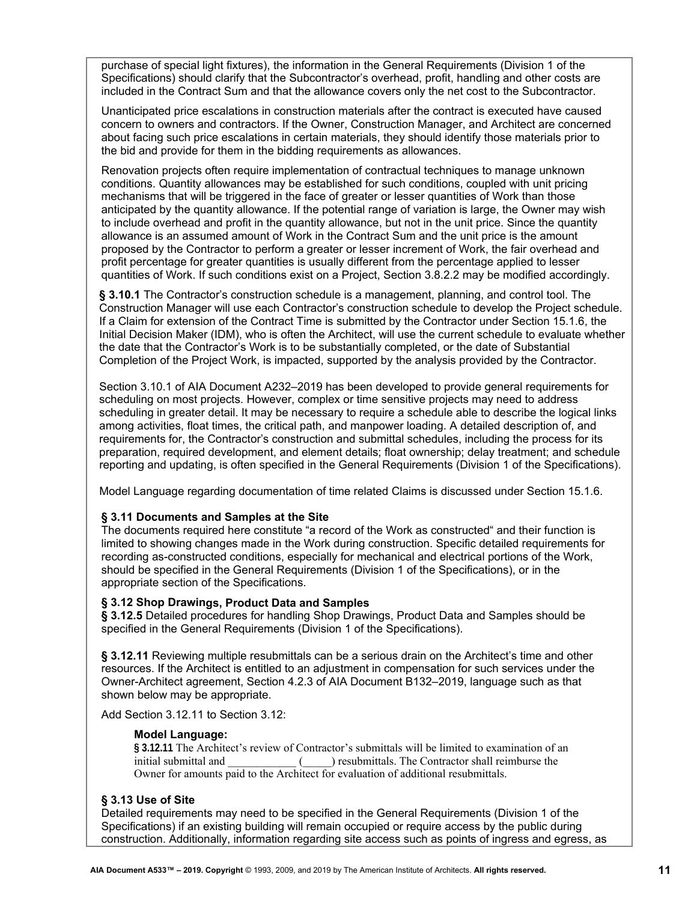purchase of special light fixtures), the information in the General Requirements (Division 1 of the Specifications) should clarify that the Subcontractor's overhead, profit, handling and other costs are included in the Contract Sum and that the allowance covers only the net cost to the Subcontractor.

Unanticipated price escalations in construction materials after the contract is executed have caused concern to owners and contractors. If the Owner, Construction Manager, and Architect are concerned about facing such price escalations in certain materials, they should identify those materials prior to the bid and provide for them in the bidding requirements as allowances.

Renovation projects often require implementation of contractual techniques to manage unknown conditions. Quantity allowances may be established for such conditions, coupled with unit pricing mechanisms that will be triggered in the face of greater or lesser quantities of Work than those anticipated by the quantity allowance. If the potential range of variation is large, the Owner may wish to include overhead and profit in the quantity allowance, but not in the unit price. Since the quantity allowance is an assumed amount of Work in the Contract Sum and the unit price is the amount proposed by the Contractor to perform a greater or lesser increment of Work, the fair overhead and profit percentage for greater quantities is usually different from the percentage applied to lesser quantities of Work. If such conditions exist on a Project, Section 3.8.2.2 may be modified accordingly.

**§ 3.10.1** The Contractor's construction schedule is a management, planning, and control tool. The Construction Manager will use each Contractor's construction schedule to develop the Project schedule. If a Claim for extension of the Contract Time is submitted by the Contractor under Section 15.1.6, the Initial Decision Maker (IDM), who is often the Architect, will use the current schedule to evaluate whether the date that the Contractor's Work is to be substantially completed, or the date of Substantial Completion of the Project Work, is impacted, supported by the analysis provided by the Contractor.

Section 3.10.1 of AIA Document A232–2019 has been developed to provide general requirements for scheduling on most projects. However, complex or time sensitive projects may need to address scheduling in greater detail. It may be necessary to require a schedule able to describe the logical links among activities, float times, the critical path, and manpower loading. A detailed description of, and requirements for, the Contractor's construction and submittal schedules, including the process for its preparation, required development, and element details; float ownership; delay treatment; and schedule reporting and updating, is often specified in the General Requirements (Division 1 of the Specifications).

Model Language regarding documentation of time related Claims is discussed under Section 15.1.6.

# **§ 3.11 Documents and Samples at the Site**

The documents required here constitute "a record of the Work as constructed" and their function is limited to showing changes made in the Work during construction. Specific detailed requirements for recording as-constructed conditions, especially for mechanical and electrical portions of the Work, should be specified in the General Requirements (Division 1 of the Specifications), or in the appropriate section of the Specifications.

# **§ 3.12 Shop Drawings, Product Data and Samples**

**§ 3.12.5** Detailed procedures for handling Shop Drawings, Product Data and Samples should be specified in the General Requirements (Division 1 of the Specifications).

**§ 3.12.11** Reviewing multiple resubmittals can be a serious drain on the Architect's time and other resources. If the Architect is entitled to an adjustment in compensation for such services under the Owner-Architect agreement, Section 4.2.3 of AIA Document B132–2019, language such as that shown below may be appropriate.

Add Section 3.12.11 to Section 3.12:

#### **Model Language:**

**§ 3.12.11** The Architect's review of Contractor's submittals will be limited to examination of an initial submittal and  $($  ) resubmittals. The Contractor shall reimburse the Owner for amounts paid to the Architect for evaluation of additional resubmittals.

# **§ 3.13 Use of Site**

Detailed requirements may need to be specified in the General Requirements (Division 1 of the Specifications) if an existing building will remain occupied or require access by the public during construction. Additionally, information regarding site access such as points of ingress and egress, as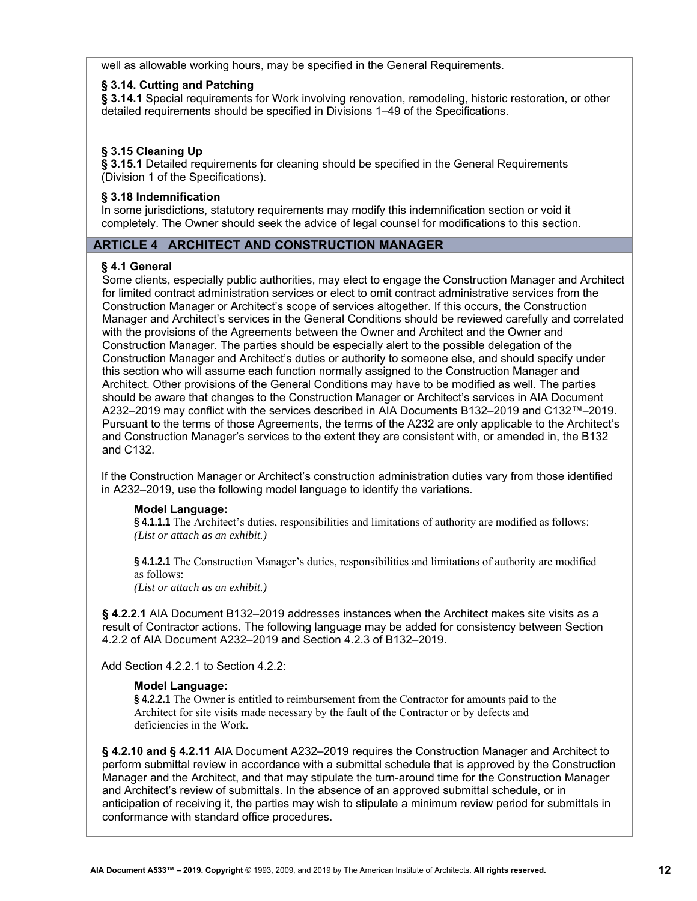well as allowable working hours, may be specified in the General Requirements.

#### **§ 3.14. Cutting and Patching**

**§ 3.14.1** Special requirements for Work involving renovation, remodeling, historic restoration, or other detailed requirements should be specified in Divisions 1–49 of the Specifications.

# **§ 3.15 Cleaning Up**

**§ 3.15.1** Detailed requirements for cleaning should be specified in the General Requirements (Division 1 of the Specifications).

# **§ 3.18 Indemnification**

In some jurisdictions, statutory requirements may modify this indemnification section or void it completely. The Owner should seek the advice of legal counsel for modifications to this section.

# **ARTICLE 4 ARCHITECT AND CONSTRUCTION MANAGER**

# **§ 4.1 General**

Some clients, especially public authorities, may elect to engage the Construction Manager and Architect for limited contract administration services or elect to omit contract administrative services from the Construction Manager or Architect's scope of services altogether. If this occurs, the Construction Manager and Architect's services in the General Conditions should be reviewed carefully and correlated with the provisions of the Agreements between the Owner and Architect and the Owner and Construction Manager. The parties should be especially alert to the possible delegation of the Construction Manager and Architect's duties or authority to someone else, and should specify under this section who will assume each function normally assigned to the Construction Manager and Architect. Other provisions of the General Conditions may have to be modified as well. The parties should be aware that changes to the Construction Manager or Architect's services in AIA Document A232–2019 may conflict with the services described in AIA Documents B132–2019 and C132™–2019. Pursuant to the terms of those Agreements, the terms of the A232 are only applicable to the Architect's and Construction Manager's services to the extent they are consistent with, or amended in, the B132 and C132.

If the Construction Manager or Architect's construction administration duties vary from those identified in A232–2019, use the following model language to identify the variations.

#### **Model Language:**

**§ 4.1.1.1** The Architect's duties, responsibilities and limitations of authority are modified as follows: *(List or attach as an exhibit.)* 

**§ 4.1.2.1** The Construction Manager's duties, responsibilities and limitations of authority are modified as follows:

*(List or attach as an exhibit.)* 

**§ 4.2.2.1** AIA Document B132–2019 addresses instances when the Architect makes site visits as a result of Contractor actions. The following language may be added for consistency between Section 4.2.2 of AIA Document A232–2019 and Section 4.2.3 of B132–2019.

Add Section 4.2.2.1 to Section 4.2.2:

#### **Model Language:**

**§ 4.2.2.1** The Owner is entitled to reimbursement from the Contractor for amounts paid to the Architect for site visits made necessary by the fault of the Contractor or by defects and deficiencies in the Work.

**§ 4.2.10 and § 4.2.11** AIA Document A232–2019 requires the Construction Manager and Architect to perform submittal review in accordance with a submittal schedule that is approved by the Construction Manager and the Architect, and that may stipulate the turn-around time for the Construction Manager and Architect's review of submittals. In the absence of an approved submittal schedule, or in anticipation of receiving it, the parties may wish to stipulate a minimum review period for submittals in conformance with standard office procedures.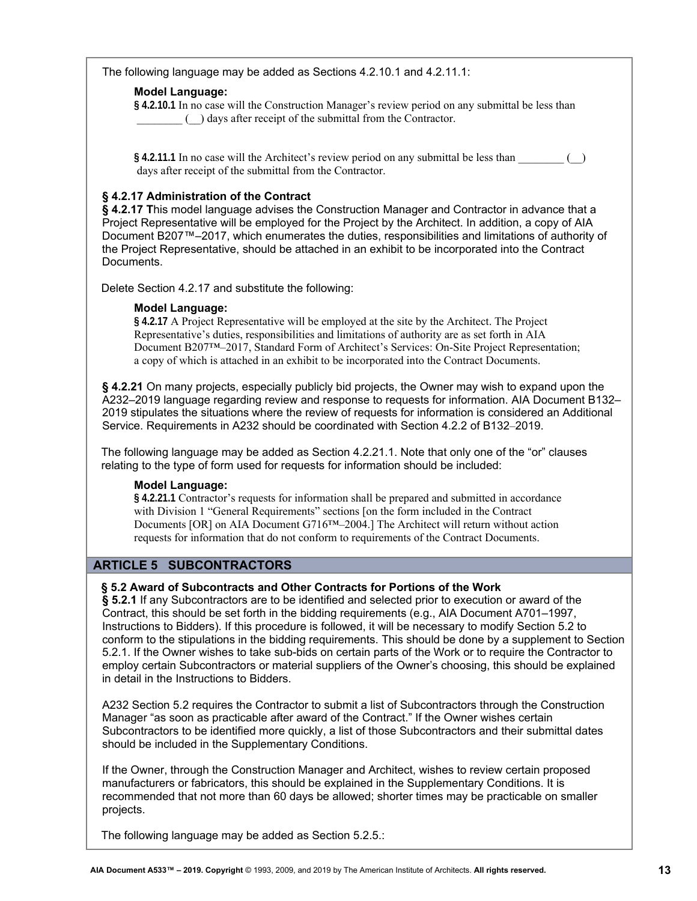The following language may be added as Sections 4.2.10.1 and 4.2.11.1:

# **Model Language:**

**§ 4.2.10.1** In no case will the Construction Manager's review period on any submittal be less than \_\_\_\_\_\_\_\_ (\_\_) days after receipt of the submittal from the Contractor.

**§ 4.2.11.1** In no case will the Architect's review period on any submittal be less than \_\_\_\_\_\_\_\_ (\_\_) days after receipt of the submittal from the Contractor.

# **§ 4.2.17 Administration of the Contract**

**§ 4.2.17 T**his model language advises the Construction Manager and Contractor in advance that a Project Representative will be employed for the Project by the Architect. In addition, a copy of AIA Document B207™–2017, which enumerates the duties, responsibilities and limitations of authority of the Project Representative, should be attached in an exhibit to be incorporated into the Contract Documents.

Delete Section 4.2.17 and substitute the following:

# **Model Language:**

**§ 4.2.17** A Project Representative will be employed at the site by the Architect. The Project Representative's duties, responsibilities and limitations of authority are as set forth in AIA Document B207™–2017, Standard Form of Architect's Services: On-Site Project Representation; a copy of which is attached in an exhibit to be incorporated into the Contract Documents.

**§ 4.2.21** On many projects, especially publicly bid projects, the Owner may wish to expand upon the A232–2019 language regarding review and response to requests for information. AIA Document B132– 2019 stipulates the situations where the review of requests for information is considered an Additional Service. Requirements in A232 should be coordinated with Section 4.2.2 of B132–2019.

The following language may be added as Section 4.2.21.1. Note that only one of the "or" clauses relating to the type of form used for requests for information should be included:

# **Model Language:**

**§ 4.2.21.1** Contractor's requests for information shall be prepared and submitted in accordance with Division 1 "General Requirements" sections [on the form included in the Contract Documents [OR] on AIA Document G716™–2004.] The Architect will return without action requests for information that do not conform to requirements of the Contract Documents.

# **ARTICLE 5 SUBCONTRACTORS**

# **§ 5.2 Award of Subcontracts and Other Contracts for Portions of the Work**

**§ 5.2.1** If any Subcontractors are to be identified and selected prior to execution or award of the Contract, this should be set forth in the bidding requirements (e.g., AIA Document A701–1997, Instructions to Bidders). If this procedure is followed, it will be necessary to modify Section 5.2 to conform to the stipulations in the bidding requirements. This should be done by a supplement to Section 5.2.1. If the Owner wishes to take sub-bids on certain parts of the Work or to require the Contractor to employ certain Subcontractors or material suppliers of the Owner's choosing, this should be explained in detail in the Instructions to Bidders.

A232 Section 5.2 requires the Contractor to submit a list of Subcontractors through the Construction Manager "as soon as practicable after award of the Contract." If the Owner wishes certain Subcontractors to be identified more quickly, a list of those Subcontractors and their submittal dates should be included in the Supplementary Conditions.

If the Owner, through the Construction Manager and Architect, wishes to review certain proposed manufacturers or fabricators, this should be explained in the Supplementary Conditions. It is recommended that not more than 60 days be allowed; shorter times may be practicable on smaller projects.

The following language may be added as Section 5.2.5.: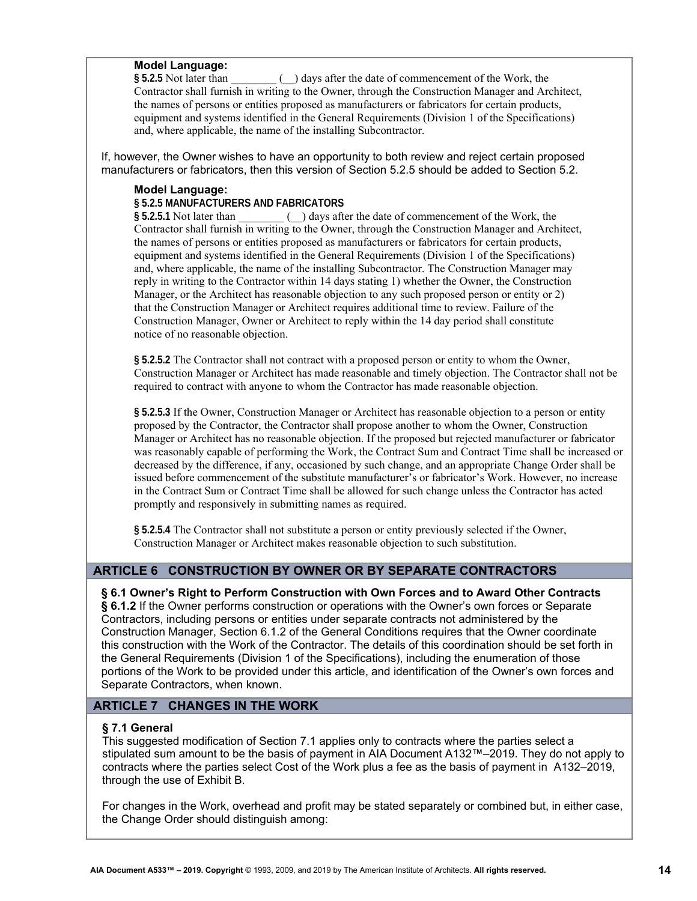#### **Model Language:**

**§ 5.2.5** Not later than \_\_\_\_\_\_\_\_ (\_\_) days after the date of commencement of the Work, the Contractor shall furnish in writing to the Owner, through the Construction Manager and Architect, the names of persons or entities proposed as manufacturers or fabricators for certain products, equipment and systems identified in the General Requirements (Division 1 of the Specifications) and, where applicable, the name of the installing Subcontractor.

If, however, the Owner wishes to have an opportunity to both review and reject certain proposed manufacturers or fabricators, then this version of Section 5.2.5 should be added to Section 5.2.

#### **Model Language:**

#### **§ 5.2.5 MANUFACTURERS AND FABRICATORS**

**§ 5.2.5.1** Not later than \_\_\_\_\_\_\_\_ (\_\_) days after the date of commencement of the Work, the Contractor shall furnish in writing to the Owner, through the Construction Manager and Architect, the names of persons or entities proposed as manufacturers or fabricators for certain products, equipment and systems identified in the General Requirements (Division 1 of the Specifications) and, where applicable, the name of the installing Subcontractor. The Construction Manager may reply in writing to the Contractor within 14 days stating 1) whether the Owner, the Construction Manager, or the Architect has reasonable objection to any such proposed person or entity or 2) that the Construction Manager or Architect requires additional time to review. Failure of the Construction Manager, Owner or Architect to reply within the 14 day period shall constitute notice of no reasonable objection.

**§ 5.2.5.2** The Contractor shall not contract with a proposed person or entity to whom the Owner, Construction Manager or Architect has made reasonable and timely objection. The Contractor shall not be required to contract with anyone to whom the Contractor has made reasonable objection.

**§ 5.2.5.3** If the Owner, Construction Manager or Architect has reasonable objection to a person or entity proposed by the Contractor, the Contractor shall propose another to whom the Owner, Construction Manager or Architect has no reasonable objection. If the proposed but rejected manufacturer or fabricator was reasonably capable of performing the Work, the Contract Sum and Contract Time shall be increased or decreased by the difference, if any, occasioned by such change, and an appropriate Change Order shall be issued before commencement of the substitute manufacturer's or fabricator's Work. However, no increase in the Contract Sum or Contract Time shall be allowed for such change unless the Contractor has acted promptly and responsively in submitting names as required.

**§ 5.2.5.4** The Contractor shall not substitute a person or entity previously selected if the Owner, Construction Manager or Architect makes reasonable objection to such substitution.

#### **ARTICLE 6 CONSTRUCTION BY OWNER OR BY SEPARATE CONTRACTORS**

#### **§ 6.1 Owner's Right to Perform Construction with Own Forces and to Award Other Contracts § 6.1.2** If the Owner performs construction or operations with the Owner's own forces or Separate Contractors, including persons or entities under separate contracts not administered by the Construction Manager, Section 6.1.2 of the General Conditions requires that the Owner coordinate this construction with the Work of the Contractor. The details of this coordination should be set forth in the General Requirements (Division 1 of the Specifications), including the enumeration of those portions of the Work to be provided under this article, and identification of the Owner's own forces and

Separate Contractors, when known.

# **ARTICLE 7 CHANGES IN THE WORK**

#### **§ 7.1 General**

This suggested modification of Section 7.1 applies only to contracts where the parties select a stipulated sum amount to be the basis of payment in AIA Document A132™–2019. They do not apply to contracts where the parties select Cost of the Work plus a fee as the basis of payment in A132–2019, through the use of Exhibit B.

For changes in the Work, overhead and profit may be stated separately or combined but, in either case, the Change Order should distinguish among: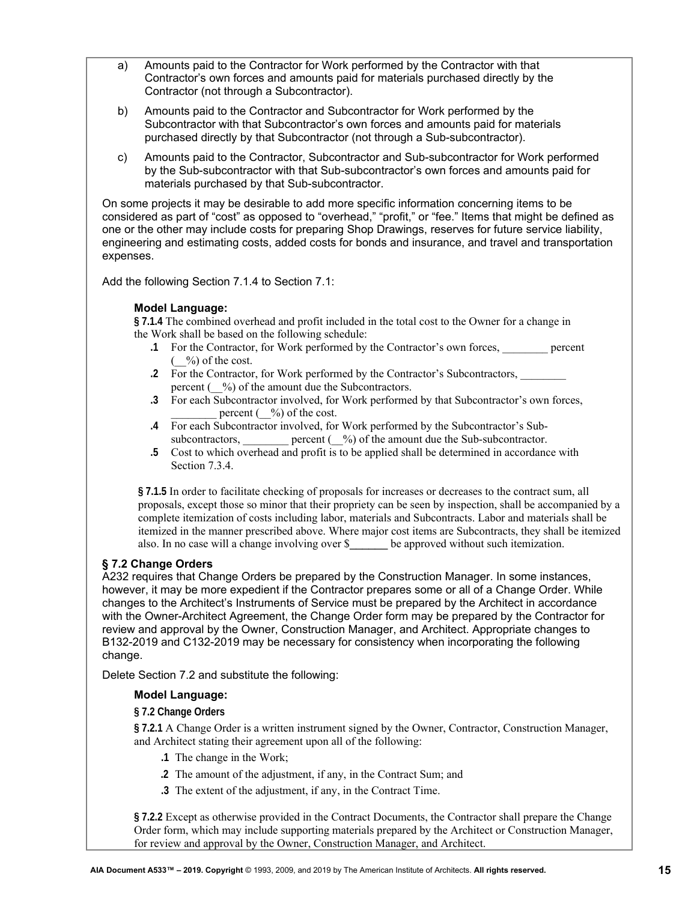- a) Amounts paid to the Contractor for Work performed by the Contractor with that Contractor's own forces and amounts paid for materials purchased directly by the Contractor (not through a Subcontractor).
- b) Amounts paid to the Contractor and Subcontractor for Work performed by the Subcontractor with that Subcontractor's own forces and amounts paid for materials purchased directly by that Subcontractor (not through a Sub-subcontractor).
- c) Amounts paid to the Contractor, Subcontractor and Sub-subcontractor for Work performed by the Sub-subcontractor with that Sub-subcontractor's own forces and amounts paid for materials purchased by that Sub-subcontractor.

On some projects it may be desirable to add more specific information concerning items to be considered as part of "cost" as opposed to "overhead," "profit," or "fee." Items that might be defined as one or the other may include costs for preparing Shop Drawings, reserves for future service liability, engineering and estimating costs, added costs for bonds and insurance, and travel and transportation expenses.

Add the following Section 7.1.4 to Section 7.1:

# **Model Language:**

**§ 7.1.4** The combined overhead and profit included in the total cost to the Owner for a change in the Work shall be based on the following schedule:

- **.1** For the Contractor, for Work performed by the Contractor's own forces, \_\_\_\_\_\_\_\_ percent  $(\frac{9}{0})$  of the cost.
- **.2** For the Contractor, for Work performed by the Contractor's Subcontractors, \_\_\_\_\_\_\_\_ percent  $(\frac{\ }{}^{6})$  of the amount due the Subcontractors.
- **.3** For each Subcontractor involved, for Work performed by that Subcontractor's own forces, percent  $(\frac{\%}{\%})$  of the cost.
- **.4** For each Subcontractor involved, for Work performed by the Subcontractor's Subsubcontractors, \_\_\_\_\_\_\_\_ percent ( $\degree$ %) of the amount due the Sub-subcontractor.
- **.5** Cost to which overhead and profit is to be applied shall be determined in accordance with Section 7.3.4.

**§ 7.1.5** In order to facilitate checking of proposals for increases or decreases to the contract sum, all proposals, except those so minor that their propriety can be seen by inspection, shall be accompanied by a complete itemization of costs including labor, materials and Subcontracts. Labor and materials shall be itemized in the manner prescribed above. Where major cost items are Subcontracts, they shall be itemized also. In no case will a change involving over \$\_\_\_\_\_\_ be approved without such itemization.

# **§ 7.2 Change Orders**

A232 requires that Change Orders be prepared by the Construction Manager. In some instances, however, it may be more expedient if the Contractor prepares some or all of a Change Order. While changes to the Architect's Instruments of Service must be prepared by the Architect in accordance with the Owner-Architect Agreement, the Change Order form may be prepared by the Contractor for review and approval by the Owner, Construction Manager, and Architect. Appropriate changes to B132-2019 and C132-2019 may be necessary for consistency when incorporating the following change.

Delete Section 7.2 and substitute the following:

# **Model Language:**

# **§ 7.2 Change Orders**

**§ 7.2.1** A Change Order is a written instrument signed by the Owner, Contractor, Construction Manager, and Architect stating their agreement upon all of the following:

- **.1** The change in the Work;
- **.2** The amount of the adjustment, if any, in the Contract Sum; and
- **.3** The extent of the adjustment, if any, in the Contract Time.

**§ 7.2.2** Except as otherwise provided in the Contract Documents, the Contractor shall prepare the Change Order form, which may include supporting materials prepared by the Architect or Construction Manager, for review and approval by the Owner, Construction Manager, and Architect.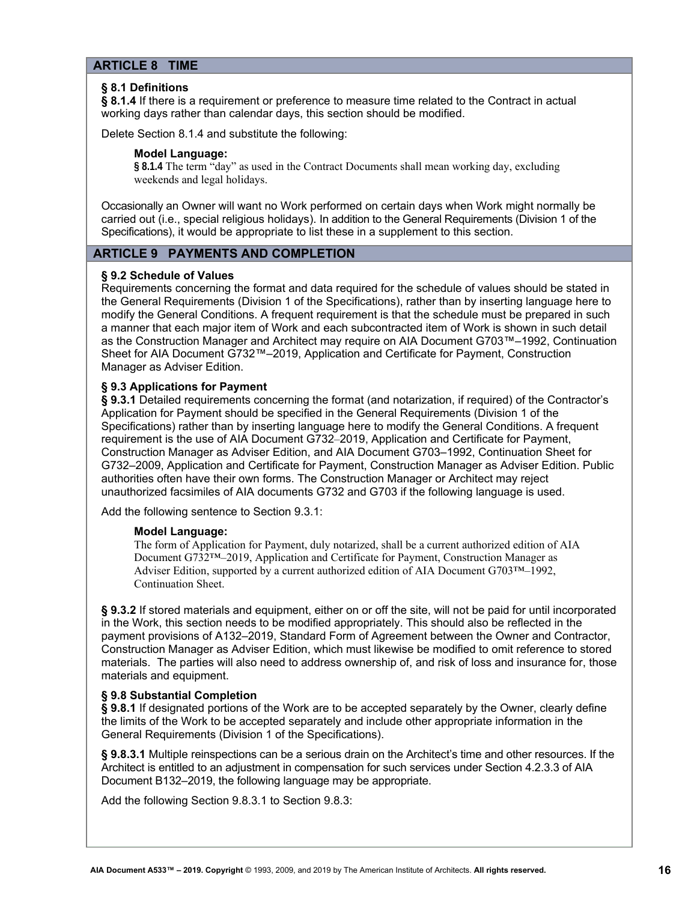# **ARTICLE 8 TIME**

#### **§ 8.1 Definitions**

**§ 8.1.4** If there is a requirement or preference to measure time related to the Contract in actual working days rather than calendar days, this section should be modified.

Delete Section 8.1.4 and substitute the following:

#### **Model Language:**

**§ 8.1.4** The term "day" as used in the Contract Documents shall mean working day, excluding weekends and legal holidays.

Occasionally an Owner will want no Work performed on certain days when Work might normally be carried out (i.e., special religious holidays). In addition to the General Requirements (Division 1 of the Specifications), it would be appropriate to list these in a supplement to this section.

# **ARTICLE 9 PAYMENTS AND COMPLETION**

#### **§ 9.2 Schedule of Values**

Requirements concerning the format and data required for the schedule of values should be stated in the General Requirements (Division 1 of the Specifications), rather than by inserting language here to modify the General Conditions. A frequent requirement is that the schedule must be prepared in such a manner that each major item of Work and each subcontracted item of Work is shown in such detail as the Construction Manager and Architect may require on AIA Document G703™–1992, Continuation Sheet for AIA Document G732™–2019, Application and Certificate for Payment, Construction Manager as Adviser Edition.

#### **§ 9.3 Applications for Payment**

§ 9.3.1 Detailed requirements concerning the format (and notarization, if required) of the Contractor's Application for Payment should be specified in the General Requirements (Division 1 of the Specifications) rather than by inserting language here to modify the General Conditions. A frequent requirement is the use of AIA Document G732–2019, Application and Certificate for Payment, Construction Manager as Adviser Edition, and AIA Document G703–1992, Continuation Sheet for G732–2009, Application and Certificate for Payment, Construction Manager as Adviser Edition. Public authorities often have their own forms. The Construction Manager or Architect may reject unauthorized facsimiles of AIA documents G732 and G703 if the following language is used.

Add the following sentence to Section 9.3.1:

#### **Model Language:**

The form of Application for Payment, duly notarized, shall be a current authorized edition of AIA Document G732™–2019, Application and Certificate for Payment, Construction Manager as Adviser Edition, supported by a current authorized edition of AIA Document G703™–1992, Continuation Sheet.

§ 9.3.2 If stored materials and equipment, either on or off the site, will not be paid for until incorporated in the Work, this section needs to be modified appropriately. This should also be reflected in the payment provisions of A132–2019, Standard Form of Agreement between the Owner and Contractor, Construction Manager as Adviser Edition, which must likewise be modified to omit reference to stored materials. The parties will also need to address ownership of, and risk of loss and insurance for, those materials and equipment.

#### **§ 9.8 Substantial Completion**

**§ 9.8.1** If designated portions of the Work are to be accepted separately by the Owner, clearly define the limits of the Work to be accepted separately and include other appropriate information in the General Requirements (Division 1 of the Specifications).

**§ 9.8.3.1** Multiple reinspections can be a serious drain on the Architect's time and other resources. If the Architect is entitled to an adjustment in compensation for such services under Section 4.2.3.3 of AIA Document B132–2019, the following language may be appropriate.

Add the following Section 9.8.3.1 to Section 9.8.3: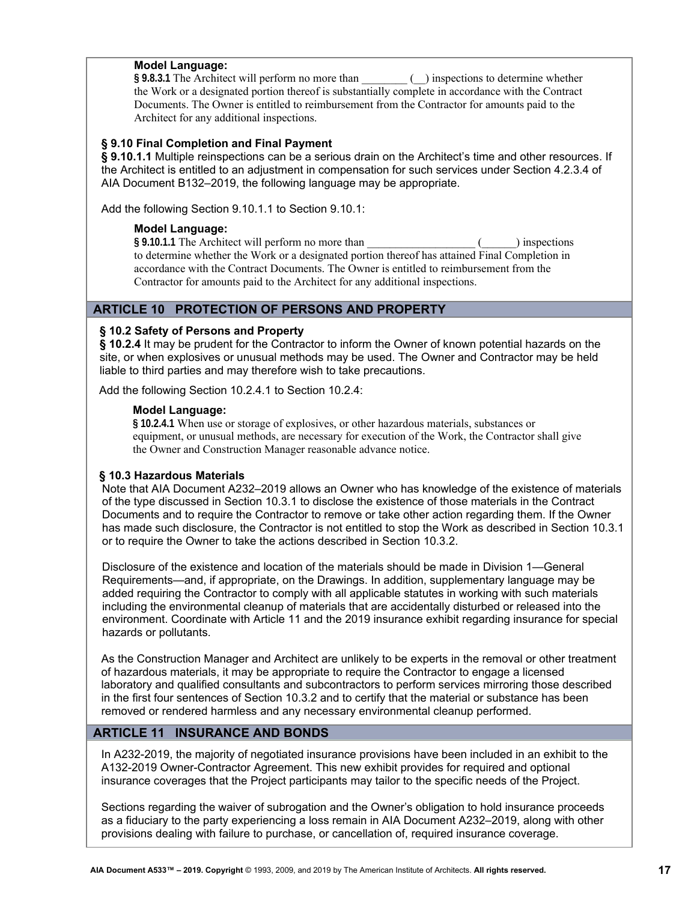#### **Model Language:**

**§ 9.8.3.1** The Architect will perform no more than \_\_\_\_\_\_\_\_ (\_\_) inspections to determine whether the Work or a designated portion thereof is substantially complete in accordance with the Contract Documents. The Owner is entitled to reimbursement from the Contractor for amounts paid to the Architect for any additional inspections.

#### **§ 9.10 Final Completion and Final Payment**

**§ 9.10.1.1** Multiple reinspections can be a serious drain on the Architect's time and other resources. If the Architect is entitled to an adjustment in compensation for such services under Section 4.2.3.4 of AIA Document B132–2019, the following language may be appropriate.

Add the following Section 9.10.1.1 to Section 9.10.1:

## **Model Language:**

**§ 9.10.1.1** The Architect will perform no more than \_\_\_\_\_\_\_\_\_\_\_\_\_\_\_\_\_\_\_ (\_\_\_\_\_\_) inspections to determine whether the Work or a designated portion thereof has attained Final Completion in accordance with the Contract Documents. The Owner is entitled to reimbursement from the Contractor for amounts paid to the Architect for any additional inspections.

# **ARTICLE 10 PROTECTION OF PERSONS AND PROPERTY**

# **§ 10.2 Safety of Persons and Property**

**§ 10.2.4** It may be prudent for the Contractor to inform the Owner of known potential hazards on the site, or when explosives or unusual methods may be used. The Owner and Contractor may be held liable to third parties and may therefore wish to take precautions.

Add the following Section 10.2.4.1 to Section 10.2.4:

#### **Model Language:**

**§ 10.2.4.1** When use or storage of explosives, or other hazardous materials, substances or equipment, or unusual methods, are necessary for execution of the Work, the Contractor shall give the Owner and Construction Manager reasonable advance notice.

#### **§ 10.3 Hazardous Materials**

Note that AIA Document A232–2019 allows an Owner who has knowledge of the existence of materials of the type discussed in Section 10.3.1 to disclose the existence of those materials in the Contract Documents and to require the Contractor to remove or take other action regarding them. If the Owner has made such disclosure, the Contractor is not entitled to stop the Work as described in Section 10.3.1 or to require the Owner to take the actions described in Section 10.3.2.

Disclosure of the existence and location of the materials should be made in Division 1—General Requirements—and, if appropriate, on the Drawings. In addition, supplementary language may be added requiring the Contractor to comply with all applicable statutes in working with such materials including the environmental cleanup of materials that are accidentally disturbed or released into the environment. Coordinate with Article 11 and the 2019 insurance exhibit regarding insurance for special hazards or pollutants.

As the Construction Manager and Architect are unlikely to be experts in the removal or other treatment of hazardous materials, it may be appropriate to require the Contractor to engage a licensed laboratory and qualified consultants and subcontractors to perform services mirroring those described in the first four sentences of Section 10.3.2 and to certify that the material or substance has been removed or rendered harmless and any necessary environmental cleanup performed.

# **ARTICLE 11 INSURANCE AND BONDS**

In A232-2019, the majority of negotiated insurance provisions have been included in an exhibit to the A132-2019 Owner-Contractor Agreement. This new exhibit provides for required and optional insurance coverages that the Project participants may tailor to the specific needs of the Project.

Sections regarding the waiver of subrogation and the Owner's obligation to hold insurance proceeds as a fiduciary to the party experiencing a loss remain in AIA Document A232–2019, along with other provisions dealing with failure to purchase, or cancellation of, required insurance coverage.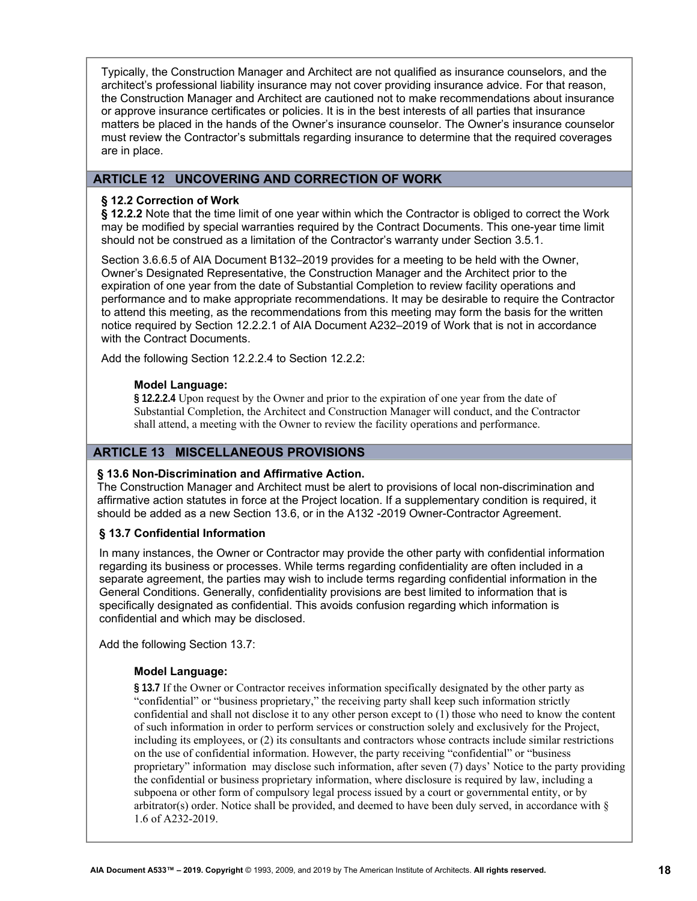Typically, the Construction Manager and Architect are not qualified as insurance counselors, and the architect's professional liability insurance may not cover providing insurance advice. For that reason, the Construction Manager and Architect are cautioned not to make recommendations about insurance or approve insurance certificates or policies. It is in the best interests of all parties that insurance matters be placed in the hands of the Owner's insurance counselor. The Owner's insurance counselor must review the Contractor's submittals regarding insurance to determine that the required coverages are in place.

# **ARTICLE 12 UNCOVERING AND CORRECTION OF WORK**

#### **§ 12.2 Correction of Work**

**§ 12.2.2** Note that the time limit of one year within which the Contractor is obliged to correct the Work may be modified by special warranties required by the Contract Documents. This one-year time limit should not be construed as a limitation of the Contractor's warranty under Section 3.5.1.

Section 3.6.6.5 of AIA Document B132–2019 provides for a meeting to be held with the Owner, Owner's Designated Representative, the Construction Manager and the Architect prior to the expiration of one year from the date of Substantial Completion to review facility operations and performance and to make appropriate recommendations. It may be desirable to require the Contractor to attend this meeting, as the recommendations from this meeting may form the basis for the written notice required by Section 12.2.2.1 of AIA Document A232–2019 of Work that is not in accordance with the Contract Documents.

Add the following Section 12.2.2.4 to Section 12.2.2:

#### **Model Language:**

**§ 12.2.2.4** Upon request by the Owner and prior to the expiration of one year from the date of Substantial Completion, the Architect and Construction Manager will conduct, and the Contractor shall attend, a meeting with the Owner to review the facility operations and performance.

# **ARTICLE 13 MISCELLANEOUS PROVISIONS**

# **§ 13.6 Non-Discrimination and Affirmative Action.**

The Construction Manager and Architect must be alert to provisions of local non-discrimination and affirmative action statutes in force at the Project location. If a supplementary condition is required, it should be added as a new Section 13.6, or in the A132 -2019 Owner-Contractor Agreement.

#### **§ 13.7 Confidential Information**

In many instances, the Owner or Contractor may provide the other party with confidential information regarding its business or processes. While terms regarding confidentiality are often included in a separate agreement, the parties may wish to include terms regarding confidential information in the General Conditions. Generally, confidentiality provisions are best limited to information that is specifically designated as confidential. This avoids confusion regarding which information is confidential and which may be disclosed.

Add the following Section 13.7:

#### **Model Language:**

**§ 13.7** If the Owner or Contractor receives information specifically designated by the other party as "confidential" or "business proprietary," the receiving party shall keep such information strictly confidential and shall not disclose it to any other person except to (1) those who need to know the content of such information in order to perform services or construction solely and exclusively for the Project, including its employees, or (2) its consultants and contractors whose contracts include similar restrictions on the use of confidential information. However, the party receiving "confidential" or "business proprietary" information may disclose such information, after seven (7) days' Notice to the party providing the confidential or business proprietary information, where disclosure is required by law, including a subpoena or other form of compulsory legal process issued by a court or governmental entity, or by arbitrator(s) order. Notice shall be provided, and deemed to have been duly served, in accordance with  $\S$ 1.6 of A232-2019.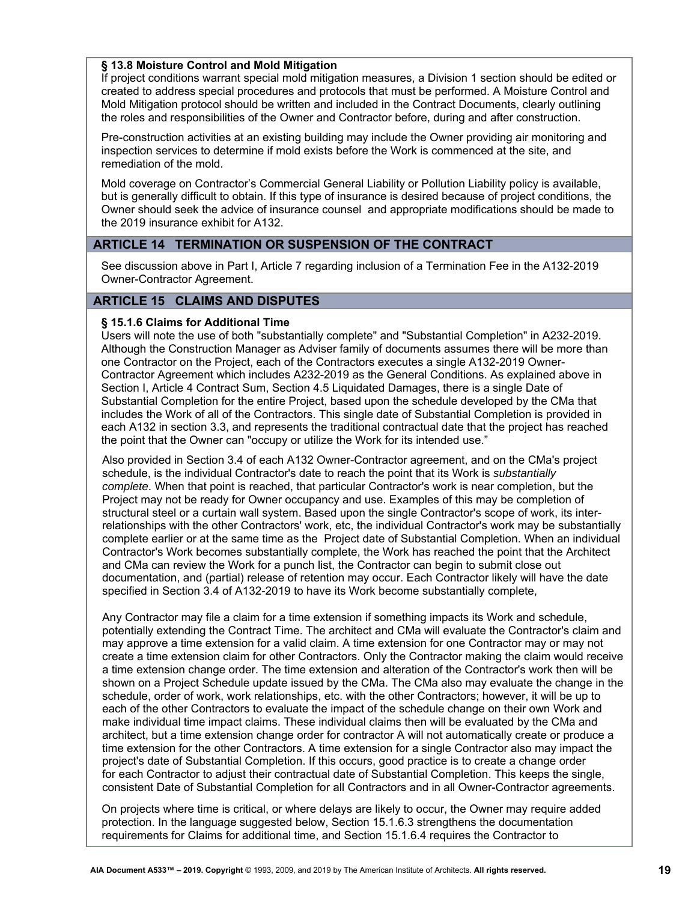#### **§ 13.8 Moisture Control and Mold Mitigation**

If project conditions warrant special mold mitigation measures, a Division 1 section should be edited or created to address special procedures and protocols that must be performed. A Moisture Control and Mold Mitigation protocol should be written and included in the Contract Documents, clearly outlining the roles and responsibilities of the Owner and Contractor before, during and after construction.

Pre-construction activities at an existing building may include the Owner providing air monitoring and inspection services to determine if mold exists before the Work is commenced at the site, and remediation of the mold.

Mold coverage on Contractor's Commercial General Liability or Pollution Liability policy is available, but is generally difficult to obtain. If this type of insurance is desired because of project conditions, the Owner should seek the advice of insurance counsel and appropriate modifications should be made to the 2019 insurance exhibit for A132.

# **ARTICLE 14 TERMINATION OR SUSPENSION OF THE CONTRACT**

See discussion above in Part I, Article 7 regarding inclusion of a Termination Fee in the A132-2019 Owner-Contractor Agreement.

# **ARTICLE 15 CLAIMS AND DISPUTES**

#### **§ 15.1.6 Claims for Additional Time**

Users will note the use of both "substantially complete" and "Substantial Completion" in A232-2019. Although the Construction Manager as Adviser family of documents assumes there will be more than one Contractor on the Project, each of the Contractors executes a single A132-2019 Owner-Contractor Agreement which includes A232-2019 as the General Conditions. As explained above in Section I, Article 4 Contract Sum, Section 4.5 Liquidated Damages, there is a single Date of Substantial Completion for the entire Project, based upon the schedule developed by the CMa that includes the Work of all of the Contractors. This single date of Substantial Completion is provided in each A132 in section 3.3, and represents the traditional contractual date that the project has reached the point that the Owner can "occupy or utilize the Work for its intended use."

Also provided in Section 3.4 of each A132 Owner-Contractor agreement, and on the CMa's project schedule, is the individual Contractor's date to reach the point that its Work is *substantially complete*. When that point is reached, that particular Contractor's work is near completion, but the Project may not be ready for Owner occupancy and use. Examples of this may be completion of structural steel or a curtain wall system. Based upon the single Contractor's scope of work, its interrelationships with the other Contractors' work, etc, the individual Contractor's work may be substantially complete earlier or at the same time as the Project date of Substantial Completion. When an individual Contractor's Work becomes substantially complete, the Work has reached the point that the Architect and CMa can review the Work for a punch list, the Contractor can begin to submit close out documentation, and (partial) release of retention may occur. Each Contractor likely will have the date specified in Section 3.4 of A132-2019 to have its Work become substantially complete,

Any Contractor may file a claim for a time extension if something impacts its Work and schedule, potentially extending the Contract Time. The architect and CMa will evaluate the Contractor's claim and may approve a time extension for a valid claim. A time extension for one Contractor may or may not create a time extension claim for other Contractors. Only the Contractor making the claim would receive a time extension change order. The time extension and alteration of the Contractor's work then will be shown on a Project Schedule update issued by the CMa. The CMa also may evaluate the change in the schedule, order of work, work relationships, etc. with the other Contractors; however, it will be up to each of the other Contractors to evaluate the impact of the schedule change on their own Work and make individual time impact claims. These individual claims then will be evaluated by the CMa and architect, but a time extension change order for contractor A will not automatically create or produce a time extension for the other Contractors. A time extension for a single Contractor also may impact the project's date of Substantial Completion. If this occurs, good practice is to create a change order for each Contractor to adjust their contractual date of Substantial Completion. This keeps the single, consistent Date of Substantial Completion for all Contractors and in all Owner-Contractor agreements.

On projects where time is critical, or where delays are likely to occur, the Owner may require added protection. In the language suggested below, Section 15.1.6.3 strengthens the documentation requirements for Claims for additional time, and Section 15.1.6.4 requires the Contractor to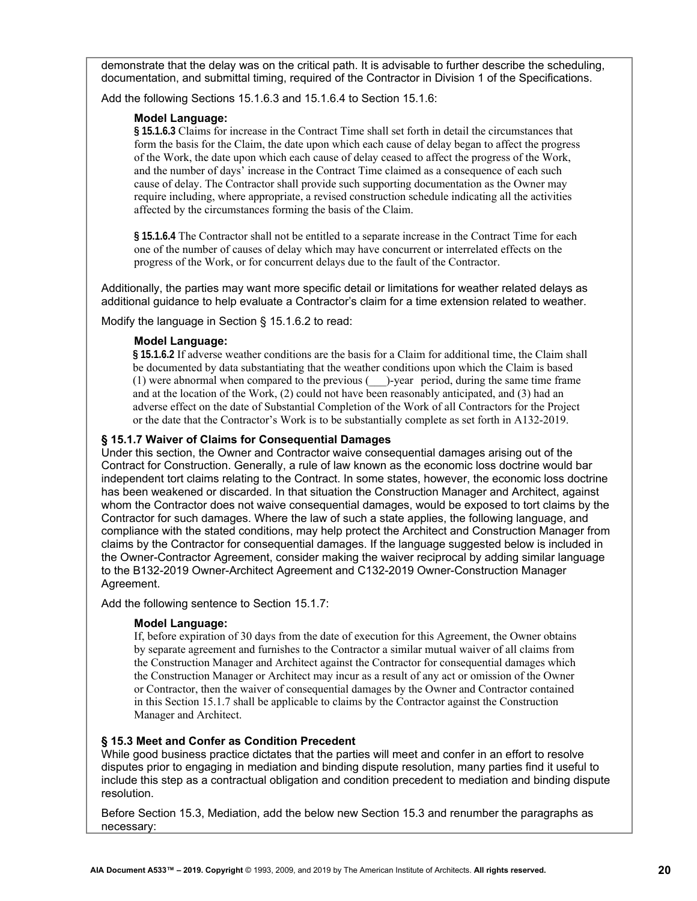demonstrate that the delay was on the critical path. It is advisable to further describe the scheduling, documentation, and submittal timing, required of the Contractor in Division 1 of the Specifications.

Add the following Sections 15.1.6.3 and 15.1.6.4 to Section 15.1.6:

#### **Model Language:**

**§ 15.1.6.3** Claims for increase in the Contract Time shall set forth in detail the circumstances that form the basis for the Claim, the date upon which each cause of delay began to affect the progress of the Work, the date upon which each cause of delay ceased to affect the progress of the Work, and the number of days' increase in the Contract Time claimed as a consequence of each such cause of delay. The Contractor shall provide such supporting documentation as the Owner may require including, where appropriate, a revised construction schedule indicating all the activities affected by the circumstances forming the basis of the Claim.

**§ 15.1.6.4** The Contractor shall not be entitled to a separate increase in the Contract Time for each one of the number of causes of delay which may have concurrent or interrelated effects on the progress of the Work, or for concurrent delays due to the fault of the Contractor.

Additionally, the parties may want more specific detail or limitations for weather related delays as additional guidance to help evaluate a Contractor's claim for a time extension related to weather.

Modify the language in Section § 15.1.6.2 to read:

#### **Model Language:**

**§ 15.1.6.2** If adverse weather conditions are the basis for a Claim for additional time, the Claim shall be documented by data substantiating that the weather conditions upon which the Claim is based  $(1)$  were abnormal when compared to the previous  $($ )-year period, during the same time frame and at the location of the Work, (2) could not have been reasonably anticipated, and (3) had an adverse effect on the date of Substantial Completion of the Work of all Contractors for the Project or the date that the Contractor's Work is to be substantially complete as set forth in A132-2019.

#### **§ 15.1.7 Waiver of Claims for Consequential Damages**

Under this section, the Owner and Contractor waive consequential damages arising out of the Contract for Construction. Generally, a rule of law known as the economic loss doctrine would bar independent tort claims relating to the Contract. In some states, however, the economic loss doctrine has been weakened or discarded. In that situation the Construction Manager and Architect, against whom the Contractor does not waive consequential damages, would be exposed to tort claims by the Contractor for such damages. Where the law of such a state applies, the following language, and compliance with the stated conditions, may help protect the Architect and Construction Manager from claims by the Contractor for consequential damages. If the language suggested below is included in the Owner-Contractor Agreement, consider making the waiver reciprocal by adding similar language to the B132-2019 Owner-Architect Agreement and C132-2019 Owner-Construction Manager Agreement.

Add the following sentence to Section 15.1.7:

#### **Model Language:**

If, before expiration of 30 days from the date of execution for this Agreement, the Owner obtains by separate agreement and furnishes to the Contractor a similar mutual waiver of all claims from the Construction Manager and Architect against the Contractor for consequential damages which the Construction Manager or Architect may incur as a result of any act or omission of the Owner or Contractor, then the waiver of consequential damages by the Owner and Contractor contained in this Section 15.1.7 shall be applicable to claims by the Contractor against the Construction Manager and Architect.

#### **§ 15.3 Meet and Confer as Condition Precedent**

While good business practice dictates that the parties will meet and confer in an effort to resolve disputes prior to engaging in mediation and binding dispute resolution, many parties find it useful to include this step as a contractual obligation and condition precedent to mediation and binding dispute resolution.

Before Section 15.3, Mediation, add the below new Section 15.3 and renumber the paragraphs as necessary: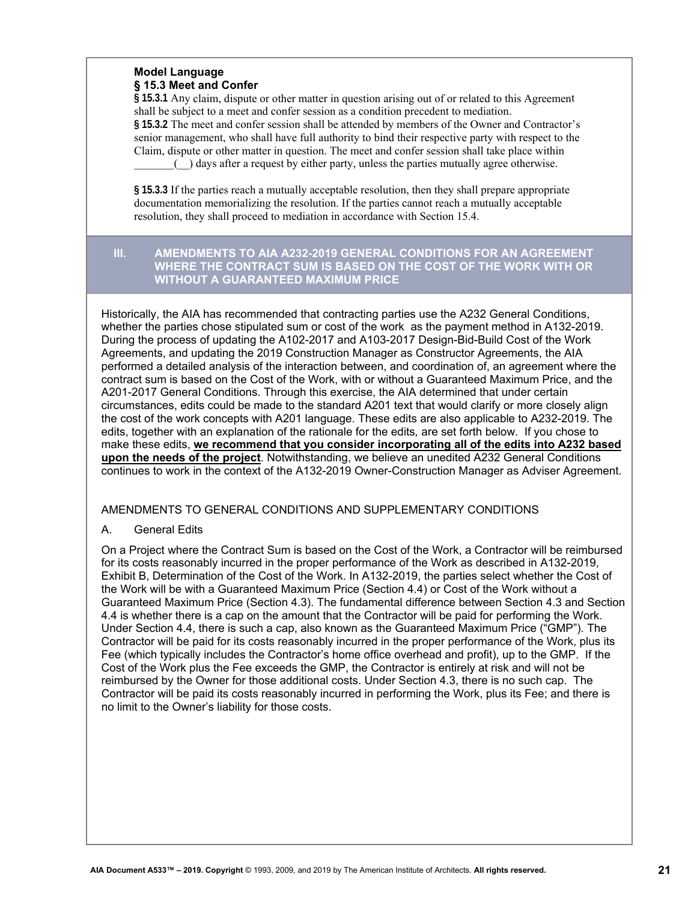# **Model Language § 15.3 Meet and Confer**

**§ 15.3.1** Any claim, dispute or other matter in question arising out of or related to this Agreement shall be subject to a meet and confer session as a condition precedent to mediation. **§ 15.3.2** The meet and confer session shall be attended by members of the Owner and Contractor's senior management, who shall have full authority to bind their respective party with respect to the Claim, dispute or other matter in question. The meet and confer session shall take place within \_\_\_\_\_\_\_(\_\_) days after a request by either party, unless the parties mutually agree otherwise.

**§ 15.3.3** If the parties reach a mutually acceptable resolution, then they shall prepare appropriate documentation memorializing the resolution. If the parties cannot reach a mutually acceptable resolution, they shall proceed to mediation in accordance with Section 15.4.

#### **III. AMENDMENTS TO AIA A232-2019 GENERAL CONDITIONS FOR AN AGREEMENT WHERE THE CONTRACT SUM IS BASED ON THE COST OF THE WORK WITH OR WITHOUT A GUARANTEED MAXIMUM PRICE**

Historically, the AIA has recommended that contracting parties use the A232 General Conditions, whether the parties chose stipulated sum or cost of the work as the payment method in A132-2019. During the process of updating the A102-2017 and A103-2017 Design-Bid-Build Cost of the Work Agreements, and updating the 2019 Construction Manager as Constructor Agreements, the AIA performed a detailed analysis of the interaction between, and coordination of, an agreement where the contract sum is based on the Cost of the Work, with or without a Guaranteed Maximum Price, and the A201-2017 General Conditions. Through this exercise, the AIA determined that under certain circumstances, edits could be made to the standard A201 text that would clarify or more closely align the cost of the work concepts with A201 language. These edits are also applicable to A232-2019. The edits, together with an explanation of the rationale for the edits*,* are set forth below. If you chose to make these edits, **we recommend that you consider incorporating all of the edits into A232 based upon the needs of the project**. Notwithstanding, we believe an unedited A232 General Conditions continues to work in the context of the A132-2019 Owner-Construction Manager as Adviser Agreement.

# AMENDMENTS TO GENERAL CONDITIONS AND SUPPLEMENTARY CONDITIONS

# A. General Edits

On a Project where the Contract Sum is based on the Cost of the Work, a Contractor will be reimbursed for its costs reasonably incurred in the proper performance of the Work as described in A132-2019, Exhibit B, Determination of the Cost of the Work. In A132-2019, the parties select whether the Cost of the Work will be with a Guaranteed Maximum Price (Section 4.4) or Cost of the Work without a Guaranteed Maximum Price (Section 4.3). The fundamental difference between Section 4.3 and Section 4.4 is whether there is a cap on the amount that the Contractor will be paid for performing the Work. Under Section 4.4, there is such a cap, also known as the Guaranteed Maximum Price ("GMP"). The Contractor will be paid for its costs reasonably incurred in the proper performance of the Work, plus its Fee (which typically includes the Contractor's home office overhead and profit), up to the GMP. If the Cost of the Work plus the Fee exceeds the GMP, the Contractor is entirely at risk and will not be reimbursed by the Owner for those additional costs. Under Section 4.3, there is no such cap. The Contractor will be paid its costs reasonably incurred in performing the Work, plus its Fee; and there is no limit to the Owner's liability for those costs.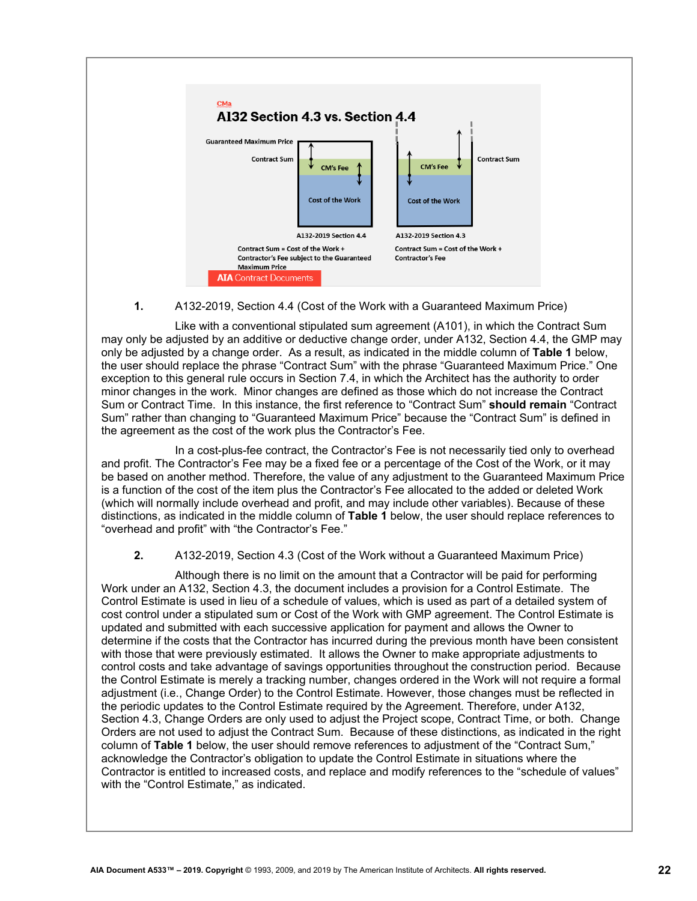

# **1.** A132-2019, Section 4.4 (Cost of the Work with a Guaranteed Maximum Price)

Like with a conventional stipulated sum agreement (A101), in which the Contract Sum may only be adjusted by an additive or deductive change order, under A132, Section 4.4, the GMP may only be adjusted by a change order. As a result, as indicated in the middle column of **Table 1** below, the user should replace the phrase "Contract Sum" with the phrase "Guaranteed Maximum Price." One exception to this general rule occurs in Section 7.4, in which the Architect has the authority to order minor changes in the work. Minor changes are defined as those which do not increase the Contract Sum or Contract Time. In this instance, the first reference to "Contract Sum" **should remain** "Contract Sum" rather than changing to "Guaranteed Maximum Price" because the "Contract Sum" is defined in the agreement as the cost of the work plus the Contractor's Fee.

In a cost-plus-fee contract, the Contractor's Fee is not necessarily tied only to overhead and profit. The Contractor's Fee may be a fixed fee or a percentage of the Cost of the Work, or it may be based on another method. Therefore, the value of any adjustment to the Guaranteed Maximum Price is a function of the cost of the item plus the Contractor's Fee allocated to the added or deleted Work (which will normally include overhead and profit, and may include other variables). Because of these distinctions, as indicated in the middle column of **Table 1** below, the user should replace references to "overhead and profit" with "the Contractor's Fee."

#### **2.** A132-2019, Section 4.3 (Cost of the Work without a Guaranteed Maximum Price)

Although there is no limit on the amount that a Contractor will be paid for performing Work under an A132, Section 4.3, the document includes a provision for a Control Estimate. The Control Estimate is used in lieu of a schedule of values, which is used as part of a detailed system of cost control under a stipulated sum or Cost of the Work with GMP agreement. The Control Estimate is updated and submitted with each successive application for payment and allows the Owner to determine if the costs that the Contractor has incurred during the previous month have been consistent with those that were previously estimated. It allows the Owner to make appropriate adjustments to control costs and take advantage of savings opportunities throughout the construction period. Because the Control Estimate is merely a tracking number, changes ordered in the Work will not require a formal adjustment (i.e., Change Order) to the Control Estimate. However, those changes must be reflected in the periodic updates to the Control Estimate required by the Agreement. Therefore, under A132, Section 4.3, Change Orders are only used to adjust the Project scope, Contract Time, or both. Change Orders are not used to adjust the Contract Sum. Because of these distinctions, as indicated in the right column of **Table 1** below, the user should remove references to adjustment of the "Contract Sum," acknowledge the Contractor's obligation to update the Control Estimate in situations where the Contractor is entitled to increased costs, and replace and modify references to the "schedule of values" with the "Control Estimate," as indicated.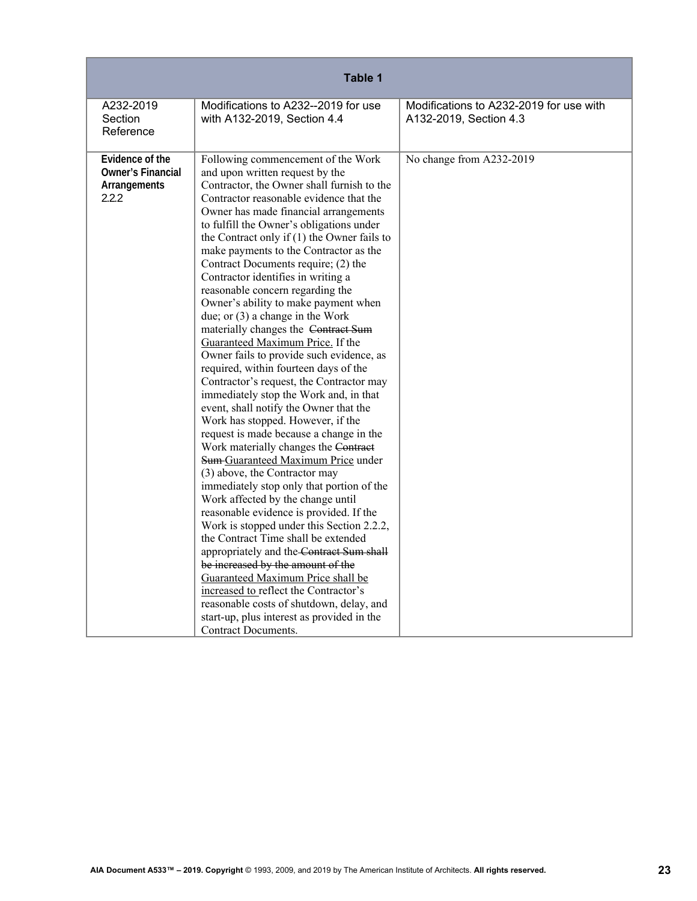| Table 1                                                              |                                                                                                                                                                                                                                                                                                                                                                                                                                                                                                                                                                                                                                                                                                                                                                                                                                                                                                                                                                                                                                                                                                                                                                                                                                                                                                                                                                                                                                                                                                                                                      |                                                                   |
|----------------------------------------------------------------------|------------------------------------------------------------------------------------------------------------------------------------------------------------------------------------------------------------------------------------------------------------------------------------------------------------------------------------------------------------------------------------------------------------------------------------------------------------------------------------------------------------------------------------------------------------------------------------------------------------------------------------------------------------------------------------------------------------------------------------------------------------------------------------------------------------------------------------------------------------------------------------------------------------------------------------------------------------------------------------------------------------------------------------------------------------------------------------------------------------------------------------------------------------------------------------------------------------------------------------------------------------------------------------------------------------------------------------------------------------------------------------------------------------------------------------------------------------------------------------------------------------------------------------------------------|-------------------------------------------------------------------|
| A232-2019<br>Section<br>Reference                                    | Modifications to A232--2019 for use<br>with A132-2019, Section 4.4                                                                                                                                                                                                                                                                                                                                                                                                                                                                                                                                                                                                                                                                                                                                                                                                                                                                                                                                                                                                                                                                                                                                                                                                                                                                                                                                                                                                                                                                                   | Modifications to A232-2019 for use with<br>A132-2019, Section 4.3 |
| Evidence of the<br><b>Owner's Financial</b><br>Arrangements<br>2.2.2 | Following commencement of the Work<br>and upon written request by the<br>Contractor, the Owner shall furnish to the<br>Contractor reasonable evidence that the<br>Owner has made financial arrangements<br>to fulfill the Owner's obligations under<br>the Contract only if $(1)$ the Owner fails to<br>make payments to the Contractor as the<br>Contract Documents require; (2) the<br>Contractor identifies in writing a<br>reasonable concern regarding the<br>Owner's ability to make payment when<br>due; or $(3)$ a change in the Work<br>materially changes the Contract Sum<br>Guaranteed Maximum Price. If the<br>Owner fails to provide such evidence, as<br>required, within fourteen days of the<br>Contractor's request, the Contractor may<br>immediately stop the Work and, in that<br>event, shall notify the Owner that the<br>Work has stopped. However, if the<br>request is made because a change in the<br>Work materially changes the Contract<br>Sum-Guaranteed Maximum Price under<br>(3) above, the Contractor may<br>immediately stop only that portion of the<br>Work affected by the change until<br>reasonable evidence is provided. If the<br>Work is stopped under this Section 2.2.2,<br>the Contract Time shall be extended<br>appropriately and the Contract Sum shall<br>be increased by the amount of the<br>Guaranteed Maximum Price shall be<br>increased to reflect the Contractor's<br>reasonable costs of shutdown, delay, and<br>start-up, plus interest as provided in the<br><b>Contract Documents.</b> | No change from A232-2019                                          |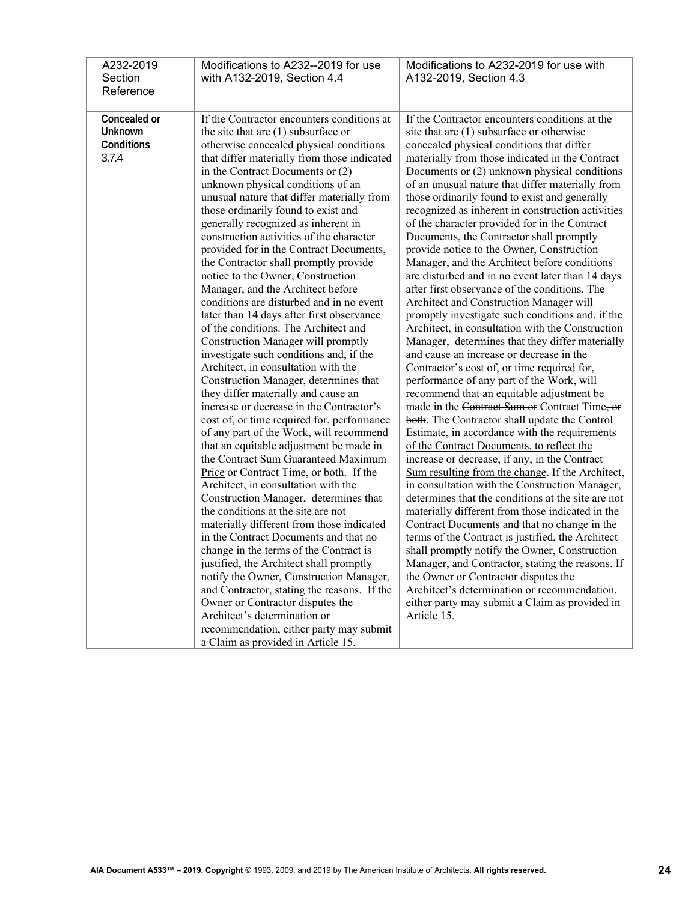| A232-2019<br>Section<br>Reference              | Modifications to A232--2019 for use<br>with A132-2019, Section 4.4                                                                                                                                                                                                                                                                                                                                                                                                                                                                                                                                                                                                                                                                                                                                                                                                                                                                                                                                                                                                                                                                                                                                                                                                                                                                                                                                                                                                                                                                                                                                                                                                                                                  | Modifications to A232-2019 for use with<br>A132-2019, Section 4.3                                                                                                                                                                                                                                                                                                                                                                                                                                                                                                                                                                                                                                                                                                                                                                                                                                                                                                                                                                                                                                                                                                                                                                                                                                                                                                                                                                                                                                                                                                                                                                                                                                                                                                                                                                                                                                                                   |
|------------------------------------------------|---------------------------------------------------------------------------------------------------------------------------------------------------------------------------------------------------------------------------------------------------------------------------------------------------------------------------------------------------------------------------------------------------------------------------------------------------------------------------------------------------------------------------------------------------------------------------------------------------------------------------------------------------------------------------------------------------------------------------------------------------------------------------------------------------------------------------------------------------------------------------------------------------------------------------------------------------------------------------------------------------------------------------------------------------------------------------------------------------------------------------------------------------------------------------------------------------------------------------------------------------------------------------------------------------------------------------------------------------------------------------------------------------------------------------------------------------------------------------------------------------------------------------------------------------------------------------------------------------------------------------------------------------------------------------------------------------------------------|-------------------------------------------------------------------------------------------------------------------------------------------------------------------------------------------------------------------------------------------------------------------------------------------------------------------------------------------------------------------------------------------------------------------------------------------------------------------------------------------------------------------------------------------------------------------------------------------------------------------------------------------------------------------------------------------------------------------------------------------------------------------------------------------------------------------------------------------------------------------------------------------------------------------------------------------------------------------------------------------------------------------------------------------------------------------------------------------------------------------------------------------------------------------------------------------------------------------------------------------------------------------------------------------------------------------------------------------------------------------------------------------------------------------------------------------------------------------------------------------------------------------------------------------------------------------------------------------------------------------------------------------------------------------------------------------------------------------------------------------------------------------------------------------------------------------------------------------------------------------------------------------------------------------------------------|
| Concealed or<br>Unknown<br>Conditions<br>3.7.4 | If the Contractor encounters conditions at<br>the site that are $(1)$ subsurface or<br>otherwise concealed physical conditions<br>that differ materially from those indicated<br>in the Contract Documents or $(2)$<br>unknown physical conditions of an<br>unusual nature that differ materially from<br>those ordinarily found to exist and<br>generally recognized as inherent in<br>construction activities of the character<br>provided for in the Contract Documents,<br>the Contractor shall promptly provide<br>notice to the Owner, Construction<br>Manager, and the Architect before<br>conditions are disturbed and in no event<br>later than 14 days after first observance<br>of the conditions. The Architect and<br>Construction Manager will promptly<br>investigate such conditions and, if the<br>Architect, in consultation with the<br>Construction Manager, determines that<br>they differ materially and cause an<br>increase or decrease in the Contractor's<br>cost of, or time required for, performance<br>of any part of the Work, will recommend<br>that an equitable adjustment be made in<br>the Contract Sum Guaranteed Maximum<br>Price or Contract Time, or both. If the<br>Architect, in consultation with the<br>Construction Manager, determines that<br>the conditions at the site are not<br>materially different from those indicated<br>in the Contract Documents and that no<br>change in the terms of the Contract is<br>justified, the Architect shall promptly<br>notify the Owner, Construction Manager,<br>and Contractor, stating the reasons. If the<br>Owner or Contractor disputes the<br>Architect's determination or<br>recommendation, either party may submit | If the Contractor encounters conditions at the<br>site that are (1) subsurface or otherwise<br>concealed physical conditions that differ<br>materially from those indicated in the Contract<br>Documents or (2) unknown physical conditions<br>of an unusual nature that differ materially from<br>those ordinarily found to exist and generally<br>recognized as inherent in construction activities<br>of the character provided for in the Contract<br>Documents, the Contractor shall promptly<br>provide notice to the Owner, Construction<br>Manager, and the Architect before conditions<br>are disturbed and in no event later than 14 days<br>after first observance of the conditions. The<br>Architect and Construction Manager will<br>promptly investigate such conditions and, if the<br>Architect, in consultation with the Construction<br>Manager, determines that they differ materially<br>and cause an increase or decrease in the<br>Contractor's cost of, or time required for,<br>performance of any part of the Work, will<br>recommend that an equitable adjustment be<br>made in the Contract Sum or Contract Time, or<br>both. The Contractor shall update the Control<br>Estimate, in accordance with the requirements<br>of the Contract Documents, to reflect the<br>increase or decrease, if any, in the Contract<br>Sum resulting from the change. If the Architect,<br>in consultation with the Construction Manager,<br>determines that the conditions at the site are not<br>materially different from those indicated in the<br>Contract Documents and that no change in the<br>terms of the Contract is justified, the Architect<br>shall promptly notify the Owner, Construction<br>Manager, and Contractor, stating the reasons. If<br>the Owner or Contractor disputes the<br>Architect's determination or recommendation,<br>either party may submit a Claim as provided in<br>Article 15. |
|                                                | a Claim as provided in Article 15.                                                                                                                                                                                                                                                                                                                                                                                                                                                                                                                                                                                                                                                                                                                                                                                                                                                                                                                                                                                                                                                                                                                                                                                                                                                                                                                                                                                                                                                                                                                                                                                                                                                                                  |                                                                                                                                                                                                                                                                                                                                                                                                                                                                                                                                                                                                                                                                                                                                                                                                                                                                                                                                                                                                                                                                                                                                                                                                                                                                                                                                                                                                                                                                                                                                                                                                                                                                                                                                                                                                                                                                                                                                     |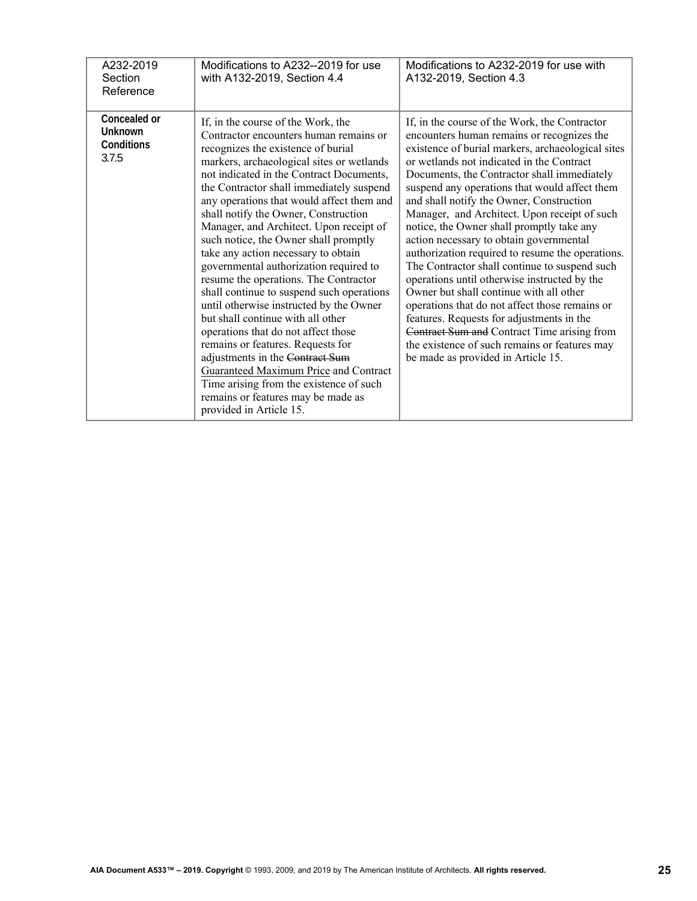| A232-2019<br>Section<br>Reference              | Modifications to A232--2019 for use<br>with A132-2019, Section 4.4                                                                                                                                                                                                                                                                                                                                                                                                                                                                                                                                                                                                                                                                                                                                                                                                                                                                                          | Modifications to A232-2019 for use with<br>A132-2019, Section 4.3                                                                                                                                                                                                                                                                                                                                                                                                                                                                                                                                                                                                                                                                                                                                                                                                                                                      |
|------------------------------------------------|-------------------------------------------------------------------------------------------------------------------------------------------------------------------------------------------------------------------------------------------------------------------------------------------------------------------------------------------------------------------------------------------------------------------------------------------------------------------------------------------------------------------------------------------------------------------------------------------------------------------------------------------------------------------------------------------------------------------------------------------------------------------------------------------------------------------------------------------------------------------------------------------------------------------------------------------------------------|------------------------------------------------------------------------------------------------------------------------------------------------------------------------------------------------------------------------------------------------------------------------------------------------------------------------------------------------------------------------------------------------------------------------------------------------------------------------------------------------------------------------------------------------------------------------------------------------------------------------------------------------------------------------------------------------------------------------------------------------------------------------------------------------------------------------------------------------------------------------------------------------------------------------|
| Concealed or<br>Unknown<br>Conditions<br>3.7.5 | If, in the course of the Work, the<br>Contractor encounters human remains or<br>recognizes the existence of burial<br>markers, archaeological sites or wetlands<br>not indicated in the Contract Documents,<br>the Contractor shall immediately suspend<br>any operations that would affect them and<br>shall notify the Owner, Construction<br>Manager, and Architect. Upon receipt of<br>such notice, the Owner shall promptly<br>take any action necessary to obtain<br>governmental authorization required to<br>resume the operations. The Contractor<br>shall continue to suspend such operations<br>until otherwise instructed by the Owner<br>but shall continue with all other<br>operations that do not affect those<br>remains or features. Requests for<br>adjustments in the Contract Sum<br>Guaranteed Maximum Price and Contract<br>Time arising from the existence of such<br>remains or features may be made as<br>provided in Article 15. | If, in the course of the Work, the Contractor<br>encounters human remains or recognizes the<br>existence of burial markers, archaeological sites<br>or wetlands not indicated in the Contract<br>Documents, the Contractor shall immediately<br>suspend any operations that would affect them<br>and shall notify the Owner, Construction<br>Manager, and Architect. Upon receipt of such<br>notice, the Owner shall promptly take any<br>action necessary to obtain governmental<br>authorization required to resume the operations.<br>The Contractor shall continue to suspend such<br>operations until otherwise instructed by the<br>Owner but shall continue with all other<br>operations that do not affect those remains or<br>features. Requests for adjustments in the<br>Contract Sum and Contract Time arising from<br>the existence of such remains or features may<br>be made as provided in Article 15. |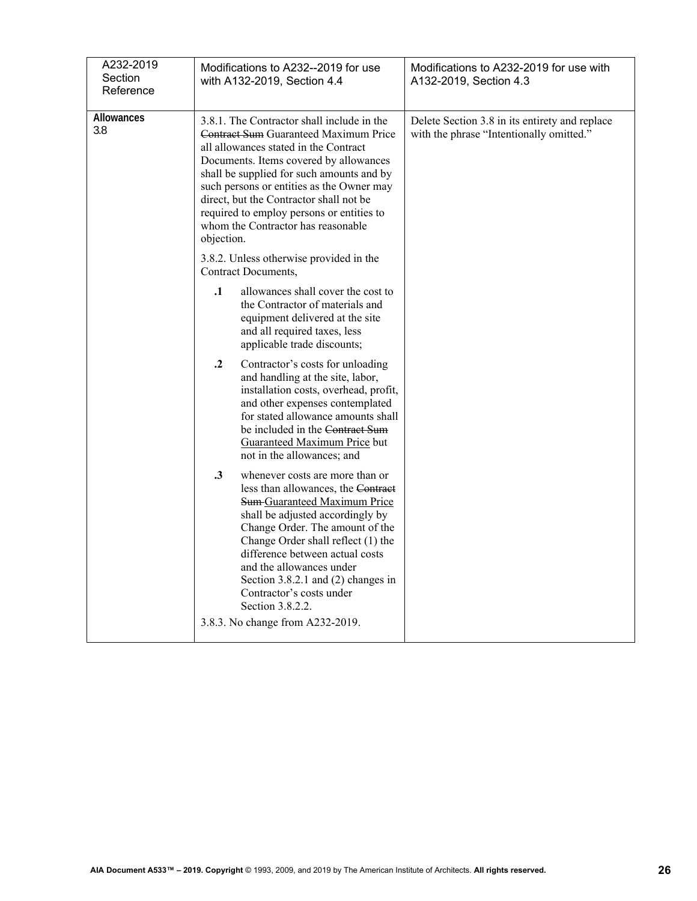| A232-2019<br>Section<br>Reference | Modifications to A232--2019 for use<br>with A132-2019, Section 4.4                                                                                                                                                                                                                                                                                                                                                                                                                                                                                                       | Modifications to A232-2019 for use with<br>A132-2019, Section 4.3                          |
|-----------------------------------|--------------------------------------------------------------------------------------------------------------------------------------------------------------------------------------------------------------------------------------------------------------------------------------------------------------------------------------------------------------------------------------------------------------------------------------------------------------------------------------------------------------------------------------------------------------------------|--------------------------------------------------------------------------------------------|
| Allowances<br>3.8                 | 3.8.1. The Contractor shall include in the<br>Contract Sum Guaranteed Maximum Price<br>all allowances stated in the Contract<br>Documents. Items covered by allowances<br>shall be supplied for such amounts and by<br>such persons or entities as the Owner may<br>direct, but the Contractor shall not be<br>required to employ persons or entities to<br>whom the Contractor has reasonable<br>objection.<br>3.8.2. Unless otherwise provided in the<br>Contract Documents,<br>$\mathbf{.1}$<br>allowances shall cover the cost to<br>the Contractor of materials and | Delete Section 3.8 in its entirety and replace<br>with the phrase "Intentionally omitted." |
|                                   | equipment delivered at the site<br>and all required taxes, less<br>applicable trade discounts;                                                                                                                                                                                                                                                                                                                                                                                                                                                                           |                                                                                            |
|                                   | $\cdot$<br>Contractor's costs for unloading<br>and handling at the site, labor,<br>installation costs, overhead, profit,<br>and other expenses contemplated<br>for stated allowance amounts shall<br>be included in the Contract Sum<br><b>Guaranteed Maximum Price but</b><br>not in the allowances; and                                                                                                                                                                                                                                                                |                                                                                            |
|                                   | $\cdot$ 3<br>whenever costs are more than or<br>less than allowances, the Contract<br><b>Sum Guaranteed Maximum Price</b><br>shall be adjusted accordingly by<br>Change Order. The amount of the<br>Change Order shall reflect (1) the<br>difference between actual costs<br>and the allowances under<br>Section $3.8.2.1$ and $(2)$ changes in<br>Contractor's costs under<br>Section 3.8.2.2.                                                                                                                                                                          |                                                                                            |
|                                   | 3.8.3. No change from A232-2019.                                                                                                                                                                                                                                                                                                                                                                                                                                                                                                                                         |                                                                                            |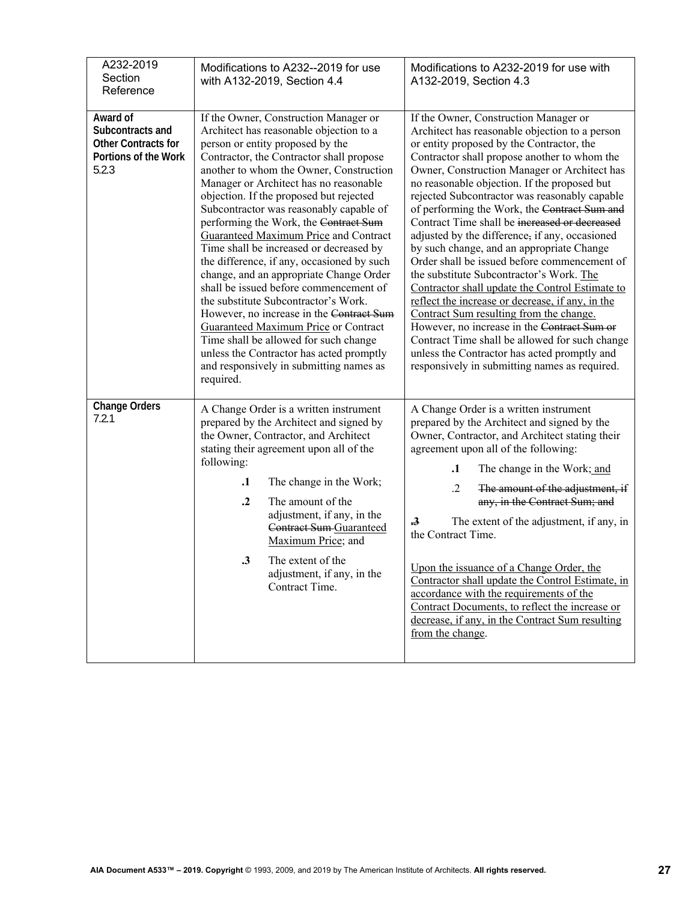| A232-2019<br>Section<br>Reference                                                           | Modifications to A232--2019 for use<br>with A132-2019, Section 4.4                                                                                                                                                                                                                                                                                                                                                                                                                                                                                                                                                                                                                                                                                                                                                                                                                          | Modifications to A232-2019 for use with<br>A132-2019, Section 4.3                                                                                                                                                                                                                                                                                                                                                                                                                                                                                                                                                                                                                                                                                                                                                                                                                                                                                                                     |
|---------------------------------------------------------------------------------------------|---------------------------------------------------------------------------------------------------------------------------------------------------------------------------------------------------------------------------------------------------------------------------------------------------------------------------------------------------------------------------------------------------------------------------------------------------------------------------------------------------------------------------------------------------------------------------------------------------------------------------------------------------------------------------------------------------------------------------------------------------------------------------------------------------------------------------------------------------------------------------------------------|---------------------------------------------------------------------------------------------------------------------------------------------------------------------------------------------------------------------------------------------------------------------------------------------------------------------------------------------------------------------------------------------------------------------------------------------------------------------------------------------------------------------------------------------------------------------------------------------------------------------------------------------------------------------------------------------------------------------------------------------------------------------------------------------------------------------------------------------------------------------------------------------------------------------------------------------------------------------------------------|
| Award of<br>Subcontracts and<br><b>Other Contracts for</b><br>Portions of the Work<br>5.2.3 | If the Owner, Construction Manager or<br>Architect has reasonable objection to a<br>person or entity proposed by the<br>Contractor, the Contractor shall propose<br>another to whom the Owner, Construction<br>Manager or Architect has no reasonable<br>objection. If the proposed but rejected<br>Subcontractor was reasonably capable of<br>performing the Work, the Contract Sum<br><b>Guaranteed Maximum Price and Contract</b><br>Time shall be increased or decreased by<br>the difference, if any, occasioned by such<br>change, and an appropriate Change Order<br>shall be issued before commencement of<br>the substitute Subcontractor's Work.<br>However, no increase in the Contract Sum<br>Guaranteed Maximum Price or Contract<br>Time shall be allowed for such change<br>unless the Contractor has acted promptly<br>and responsively in submitting names as<br>required. | If the Owner, Construction Manager or<br>Architect has reasonable objection to a person<br>or entity proposed by the Contractor, the<br>Contractor shall propose another to whom the<br>Owner, Construction Manager or Architect has<br>no reasonable objection. If the proposed but<br>rejected Subcontractor was reasonably capable<br>of performing the Work, the Contract Sum and<br>Contract Time shall be increased or decreased<br>adjusted by the difference, if any, occasioned<br>by such change, and an appropriate Change<br>Order shall be issued before commencement of<br>the substitute Subcontractor's Work. The<br>Contractor shall update the Control Estimate to<br>reflect the increase or decrease, if any, in the<br>Contract Sum resulting from the change.<br>However, no increase in the Contract Sum or<br>Contract Time shall be allowed for such change<br>unless the Contractor has acted promptly and<br>responsively in submitting names as required. |
| <b>Change Orders</b><br>7.2.1                                                               | A Change Order is a written instrument<br>prepared by the Architect and signed by<br>the Owner, Contractor, and Architect<br>stating their agreement upon all of the<br>following:<br>$\cdot$<br>The change in the Work;<br>$\cdot$<br>The amount of the<br>adjustment, if any, in the<br>Contract Sum-Guaranteed<br>Maximum Price; and<br>The extent of the<br>$\boldsymbol{.3}$<br>adjustment, if any, in the<br>Contract Time.                                                                                                                                                                                                                                                                                                                                                                                                                                                           | A Change Order is a written instrument<br>prepared by the Architect and signed by the<br>Owner, Contractor, and Architect stating their<br>agreement upon all of the following:<br>$\cdot$<br>The change in the Work; and<br>$\cdot$<br>The amount of the adjustment, if<br>any, in the Contract Sum; and<br>The extent of the adjustment, if any, in<br>$\boldsymbol{.}3$<br>the Contract Time.<br>Upon the issuance of a Change Order, the<br>Contractor shall update the Control Estimate, in<br>accordance with the requirements of the<br>Contract Documents, to reflect the increase or<br>decrease, if any, in the Contract Sum resulting<br>from the change.                                                                                                                                                                                                                                                                                                                  |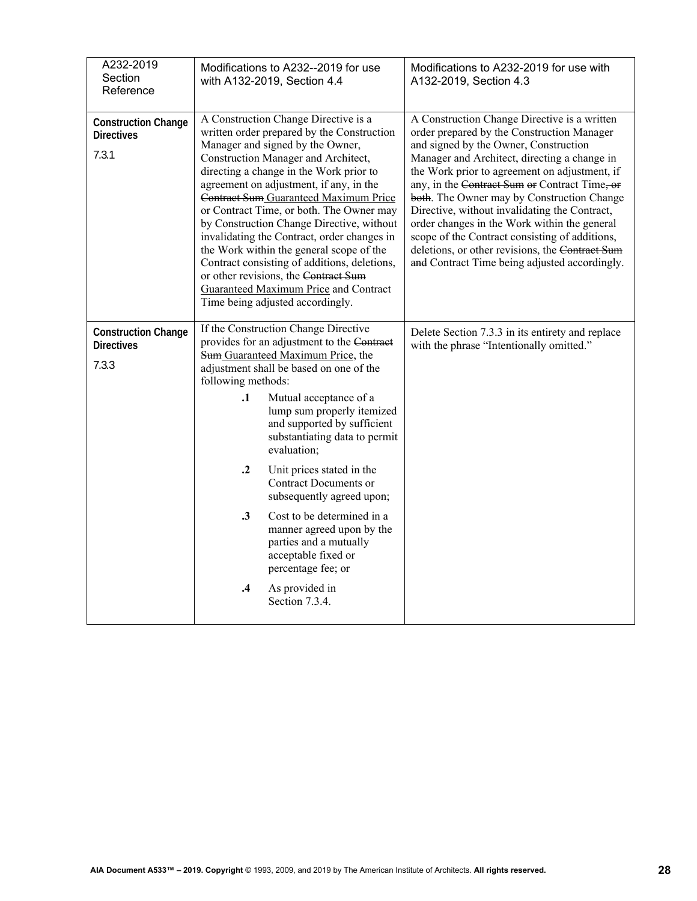| Section<br>Reference                                     | with A132-2019, Section 4.4                                                                                                                                                                                                                                                                                                                                                                                                                                                                                                                                                                                                                                  | Modifications to A232--2019 for use<br>Modifications to A232-2019 for use with<br>A132-2019, Section 4.3                                                                                                                                                                                                                                                                                                                                                                                                                                                                                   |
|----------------------------------------------------------|--------------------------------------------------------------------------------------------------------------------------------------------------------------------------------------------------------------------------------------------------------------------------------------------------------------------------------------------------------------------------------------------------------------------------------------------------------------------------------------------------------------------------------------------------------------------------------------------------------------------------------------------------------------|--------------------------------------------------------------------------------------------------------------------------------------------------------------------------------------------------------------------------------------------------------------------------------------------------------------------------------------------------------------------------------------------------------------------------------------------------------------------------------------------------------------------------------------------------------------------------------------------|
| <b>Construction Change</b><br><b>Directives</b><br>7.3.1 | A Construction Change Directive is a<br>written order prepared by the Construction<br>Manager and signed by the Owner,<br>Construction Manager and Architect,<br>directing a change in the Work prior to<br>agreement on adjustment, if any, in the<br>Contract Sum Guaranteed Maximum Price<br>or Contract Time, or both. The Owner may<br>by Construction Change Directive, without<br>invalidating the Contract, order changes in<br>the Work within the general scope of the<br>Contract consisting of additions, deletions,<br>or other revisions, the Contract Sum<br>Guaranteed Maximum Price and Contract<br>Time being adjusted accordingly.        | A Construction Change Directive is a written<br>order prepared by the Construction Manager<br>and signed by the Owner, Construction<br>Manager and Architect, directing a change in<br>the Work prior to agreement on adjustment, if<br>any, in the Contract Sum or Contract Time, or<br>both. The Owner may by Construction Change<br>Directive, without invalidating the Contract,<br>order changes in the Work within the general<br>scope of the Contract consisting of additions,<br>deletions, or other revisions, the Contract Sum<br>and Contract Time being adjusted accordingly. |
| <b>Construction Change</b><br><b>Directives</b><br>7.3.3 | If the Construction Change Directive<br>provides for an adjustment to the Contract<br>Sum Guaranteed Maximum Price, the<br>adjustment shall be based on one of the<br>following methods:<br>$\cdot$<br>Mutual acceptance of a<br>lump sum properly itemized<br>and supported by sufficient<br>substantiating data to permit<br>evaluation:<br>$\cdot$ <sup>2</sup><br>Unit prices stated in the<br><b>Contract Documents or</b><br>subsequently agreed upon;<br>$\cdot$ 3<br>Cost to be determined in a<br>manner agreed upon by the<br>parties and a mutually<br>acceptable fixed or<br>percentage fee; or<br>$\cdot$ 4<br>As provided in<br>Section 7.3.4. | Delete Section 7.3.3 in its entirety and replace<br>with the phrase "Intentionally omitted."                                                                                                                                                                                                                                                                                                                                                                                                                                                                                               |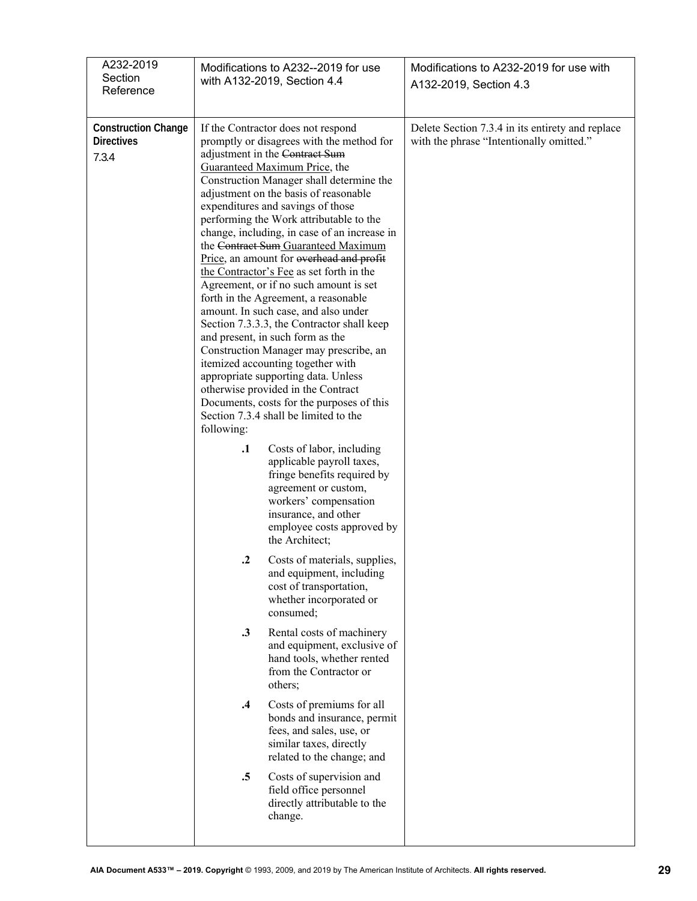| A232-2019<br>Section<br>Reference                        | Modifications to A232--2019 for use<br>with A132-2019, Section 4.4                                                                                                                                                                                                                                                                                                                                                                                                                                                                                                                                                                                                                                                                                                                                                                                                                                                                                                                                                                                                                                                                                                                                                                                                                                                                                                                                                                                                                                                                                                                                                                                                                                                                                                    | Modifications to A232-2019 for use with<br>A132-2019, Section 4.3                            |
|----------------------------------------------------------|-----------------------------------------------------------------------------------------------------------------------------------------------------------------------------------------------------------------------------------------------------------------------------------------------------------------------------------------------------------------------------------------------------------------------------------------------------------------------------------------------------------------------------------------------------------------------------------------------------------------------------------------------------------------------------------------------------------------------------------------------------------------------------------------------------------------------------------------------------------------------------------------------------------------------------------------------------------------------------------------------------------------------------------------------------------------------------------------------------------------------------------------------------------------------------------------------------------------------------------------------------------------------------------------------------------------------------------------------------------------------------------------------------------------------------------------------------------------------------------------------------------------------------------------------------------------------------------------------------------------------------------------------------------------------------------------------------------------------------------------------------------------------|----------------------------------------------------------------------------------------------|
| <b>Construction Change</b><br><b>Directives</b><br>7.3.4 | If the Contractor does not respond<br>promptly or disagrees with the method for<br>adjustment in the Contract Sum<br>Guaranteed Maximum Price, the<br>Construction Manager shall determine the<br>adjustment on the basis of reasonable<br>expenditures and savings of those<br>performing the Work attributable to the<br>change, including, in case of an increase in<br>the Contract Sum Guaranteed Maximum<br>Price, an amount for overhead and profit<br>the Contractor's Fee as set forth in the<br>Agreement, or if no such amount is set<br>forth in the Agreement, a reasonable<br>amount. In such case, and also under<br>Section 7.3.3.3, the Contractor shall keep<br>and present, in such form as the<br>Construction Manager may prescribe, an<br>itemized accounting together with<br>appropriate supporting data. Unless<br>otherwise provided in the Contract<br>Documents, costs for the purposes of this<br>Section 7.3.4 shall be limited to the<br>following:<br>$\cdot$<br>Costs of labor, including<br>applicable payroll taxes,<br>fringe benefits required by<br>agreement or custom,<br>workers' compensation<br>insurance, and other<br>employee costs approved by<br>the Architect;<br>$\cdot$<br>Costs of materials, supplies,<br>and equipment, including<br>cost of transportation,<br>whether incorporated or<br>consumed;<br>Rental costs of machinery<br>$\cdot$ 3<br>and equipment, exclusive of<br>hand tools, whether rented<br>from the Contractor or<br>others;<br>Costs of premiums for all<br>$\cdot$<br>bonds and insurance, permit<br>fees, and sales, use, or<br>similar taxes, directly<br>related to the change; and<br>$\cdot$ 5<br>Costs of supervision and<br>field office personnel<br>directly attributable to the | Delete Section 7.3.4 in its entirety and replace<br>with the phrase "Intentionally omitted." |
|                                                          | change.                                                                                                                                                                                                                                                                                                                                                                                                                                                                                                                                                                                                                                                                                                                                                                                                                                                                                                                                                                                                                                                                                                                                                                                                                                                                                                                                                                                                                                                                                                                                                                                                                                                                                                                                                               |                                                                                              |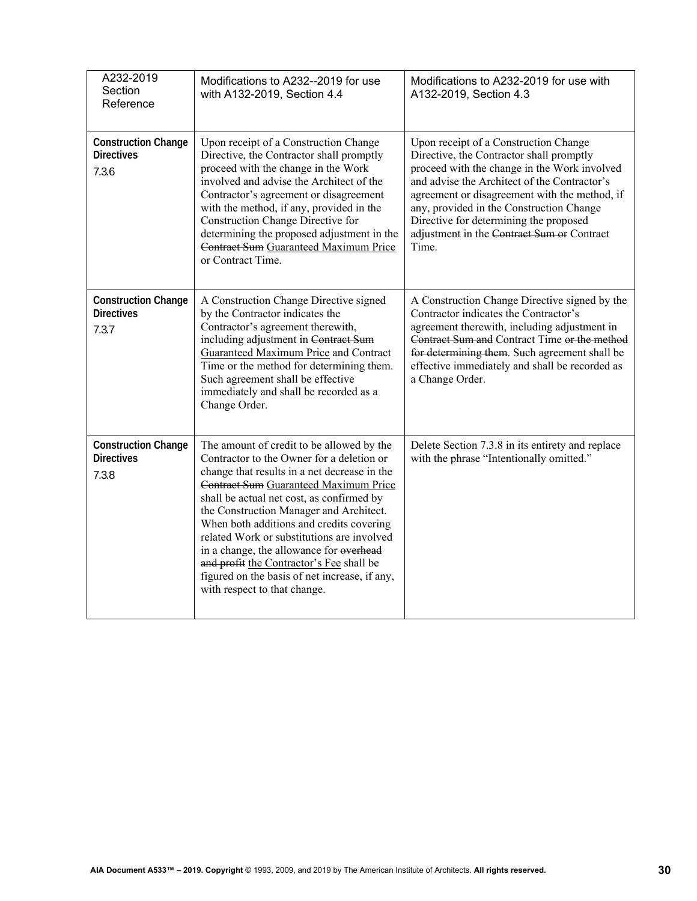| A232-2019<br>Section<br>Reference                        | Modifications to A232--2019 for use<br>with A132-2019, Section 4.4                                                                                                                                                                                                                                                                                                                                                                                                                                                                        | Modifications to A232-2019 for use with<br>A132-2019, Section 4.3                                                                                                                                                                                                                                                                                                               |
|----------------------------------------------------------|-------------------------------------------------------------------------------------------------------------------------------------------------------------------------------------------------------------------------------------------------------------------------------------------------------------------------------------------------------------------------------------------------------------------------------------------------------------------------------------------------------------------------------------------|---------------------------------------------------------------------------------------------------------------------------------------------------------------------------------------------------------------------------------------------------------------------------------------------------------------------------------------------------------------------------------|
| <b>Construction Change</b><br><b>Directives</b><br>7.3.6 | Upon receipt of a Construction Change<br>Directive, the Contractor shall promptly<br>proceed with the change in the Work<br>involved and advise the Architect of the<br>Contractor's agreement or disagreement<br>with the method, if any, provided in the<br>Construction Change Directive for<br>determining the proposed adjustment in the<br>Contract Sum Guaranteed Maximum Price<br>or Contract Time.                                                                                                                               | Upon receipt of a Construction Change<br>Directive, the Contractor shall promptly<br>proceed with the change in the Work involved<br>and advise the Architect of the Contractor's<br>agreement or disagreement with the method, if<br>any, provided in the Construction Change<br>Directive for determining the proposed<br>adjustment in the Contract Sum or Contract<br>Time. |
| <b>Construction Change</b><br><b>Directives</b><br>7.3.7 | A Construction Change Directive signed<br>by the Contractor indicates the<br>Contractor's agreement therewith,<br>including adjustment in Contract Sum<br><b>Guaranteed Maximum Price and Contract</b><br>Time or the method for determining them.<br>Such agreement shall be effective<br>immediately and shall be recorded as a<br>Change Order.                                                                                                                                                                                        | A Construction Change Directive signed by the<br>Contractor indicates the Contractor's<br>agreement therewith, including adjustment in<br>Contract Sum and Contract Time or the method<br>for determining them. Such agreement shall be<br>effective immediately and shall be recorded as<br>a Change Order.                                                                    |
| <b>Construction Change</b><br><b>Directives</b><br>7.3.8 | The amount of credit to be allowed by the<br>Contractor to the Owner for a deletion or<br>change that results in a net decrease in the<br>Contract Sum Guaranteed Maximum Price<br>shall be actual net cost, as confirmed by<br>the Construction Manager and Architect.<br>When both additions and credits covering<br>related Work or substitutions are involved<br>in a change, the allowance for overhead<br>and profit the Contractor's Fee shall be<br>figured on the basis of net increase, if any,<br>with respect to that change. | Delete Section 7.3.8 in its entirety and replace<br>with the phrase "Intentionally omitted."                                                                                                                                                                                                                                                                                    |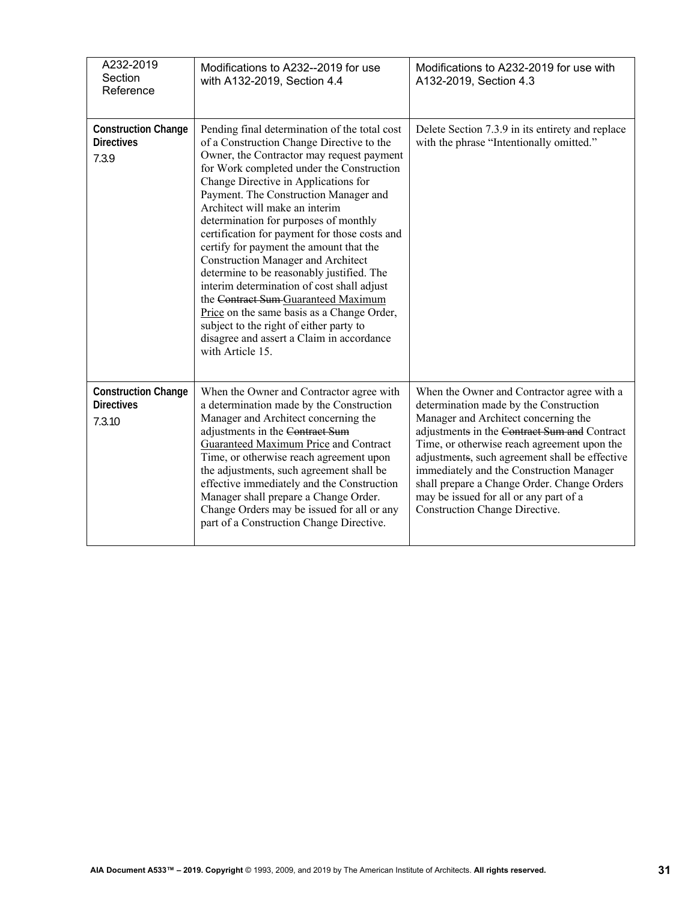| A232-2019<br>Section<br>Reference                         | Modifications to A232--2019 for use<br>with A132-2019, Section 4.4                                                                                                                                                                                                                                                                                                                                                                                                                                                                                                                                                                                                                                                                                                                    | Modifications to A232-2019 for use with<br>A132-2019, Section 4.3                                                                                                                                                                                                                                                                                                                                                                                           |
|-----------------------------------------------------------|---------------------------------------------------------------------------------------------------------------------------------------------------------------------------------------------------------------------------------------------------------------------------------------------------------------------------------------------------------------------------------------------------------------------------------------------------------------------------------------------------------------------------------------------------------------------------------------------------------------------------------------------------------------------------------------------------------------------------------------------------------------------------------------|-------------------------------------------------------------------------------------------------------------------------------------------------------------------------------------------------------------------------------------------------------------------------------------------------------------------------------------------------------------------------------------------------------------------------------------------------------------|
| <b>Construction Change</b><br><b>Directives</b><br>7.3.9  | Pending final determination of the total cost<br>of a Construction Change Directive to the<br>Owner, the Contractor may request payment<br>for Work completed under the Construction<br>Change Directive in Applications for<br>Payment. The Construction Manager and<br>Architect will make an interim<br>determination for purposes of monthly<br>certification for payment for those costs and<br>certify for payment the amount that the<br><b>Construction Manager and Architect</b><br>determine to be reasonably justified. The<br>interim determination of cost shall adjust<br>the Contract Sum Guaranteed Maximum<br>Price on the same basis as a Change Order,<br>subject to the right of either party to<br>disagree and assert a Claim in accordance<br>with Article 15. | Delete Section 7.3.9 in its entirety and replace<br>with the phrase "Intentionally omitted."                                                                                                                                                                                                                                                                                                                                                                |
| <b>Construction Change</b><br><b>Directives</b><br>7.3.10 | When the Owner and Contractor agree with<br>a determination made by the Construction<br>Manager and Architect concerning the<br>adjustments in the Contract Sum<br>Guaranteed Maximum Price and Contract<br>Time, or otherwise reach agreement upon<br>the adjustments, such agreement shall be<br>effective immediately and the Construction<br>Manager shall prepare a Change Order.<br>Change Orders may be issued for all or any<br>part of a Construction Change Directive.                                                                                                                                                                                                                                                                                                      | When the Owner and Contractor agree with a<br>determination made by the Construction<br>Manager and Architect concerning the<br>adjustments in the Contract Sum and Contract<br>Time, or otherwise reach agreement upon the<br>adjustments, such agreement shall be effective<br>immediately and the Construction Manager<br>shall prepare a Change Order. Change Orders<br>may be issued for all or any part of a<br><b>Construction Change Directive.</b> |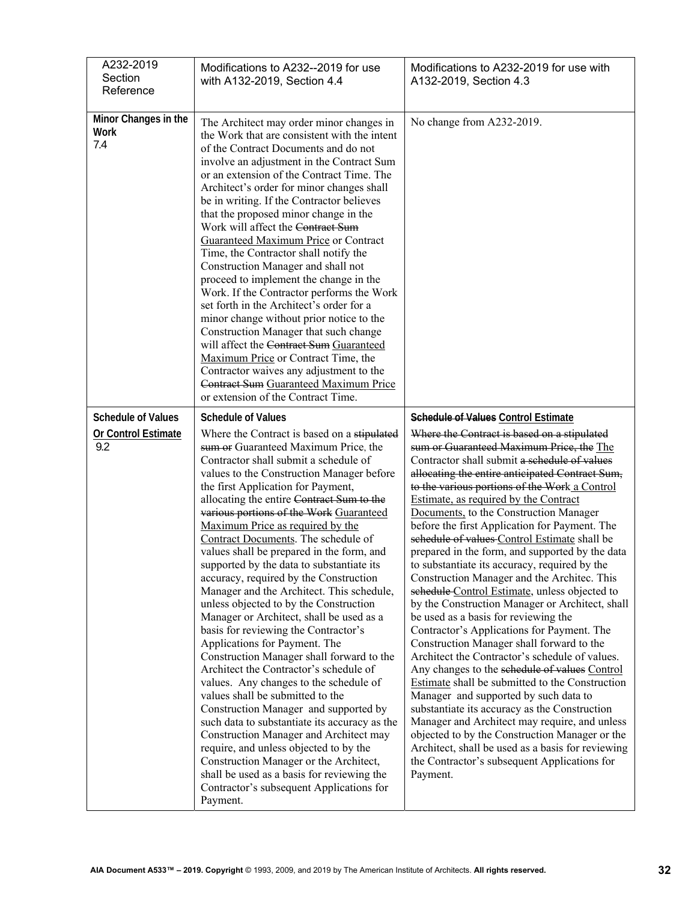| A232-2019<br>Section<br>Reference                       | Modifications to A232--2019 for use<br>with A132-2019, Section 4.4                                                                                                                                                                                                                                                                                                                                                                                                                                                                                                                                                                                                                                                                                                                                                                                                                                                                                                                                                                                                                                                                                                                                                                                                 | Modifications to A232-2019 for use with<br>A132-2019, Section 4.3                                                                                                                                                                                                                                                                                                                                                                                                                                                                                                                                                                                                                                                                                                                                                                                                                                                                                                                                                                                                                                                                                                                                                                                                                                                                           |
|---------------------------------------------------------|--------------------------------------------------------------------------------------------------------------------------------------------------------------------------------------------------------------------------------------------------------------------------------------------------------------------------------------------------------------------------------------------------------------------------------------------------------------------------------------------------------------------------------------------------------------------------------------------------------------------------------------------------------------------------------------------------------------------------------------------------------------------------------------------------------------------------------------------------------------------------------------------------------------------------------------------------------------------------------------------------------------------------------------------------------------------------------------------------------------------------------------------------------------------------------------------------------------------------------------------------------------------|---------------------------------------------------------------------------------------------------------------------------------------------------------------------------------------------------------------------------------------------------------------------------------------------------------------------------------------------------------------------------------------------------------------------------------------------------------------------------------------------------------------------------------------------------------------------------------------------------------------------------------------------------------------------------------------------------------------------------------------------------------------------------------------------------------------------------------------------------------------------------------------------------------------------------------------------------------------------------------------------------------------------------------------------------------------------------------------------------------------------------------------------------------------------------------------------------------------------------------------------------------------------------------------------------------------------------------------------|
| Minor Changes in the<br>Work<br>7.4                     | The Architect may order minor changes in<br>the Work that are consistent with the intent<br>of the Contract Documents and do not<br>involve an adjustment in the Contract Sum<br>or an extension of the Contract Time. The<br>Architect's order for minor changes shall<br>be in writing. If the Contractor believes<br>that the proposed minor change in the<br>Work will affect the Contract Sum<br><b>Guaranteed Maximum Price or Contract</b><br>Time, the Contractor shall notify the<br>Construction Manager and shall not<br>proceed to implement the change in the<br>Work. If the Contractor performs the Work<br>set forth in the Architect's order for a<br>minor change without prior notice to the<br>Construction Manager that such change<br>will affect the Contract Sum Guaranteed<br>Maximum Price or Contract Time, the<br>Contractor waives any adjustment to the<br>Contract Sum Guaranteed Maximum Price<br>or extension of the Contract Time.                                                                                                                                                                                                                                                                                               | No change from A232-2019.                                                                                                                                                                                                                                                                                                                                                                                                                                                                                                                                                                                                                                                                                                                                                                                                                                                                                                                                                                                                                                                                                                                                                                                                                                                                                                                   |
| <b>Schedule of Values</b><br>Or Control Estimate<br>9.2 | <b>Schedule of Values</b><br>Where the Contract is based on a stipulated<br>sum or Guaranteed Maximum Price, the<br>Contractor shall submit a schedule of<br>values to the Construction Manager before<br>the first Application for Payment,<br>allocating the entire Contract Sum to the<br>various portions of the Work Guaranteed<br>Maximum Price as required by the<br>Contract Documents. The schedule of<br>values shall be prepared in the form, and<br>supported by the data to substantiate its<br>accuracy, required by the Construction<br>Manager and the Architect. This schedule,<br>unless objected to by the Construction<br>Manager or Architect, shall be used as a<br>basis for reviewing the Contractor's<br>Applications for Payment. The<br>Construction Manager shall forward to the<br>Architect the Contractor's schedule of<br>values. Any changes to the schedule of<br>values shall be submitted to the<br>Construction Manager and supported by<br>such data to substantiate its accuracy as the<br>Construction Manager and Architect may<br>require, and unless objected to by the<br>Construction Manager or the Architect,<br>shall be used as a basis for reviewing the<br>Contractor's subsequent Applications for<br>Payment. | <b>Schedule of Values Control Estimate</b><br>Where the Contract is based on a stipulated<br>sum or Guaranteed Maximum Price, the The<br>Contractor shall submit a schedule of values<br>allocating the entire anticipated Contract Sum,<br>to the various portions of the Work a Control<br>Estimate, as required by the Contract<br>Documents, to the Construction Manager<br>before the first Application for Payment. The<br>schedule of values Control Estimate shall be<br>prepared in the form, and supported by the data<br>to substantiate its accuracy, required by the<br>Construction Manager and the Architec. This<br>schedule Control Estimate, unless objected to<br>by the Construction Manager or Architect, shall<br>be used as a basis for reviewing the<br>Contractor's Applications for Payment. The<br>Construction Manager shall forward to the<br>Architect the Contractor's schedule of values.<br>Any changes to the schedule of values Control<br>Estimate shall be submitted to the Construction<br>Manager and supported by such data to<br>substantiate its accuracy as the Construction<br>Manager and Architect may require, and unless<br>objected to by the Construction Manager or the<br>Architect, shall be used as a basis for reviewing<br>the Contractor's subsequent Applications for<br>Payment. |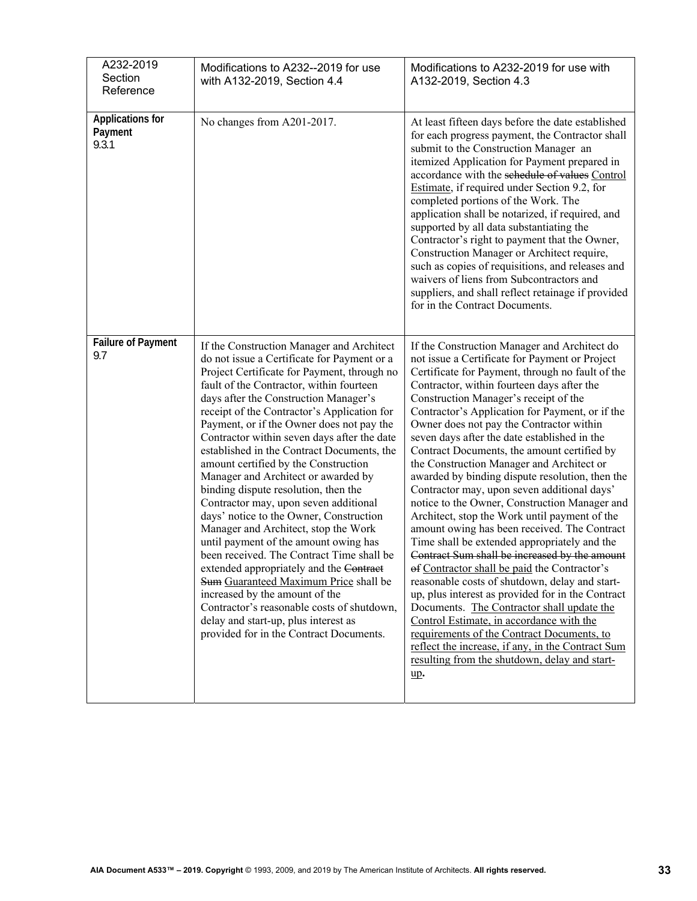| A232-2019<br>Section<br>Reference           | Modifications to A232--2019 for use<br>with A132-2019, Section 4.4                                                                                                                                                                                                                                                                                                                                                                                                                                                                                                                                                                                                                                                                                                                                                                                                                                                                                                                                                    | Modifications to A232-2019 for use with<br>A132-2019, Section 4.3                                                                                                                                                                                                                                                                                                                                                                                                                                                                                                                                                                                                                                                                                                                                                                                                                                                                                                                                                                                                                                                                                                                                                                                     |
|---------------------------------------------|-----------------------------------------------------------------------------------------------------------------------------------------------------------------------------------------------------------------------------------------------------------------------------------------------------------------------------------------------------------------------------------------------------------------------------------------------------------------------------------------------------------------------------------------------------------------------------------------------------------------------------------------------------------------------------------------------------------------------------------------------------------------------------------------------------------------------------------------------------------------------------------------------------------------------------------------------------------------------------------------------------------------------|-------------------------------------------------------------------------------------------------------------------------------------------------------------------------------------------------------------------------------------------------------------------------------------------------------------------------------------------------------------------------------------------------------------------------------------------------------------------------------------------------------------------------------------------------------------------------------------------------------------------------------------------------------------------------------------------------------------------------------------------------------------------------------------------------------------------------------------------------------------------------------------------------------------------------------------------------------------------------------------------------------------------------------------------------------------------------------------------------------------------------------------------------------------------------------------------------------------------------------------------------------|
| <b>Applications for</b><br>Payment<br>9.3.1 | No changes from A201-2017.                                                                                                                                                                                                                                                                                                                                                                                                                                                                                                                                                                                                                                                                                                                                                                                                                                                                                                                                                                                            | At least fifteen days before the date established<br>for each progress payment, the Contractor shall<br>submit to the Construction Manager an<br>itemized Application for Payment prepared in<br>accordance with the schedule of values Control<br>Estimate, if required under Section 9.2, for<br>completed portions of the Work. The<br>application shall be notarized, if required, and<br>supported by all data substantiating the<br>Contractor's right to payment that the Owner,<br>Construction Manager or Architect require,<br>such as copies of requisitions, and releases and<br>waivers of liens from Subcontractors and<br>suppliers, and shall reflect retainage if provided<br>for in the Contract Documents.                                                                                                                                                                                                                                                                                                                                                                                                                                                                                                                         |
| <b>Failure of Payment</b><br>9.7            | If the Construction Manager and Architect<br>do not issue a Certificate for Payment or a<br>Project Certificate for Payment, through no<br>fault of the Contractor, within fourteen<br>days after the Construction Manager's<br>receipt of the Contractor's Application for<br>Payment, or if the Owner does not pay the<br>Contractor within seven days after the date<br>established in the Contract Documents, the<br>amount certified by the Construction<br>Manager and Architect or awarded by<br>binding dispute resolution, then the<br>Contractor may, upon seven additional<br>days' notice to the Owner, Construction<br>Manager and Architect, stop the Work<br>until payment of the amount owing has<br>been received. The Contract Time shall be<br>extended appropriately and the Contract<br>Sum Guaranteed Maximum Price shall be<br>increased by the amount of the<br>Contractor's reasonable costs of shutdown,<br>delay and start-up, plus interest as<br>provided for in the Contract Documents. | If the Construction Manager and Architect do<br>not issue a Certificate for Payment or Project<br>Certificate for Payment, through no fault of the<br>Contractor, within fourteen days after the<br>Construction Manager's receipt of the<br>Contractor's Application for Payment, or if the<br>Owner does not pay the Contractor within<br>seven days after the date established in the<br>Contract Documents, the amount certified by<br>the Construction Manager and Architect or<br>awarded by binding dispute resolution, then the<br>Contractor may, upon seven additional days'<br>notice to the Owner, Construction Manager and<br>Architect, stop the Work until payment of the<br>amount owing has been received. The Contract<br>Time shall be extended appropriately and the<br>Contract Sum shall be increased by the amount<br>of Contractor shall be paid the Contractor's<br>reasonable costs of shutdown, delay and start-<br>up, plus interest as provided for in the Contract<br>Documents. The Contractor shall update the<br>Control Estimate, in accordance with the<br>requirements of the Contract Documents, to<br>reflect the increase, if any, in the Contract Sum<br>resulting from the shutdown, delay and start-<br>up. |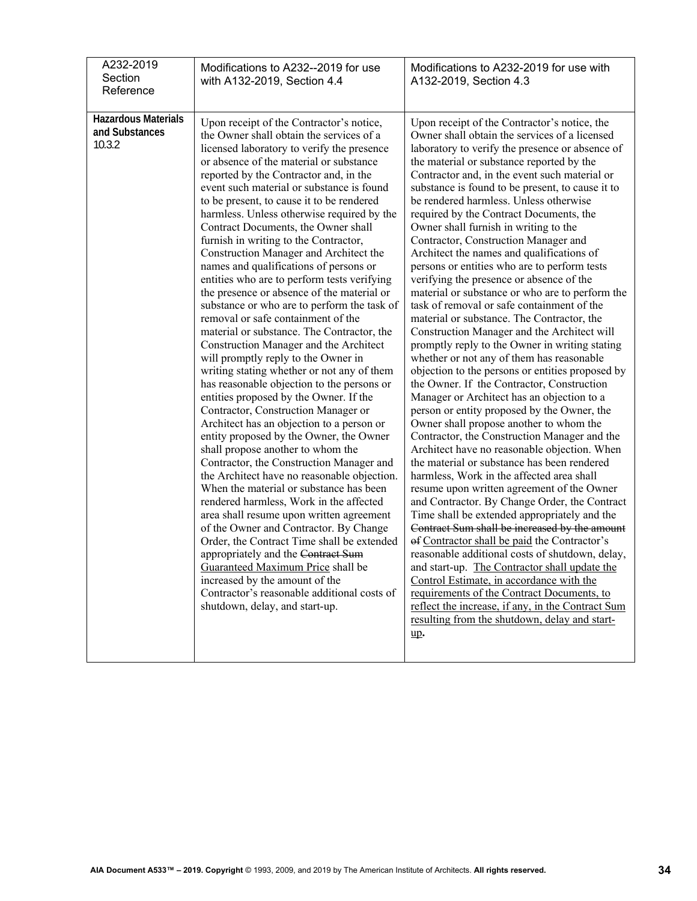| A232-2019<br>Section<br>Reference                      | Modifications to A232--2019 for use<br>with A132-2019, Section 4.4                                                                                                                                                                                                                                                                                                                                                                                                                                                                                                                                                                                                                                                                                                                                                                                                                                                                                                                                                                                                                                                                                                                                                                                                                                                                                                                                                                                                                                                                                                                                                                                                                | Modifications to A232-2019 for use with<br>A132-2019, Section 4.3                                                                                                                                                                                                                                                                                                                                                                                                                                                                                                                                                                                                                                                                                                                                                                                                                                                                                                                                                                                                                                                                                                                                                                                                                                                                                                                                                                                                                                                                                                                                                                                                                                                                                                                                                                                                                                               |
|--------------------------------------------------------|-----------------------------------------------------------------------------------------------------------------------------------------------------------------------------------------------------------------------------------------------------------------------------------------------------------------------------------------------------------------------------------------------------------------------------------------------------------------------------------------------------------------------------------------------------------------------------------------------------------------------------------------------------------------------------------------------------------------------------------------------------------------------------------------------------------------------------------------------------------------------------------------------------------------------------------------------------------------------------------------------------------------------------------------------------------------------------------------------------------------------------------------------------------------------------------------------------------------------------------------------------------------------------------------------------------------------------------------------------------------------------------------------------------------------------------------------------------------------------------------------------------------------------------------------------------------------------------------------------------------------------------------------------------------------------------|-----------------------------------------------------------------------------------------------------------------------------------------------------------------------------------------------------------------------------------------------------------------------------------------------------------------------------------------------------------------------------------------------------------------------------------------------------------------------------------------------------------------------------------------------------------------------------------------------------------------------------------------------------------------------------------------------------------------------------------------------------------------------------------------------------------------------------------------------------------------------------------------------------------------------------------------------------------------------------------------------------------------------------------------------------------------------------------------------------------------------------------------------------------------------------------------------------------------------------------------------------------------------------------------------------------------------------------------------------------------------------------------------------------------------------------------------------------------------------------------------------------------------------------------------------------------------------------------------------------------------------------------------------------------------------------------------------------------------------------------------------------------------------------------------------------------------------------------------------------------------------------------------------------------|
| <b>Hazardous Materials</b><br>and Substances<br>10.3.2 | Upon receipt of the Contractor's notice,<br>the Owner shall obtain the services of a<br>licensed laboratory to verify the presence<br>or absence of the material or substance<br>reported by the Contractor and, in the<br>event such material or substance is found<br>to be present, to cause it to be rendered<br>harmless. Unless otherwise required by the<br>Contract Documents, the Owner shall<br>furnish in writing to the Contractor,<br>Construction Manager and Architect the<br>names and qualifications of persons or<br>entities who are to perform tests verifying<br>the presence or absence of the material or<br>substance or who are to perform the task of<br>removal or safe containment of the<br>material or substance. The Contractor, the<br>Construction Manager and the Architect<br>will promptly reply to the Owner in<br>writing stating whether or not any of them<br>has reasonable objection to the persons or<br>entities proposed by the Owner. If the<br>Contractor, Construction Manager or<br>Architect has an objection to a person or<br>entity proposed by the Owner, the Owner<br>shall propose another to whom the<br>Contractor, the Construction Manager and<br>the Architect have no reasonable objection.<br>When the material or substance has been<br>rendered harmless, Work in the affected<br>area shall resume upon written agreement<br>of the Owner and Contractor. By Change<br>Order, the Contract Time shall be extended<br>appropriately and the Contract Sum<br>Guaranteed Maximum Price shall be<br>increased by the amount of the<br>Contractor's reasonable additional costs of<br>shutdown, delay, and start-up. | Upon receipt of the Contractor's notice, the<br>Owner shall obtain the services of a licensed<br>laboratory to verify the presence or absence of<br>the material or substance reported by the<br>Contractor and, in the event such material or<br>substance is found to be present, to cause it to<br>be rendered harmless. Unless otherwise<br>required by the Contract Documents, the<br>Owner shall furnish in writing to the<br>Contractor, Construction Manager and<br>Architect the names and qualifications of<br>persons or entities who are to perform tests<br>verifying the presence or absence of the<br>material or substance or who are to perform the<br>task of removal or safe containment of the<br>material or substance. The Contractor, the<br>Construction Manager and the Architect will<br>promptly reply to the Owner in writing stating<br>whether or not any of them has reasonable<br>objection to the persons or entities proposed by<br>the Owner. If the Contractor, Construction<br>Manager or Architect has an objection to a<br>person or entity proposed by the Owner, the<br>Owner shall propose another to whom the<br>Contractor, the Construction Manager and the<br>Architect have no reasonable objection. When<br>the material or substance has been rendered<br>harmless, Work in the affected area shall<br>resume upon written agreement of the Owner<br>and Contractor. By Change Order, the Contract<br>Time shall be extended appropriately and the<br>Contract Sum shall be increased by the amount<br>of Contractor shall be paid the Contractor's<br>reasonable additional costs of shutdown, delay,<br>and start-up. The Contractor shall update the<br>Control Estimate, in accordance with the<br>requirements of the Contract Documents, to<br>reflect the increase, if any, in the Contract Sum<br>resulting from the shutdown, delay and start-<br>up. |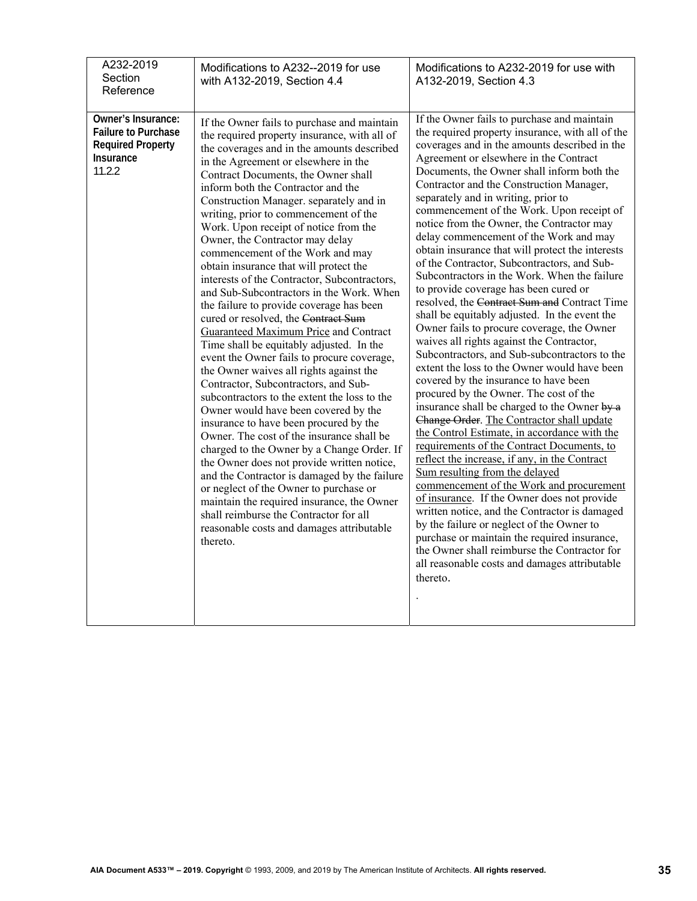| A232-2019<br>Section<br>Reference                                                                          | Modifications to A232--2019 for use<br>with A132-2019, Section 4.4                                                                                                                                                                                                                                                                                                                                                                                                                                                                                                                                                                                                                                                                                                                                                                                                                                                                                                                                                                                                                                                                                                                                                                                                                                                                                                                                                                             | Modifications to A232-2019 for use with<br>A132-2019, Section 4.3                                                                                                                                                                                                                                                                                                                                                                                                                                                                                                                                                                                                                                                                                                                                                                                                                                                                                                                                                                                                                                                                                                                                                                                                                                                                                                                                                                                                                                                                                                                                                                                                               |
|------------------------------------------------------------------------------------------------------------|------------------------------------------------------------------------------------------------------------------------------------------------------------------------------------------------------------------------------------------------------------------------------------------------------------------------------------------------------------------------------------------------------------------------------------------------------------------------------------------------------------------------------------------------------------------------------------------------------------------------------------------------------------------------------------------------------------------------------------------------------------------------------------------------------------------------------------------------------------------------------------------------------------------------------------------------------------------------------------------------------------------------------------------------------------------------------------------------------------------------------------------------------------------------------------------------------------------------------------------------------------------------------------------------------------------------------------------------------------------------------------------------------------------------------------------------|---------------------------------------------------------------------------------------------------------------------------------------------------------------------------------------------------------------------------------------------------------------------------------------------------------------------------------------------------------------------------------------------------------------------------------------------------------------------------------------------------------------------------------------------------------------------------------------------------------------------------------------------------------------------------------------------------------------------------------------------------------------------------------------------------------------------------------------------------------------------------------------------------------------------------------------------------------------------------------------------------------------------------------------------------------------------------------------------------------------------------------------------------------------------------------------------------------------------------------------------------------------------------------------------------------------------------------------------------------------------------------------------------------------------------------------------------------------------------------------------------------------------------------------------------------------------------------------------------------------------------------------------------------------------------------|
| Owner's Insurance:<br><b>Failure to Purchase</b><br><b>Required Property</b><br><b>Insurance</b><br>11.2.2 | If the Owner fails to purchase and maintain<br>the required property insurance, with all of<br>the coverages and in the amounts described<br>in the Agreement or elsewhere in the<br>Contract Documents, the Owner shall<br>inform both the Contractor and the<br>Construction Manager. separately and in<br>writing, prior to commencement of the<br>Work. Upon receipt of notice from the<br>Owner, the Contractor may delay<br>commencement of the Work and may<br>obtain insurance that will protect the<br>interests of the Contractor, Subcontractors,<br>and Sub-Subcontractors in the Work. When<br>the failure to provide coverage has been<br>cured or resolved, the Contract Sum<br><b>Guaranteed Maximum Price and Contract</b><br>Time shall be equitably adjusted. In the<br>event the Owner fails to procure coverage,<br>the Owner waives all rights against the<br>Contractor, Subcontractors, and Sub-<br>subcontractors to the extent the loss to the<br>Owner would have been covered by the<br>insurance to have been procured by the<br>Owner. The cost of the insurance shall be<br>charged to the Owner by a Change Order. If<br>the Owner does not provide written notice,<br>and the Contractor is damaged by the failure<br>or neglect of the Owner to purchase or<br>maintain the required insurance, the Owner<br>shall reimburse the Contractor for all<br>reasonable costs and damages attributable<br>thereto. | If the Owner fails to purchase and maintain<br>the required property insurance, with all of the<br>coverages and in the amounts described in the<br>Agreement or elsewhere in the Contract<br>Documents, the Owner shall inform both the<br>Contractor and the Construction Manager,<br>separately and in writing, prior to<br>commencement of the Work. Upon receipt of<br>notice from the Owner, the Contractor may<br>delay commencement of the Work and may<br>obtain insurance that will protect the interests<br>of the Contractor, Subcontractors, and Sub-<br>Subcontractors in the Work. When the failure<br>to provide coverage has been cured or<br>resolved, the Contract Sum and Contract Time<br>shall be equitably adjusted. In the event the<br>Owner fails to procure coverage, the Owner<br>waives all rights against the Contractor,<br>Subcontractors, and Sub-subcontractors to the<br>extent the loss to the Owner would have been<br>covered by the insurance to have been<br>procured by the Owner. The cost of the<br>insurance shall be charged to the Owner by a<br>Change Order. The Contractor shall update<br>the Control Estimate, in accordance with the<br>requirements of the Contract Documents, to<br>reflect the increase, if any, in the Contract<br>Sum resulting from the delayed<br>commencement of the Work and procurement<br>of insurance. If the Owner does not provide<br>written notice, and the Contractor is damaged<br>by the failure or neglect of the Owner to<br>purchase or maintain the required insurance,<br>the Owner shall reimburse the Contractor for<br>all reasonable costs and damages attributable<br>thereto. |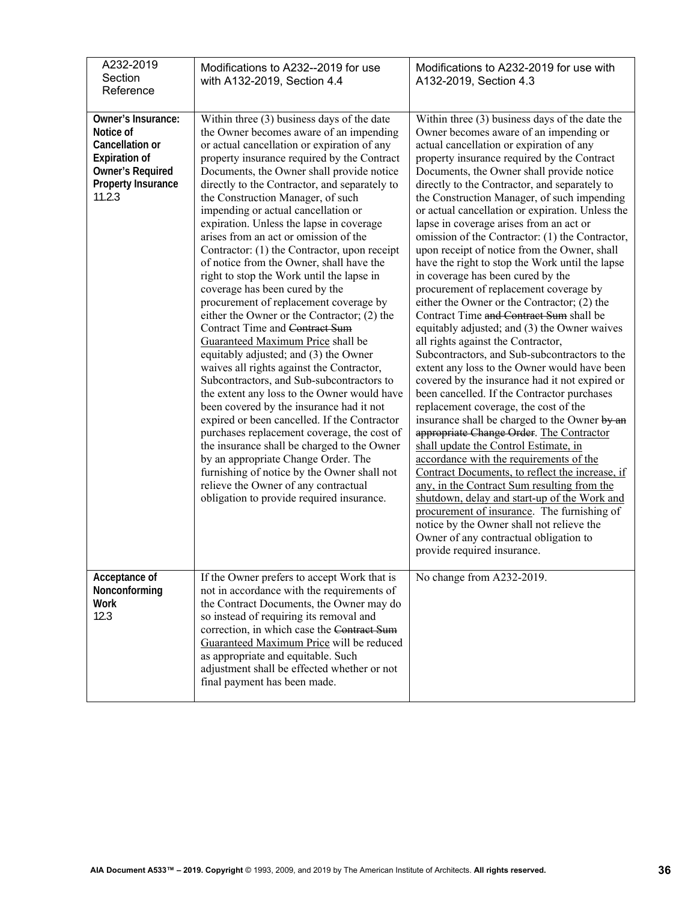| A232-2019<br>Section<br>Reference                                                                                                     | Modifications to A232--2019 for use<br>with A132-2019, Section 4.4                                                                                                                                                                                                                                                                                                                                                                                                                                                                                                                                                                                                                                                                                                                                                                                                                                                                                                                                                                                                                                                                                                                                                                                                                                                                                   | Modifications to A232-2019 for use with<br>A132-2019, Section 4.3                                                                                                                                                                                                                                                                                                                                                                                                                                                                                                                                                                                                                                                                                                                                                                                                                                                                                                                                                                                                                                                                                                                                                                                                                                                                                                                                                                                                                                                                                                                                       |
|---------------------------------------------------------------------------------------------------------------------------------------|------------------------------------------------------------------------------------------------------------------------------------------------------------------------------------------------------------------------------------------------------------------------------------------------------------------------------------------------------------------------------------------------------------------------------------------------------------------------------------------------------------------------------------------------------------------------------------------------------------------------------------------------------------------------------------------------------------------------------------------------------------------------------------------------------------------------------------------------------------------------------------------------------------------------------------------------------------------------------------------------------------------------------------------------------------------------------------------------------------------------------------------------------------------------------------------------------------------------------------------------------------------------------------------------------------------------------------------------------|---------------------------------------------------------------------------------------------------------------------------------------------------------------------------------------------------------------------------------------------------------------------------------------------------------------------------------------------------------------------------------------------------------------------------------------------------------------------------------------------------------------------------------------------------------------------------------------------------------------------------------------------------------------------------------------------------------------------------------------------------------------------------------------------------------------------------------------------------------------------------------------------------------------------------------------------------------------------------------------------------------------------------------------------------------------------------------------------------------------------------------------------------------------------------------------------------------------------------------------------------------------------------------------------------------------------------------------------------------------------------------------------------------------------------------------------------------------------------------------------------------------------------------------------------------------------------------------------------------|
| Owner's Insurance:<br>Notice of<br>Cancellation or<br><b>Expiration of</b><br><b>Owner's Required</b><br>Property Insurance<br>11.2.3 | Within three (3) business days of the date<br>the Owner becomes aware of an impending<br>or actual cancellation or expiration of any<br>property insurance required by the Contract<br>Documents, the Owner shall provide notice<br>directly to the Contractor, and separately to<br>the Construction Manager, of such<br>impending or actual cancellation or<br>expiration. Unless the lapse in coverage<br>arises from an act or omission of the<br>Contractor: (1) the Contractor, upon receipt<br>of notice from the Owner, shall have the<br>right to stop the Work until the lapse in<br>coverage has been cured by the<br>procurement of replacement coverage by<br>either the Owner or the Contractor; (2) the<br>Contract Time and Contract Sum<br>Guaranteed Maximum Price shall be<br>equitably adjusted; and (3) the Owner<br>waives all rights against the Contractor,<br>Subcontractors, and Sub-subcontractors to<br>the extent any loss to the Owner would have<br>been covered by the insurance had it not<br>expired or been cancelled. If the Contractor<br>purchases replacement coverage, the cost of<br>the insurance shall be charged to the Owner<br>by an appropriate Change Order. The<br>furnishing of notice by the Owner shall not<br>relieve the Owner of any contractual<br>obligation to provide required insurance. | Within three (3) business days of the date the<br>Owner becomes aware of an impending or<br>actual cancellation or expiration of any<br>property insurance required by the Contract<br>Documents, the Owner shall provide notice<br>directly to the Contractor, and separately to<br>the Construction Manager, of such impending<br>or actual cancellation or expiration. Unless the<br>lapse in coverage arises from an act or<br>omission of the Contractor: (1) the Contractor,<br>upon receipt of notice from the Owner, shall<br>have the right to stop the Work until the lapse<br>in coverage has been cured by the<br>procurement of replacement coverage by<br>either the Owner or the Contractor; (2) the<br>Contract Time and Contract Sum shall be<br>equitably adjusted; and (3) the Owner waives<br>all rights against the Contractor,<br>Subcontractors, and Sub-subcontractors to the<br>extent any loss to the Owner would have been<br>covered by the insurance had it not expired or<br>been cancelled. If the Contractor purchases<br>replacement coverage, the cost of the<br>insurance shall be charged to the Owner by an<br>appropriate Change Order. The Contractor<br>shall update the Control Estimate, in<br>accordance with the requirements of the<br>Contract Documents, to reflect the increase, if<br>any, in the Contract Sum resulting from the<br>shutdown, delay and start-up of the Work and<br>procurement of insurance. The furnishing of<br>notice by the Owner shall not relieve the<br>Owner of any contractual obligation to<br>provide required insurance. |
| Acceptance of<br>Nonconforming<br><b>Work</b><br>12.3                                                                                 | If the Owner prefers to accept Work that is<br>not in accordance with the requirements of<br>the Contract Documents, the Owner may do<br>so instead of requiring its removal and<br>correction, in which case the Contract Sum<br>Guaranteed Maximum Price will be reduced<br>as appropriate and equitable. Such<br>adjustment shall be effected whether or not<br>final payment has been made.                                                                                                                                                                                                                                                                                                                                                                                                                                                                                                                                                                                                                                                                                                                                                                                                                                                                                                                                                      | No change from A232-2019.                                                                                                                                                                                                                                                                                                                                                                                                                                                                                                                                                                                                                                                                                                                                                                                                                                                                                                                                                                                                                                                                                                                                                                                                                                                                                                                                                                                                                                                                                                                                                                               |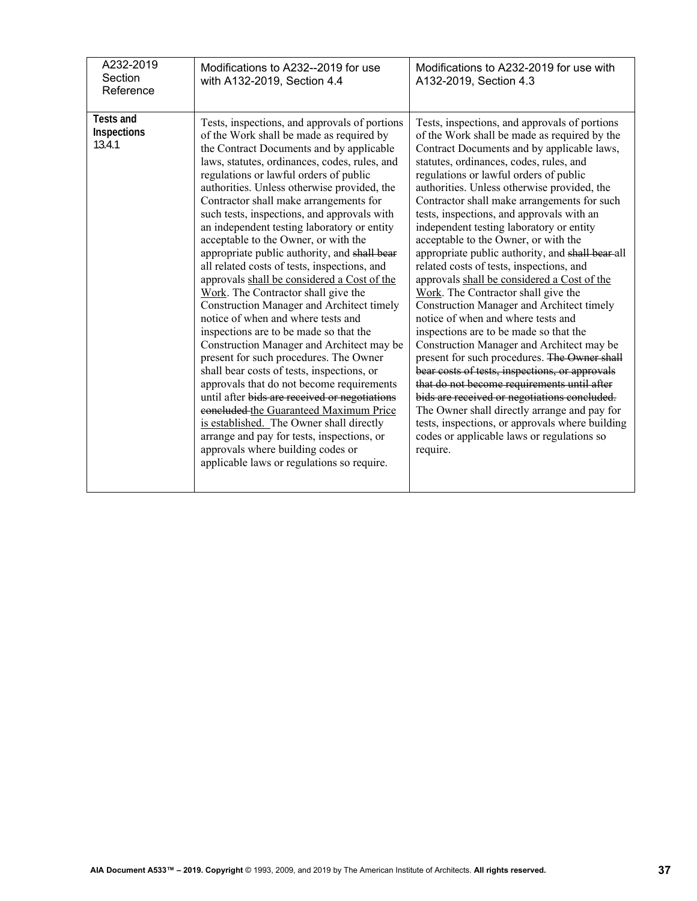| A232-2019<br>Section<br>Reference         | Modifications to A232--2019 for use<br>with A132-2019, Section 4.4                                                                                                                                                                                                                                                                                                                                                                                                                                                                                                                                                                                                                                                                                                                                                                                                                                                                                                                                                                                                                                                                                                                                                                           | Modifications to A232-2019 for use with<br>A132-2019, Section 4.3                                                                                                                                                                                                                                                                                                                                                                                                                                                                                                                                                                                                                                                                                                                                                                                                                                                                                                                                                                                                                                                                                                                             |
|-------------------------------------------|----------------------------------------------------------------------------------------------------------------------------------------------------------------------------------------------------------------------------------------------------------------------------------------------------------------------------------------------------------------------------------------------------------------------------------------------------------------------------------------------------------------------------------------------------------------------------------------------------------------------------------------------------------------------------------------------------------------------------------------------------------------------------------------------------------------------------------------------------------------------------------------------------------------------------------------------------------------------------------------------------------------------------------------------------------------------------------------------------------------------------------------------------------------------------------------------------------------------------------------------|-----------------------------------------------------------------------------------------------------------------------------------------------------------------------------------------------------------------------------------------------------------------------------------------------------------------------------------------------------------------------------------------------------------------------------------------------------------------------------------------------------------------------------------------------------------------------------------------------------------------------------------------------------------------------------------------------------------------------------------------------------------------------------------------------------------------------------------------------------------------------------------------------------------------------------------------------------------------------------------------------------------------------------------------------------------------------------------------------------------------------------------------------------------------------------------------------|
| <b>Tests and</b><br>Inspections<br>13.4.1 | Tests, inspections, and approvals of portions<br>of the Work shall be made as required by<br>the Contract Documents and by applicable<br>laws, statutes, ordinances, codes, rules, and<br>regulations or lawful orders of public<br>authorities. Unless otherwise provided, the<br>Contractor shall make arrangements for<br>such tests, inspections, and approvals with<br>an independent testing laboratory or entity<br>acceptable to the Owner, or with the<br>appropriate public authority, and shall bear<br>all related costs of tests, inspections, and<br>approvals shall be considered a Cost of the<br>Work. The Contractor shall give the<br>Construction Manager and Architect timely<br>notice of when and where tests and<br>inspections are to be made so that the<br>Construction Manager and Architect may be<br>present for such procedures. The Owner<br>shall bear costs of tests, inspections, or<br>approvals that do not become requirements<br>until after bids are received or negotiations<br>concluded the Guaranteed Maximum Price<br>is established. The Owner shall directly<br>arrange and pay for tests, inspections, or<br>approvals where building codes or<br>applicable laws or regulations so require. | Tests, inspections, and approvals of portions<br>of the Work shall be made as required by the<br>Contract Documents and by applicable laws,<br>statutes, ordinances, codes, rules, and<br>regulations or lawful orders of public<br>authorities. Unless otherwise provided, the<br>Contractor shall make arrangements for such<br>tests, inspections, and approvals with an<br>independent testing laboratory or entity<br>acceptable to the Owner, or with the<br>appropriate public authority, and shall bear-all<br>related costs of tests, inspections, and<br>approvals shall be considered a Cost of the<br>Work. The Contractor shall give the<br>Construction Manager and Architect timely<br>notice of when and where tests and<br>inspections are to be made so that the<br>Construction Manager and Architect may be<br>present for such procedures. The Owner shall<br>bear costs of tests, inspections, or approvals<br>that do not become requirements until after<br>bids are received or negotiations concluded.<br>The Owner shall directly arrange and pay for<br>tests, inspections, or approvals where building<br>codes or applicable laws or regulations so<br>require. |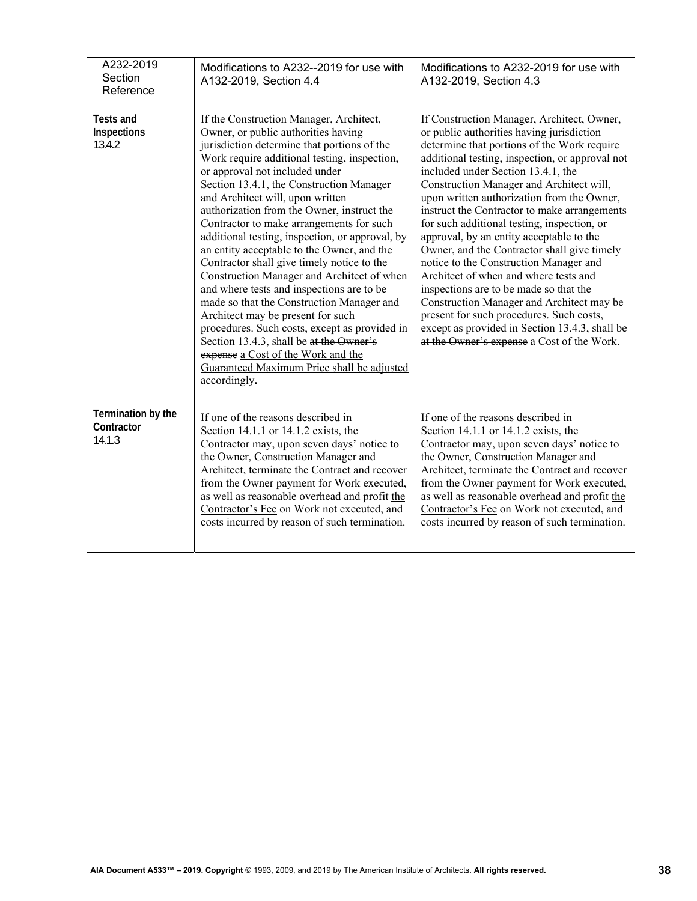| A232-2019<br>Section<br>Reference          | Modifications to A232--2019 for use with<br>A132-2019, Section 4.4                                                                                                                                                                                                                                                                                                                                                                                                                                                                                                                                                                                                                                                                                                                                                                                                                                                    | Modifications to A232-2019 for use with<br>A132-2019, Section 4.3                                                                                                                                                                                                                                                                                                                                                                                                                                                                                                                                                                                                                                                                                                                                                                         |
|--------------------------------------------|-----------------------------------------------------------------------------------------------------------------------------------------------------------------------------------------------------------------------------------------------------------------------------------------------------------------------------------------------------------------------------------------------------------------------------------------------------------------------------------------------------------------------------------------------------------------------------------------------------------------------------------------------------------------------------------------------------------------------------------------------------------------------------------------------------------------------------------------------------------------------------------------------------------------------|-------------------------------------------------------------------------------------------------------------------------------------------------------------------------------------------------------------------------------------------------------------------------------------------------------------------------------------------------------------------------------------------------------------------------------------------------------------------------------------------------------------------------------------------------------------------------------------------------------------------------------------------------------------------------------------------------------------------------------------------------------------------------------------------------------------------------------------------|
| <b>Tests and</b><br>Inspections<br>13.4.2  | If the Construction Manager, Architect,<br>Owner, or public authorities having<br>jurisdiction determine that portions of the<br>Work require additional testing, inspection,<br>or approval not included under<br>Section 13.4.1, the Construction Manager<br>and Architect will, upon written<br>authorization from the Owner, instruct the<br>Contractor to make arrangements for such<br>additional testing, inspection, or approval, by<br>an entity acceptable to the Owner, and the<br>Contractor shall give timely notice to the<br>Construction Manager and Architect of when<br>and where tests and inspections are to be<br>made so that the Construction Manager and<br>Architect may be present for such<br>procedures. Such costs, except as provided in<br>Section 13.4.3, shall be at the Owner's<br>expense a Cost of the Work and the<br>Guaranteed Maximum Price shall be adjusted<br>accordingly. | If Construction Manager, Architect, Owner,<br>or public authorities having jurisdiction<br>determine that portions of the Work require<br>additional testing, inspection, or approval not<br>included under Section 13.4.1, the<br>Construction Manager and Architect will,<br>upon written authorization from the Owner,<br>instruct the Contractor to make arrangements<br>for such additional testing, inspection, or<br>approval, by an entity acceptable to the<br>Owner, and the Contractor shall give timely<br>notice to the Construction Manager and<br>Architect of when and where tests and<br>inspections are to be made so that the<br>Construction Manager and Architect may be<br>present for such procedures. Such costs,<br>except as provided in Section 13.4.3, shall be<br>at the Owner's expense a Cost of the Work. |
| Termination by the<br>Contractor<br>14.1.3 | If one of the reasons described in<br>Section 14.1.1 or 14.1.2 exists, the<br>Contractor may, upon seven days' notice to<br>the Owner, Construction Manager and<br>Architect, terminate the Contract and recover<br>from the Owner payment for Work executed,<br>as well as reasonable overhead and profit the<br>Contractor's Fee on Work not executed, and<br>costs incurred by reason of such termination.                                                                                                                                                                                                                                                                                                                                                                                                                                                                                                         | If one of the reasons described in<br>Section 14.1.1 or 14.1.2 exists, the<br>Contractor may, upon seven days' notice to<br>the Owner, Construction Manager and<br>Architect, terminate the Contract and recover<br>from the Owner payment for Work executed,<br>as well as reasonable overhead and profit the<br>Contractor's Fee on Work not executed, and<br>costs incurred by reason of such termination.                                                                                                                                                                                                                                                                                                                                                                                                                             |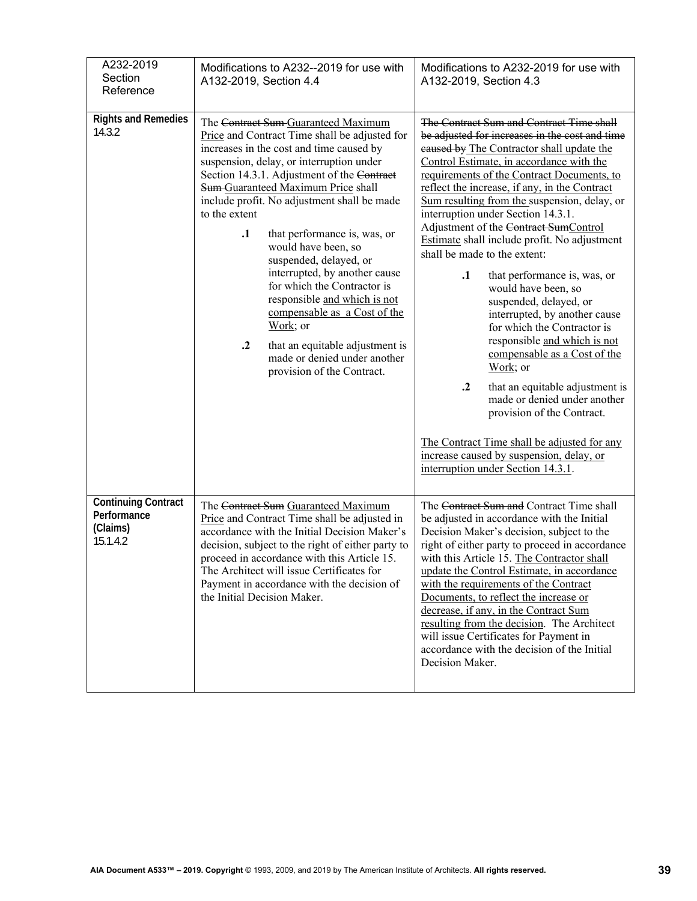| A232-2019<br>Section<br>Reference                                 | Modifications to A232--2019 for use with<br>A132-2019, Section 4.4                                                                                                                                                                                                                                                                                                                                                                                                                                                                                                                                                                                                                                | Modifications to A232-2019 for use with<br>A132-2019, Section 4.3                                                                                                                                                                                                                                                                                                                                                                                                                                                                                                                                                                                                                                                                                                                                                                                                                                                                                                                                   |
|-------------------------------------------------------------------|---------------------------------------------------------------------------------------------------------------------------------------------------------------------------------------------------------------------------------------------------------------------------------------------------------------------------------------------------------------------------------------------------------------------------------------------------------------------------------------------------------------------------------------------------------------------------------------------------------------------------------------------------------------------------------------------------|-----------------------------------------------------------------------------------------------------------------------------------------------------------------------------------------------------------------------------------------------------------------------------------------------------------------------------------------------------------------------------------------------------------------------------------------------------------------------------------------------------------------------------------------------------------------------------------------------------------------------------------------------------------------------------------------------------------------------------------------------------------------------------------------------------------------------------------------------------------------------------------------------------------------------------------------------------------------------------------------------------|
| <b>Rights and Remedies</b><br>14.3.2                              | The Contract Sum-Guaranteed Maximum<br>Price and Contract Time shall be adjusted for<br>increases in the cost and time caused by<br>suspension, delay, or interruption under<br>Section 14.3.1. Adjustment of the Contract<br>Sum-Guaranteed Maximum Price shall<br>include profit. No adjustment shall be made<br>to the extent<br>$\cdot$<br>that performance is, was, or<br>would have been, so<br>suspended, delayed, or<br>interrupted, by another cause<br>for which the Contractor is<br>responsible and which is not<br>compensable as a Cost of the<br>Work; or<br>$\cdot$ <sup>2</sup><br>that an equitable adjustment is<br>made or denied under another<br>provision of the Contract. | The Contract Sum and Contract Time shall<br>be adjusted for increases in the cost and time<br>eaused by The Contractor shall update the<br>Control Estimate, in accordance with the<br>requirements of the Contract Documents, to<br>reflect the increase, if any, in the Contract<br>Sum resulting from the suspension, delay, or<br>interruption under Section 14.3.1.<br>Adjustment of the Contract SumControl<br>Estimate shall include profit. No adjustment<br>shall be made to the extent:<br>$\cdot$<br>that performance is, was, or<br>would have been, so<br>suspended, delayed, or<br>interrupted, by another cause<br>for which the Contractor is<br>responsible and which is not<br>compensable as a Cost of the<br>Work; or<br>$\cdot$ <sup>2</sup><br>that an equitable adjustment is<br>made or denied under another<br>provision of the Contract.<br>The Contract Time shall be adjusted for any<br>increase caused by suspension, delay, or<br>interruption under Section 14.3.1. |
| <b>Continuing Contract</b><br>Performance<br>(Claims)<br>15.1.4.2 | The Contract Sum Guaranteed Maximum<br>Price and Contract Time shall be adjusted in<br>accordance with the Initial Decision Maker's<br>decision, subject to the right of either party to<br>proceed in accordance with this Article 15.<br>The Architect will issue Certificates for<br>Payment in accordance with the decision of<br>the Initial Decision Maker.                                                                                                                                                                                                                                                                                                                                 | The Contract Sum and Contract Time shall<br>be adjusted in accordance with the Initial<br>Decision Maker's decision, subject to the<br>right of either party to proceed in accordance<br>with this Article 15. The Contractor shall<br>update the Control Estimate, in accordance<br>with the requirements of the Contract<br>Documents, to reflect the increase or<br>decrease, if any, in the Contract Sum<br>resulting from the decision. The Architect<br>will issue Certificates for Payment in<br>accordance with the decision of the Initial<br>Decision Maker.                                                                                                                                                                                                                                                                                                                                                                                                                              |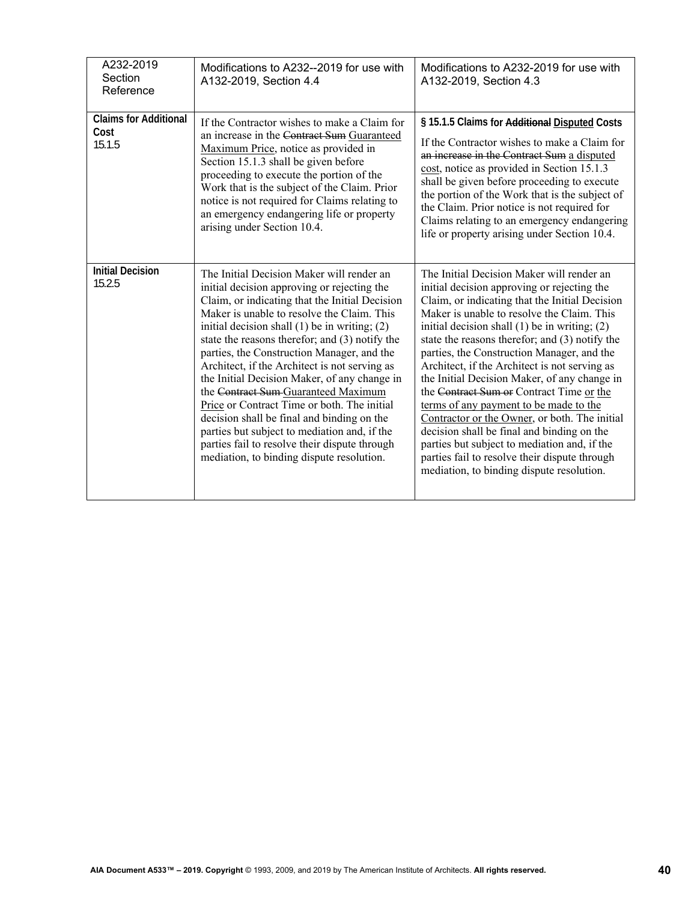| A232-2019<br>Section<br>Reference              | Modifications to A232--2019 for use with<br>A132-2019, Section 4.4                                                                                                                                                                                                                                                                                                                                                                                                                                                                                                                                                                                                                                                               | Modifications to A232-2019 for use with<br>A132-2019, Section 4.3                                                                                                                                                                                                                                                                                                                                                                                                                                                                                                                                                                                                                                                                                                                 |
|------------------------------------------------|----------------------------------------------------------------------------------------------------------------------------------------------------------------------------------------------------------------------------------------------------------------------------------------------------------------------------------------------------------------------------------------------------------------------------------------------------------------------------------------------------------------------------------------------------------------------------------------------------------------------------------------------------------------------------------------------------------------------------------|-----------------------------------------------------------------------------------------------------------------------------------------------------------------------------------------------------------------------------------------------------------------------------------------------------------------------------------------------------------------------------------------------------------------------------------------------------------------------------------------------------------------------------------------------------------------------------------------------------------------------------------------------------------------------------------------------------------------------------------------------------------------------------------|
| <b>Claims for Additional</b><br>Cost<br>15.1.5 | If the Contractor wishes to make a Claim for<br>an increase in the Contract Sum Guaranteed<br>Maximum Price, notice as provided in<br>Section 15.1.3 shall be given before<br>proceeding to execute the portion of the<br>Work that is the subject of the Claim. Prior<br>notice is not required for Claims relating to<br>an emergency endangering life or property<br>arising under Section 10.4.                                                                                                                                                                                                                                                                                                                              | § 15.1.5 Claims for Additional Disputed Costs<br>If the Contractor wishes to make a Claim for<br>an increase in the Contract Sum a disputed<br>cost, notice as provided in Section 15.1.3<br>shall be given before proceeding to execute<br>the portion of the Work that is the subject of<br>the Claim. Prior notice is not required for<br>Claims relating to an emergency endangering<br>life or property arising under Section 10.4.                                                                                                                                                                                                                                                                                                                                          |
| <b>Initial Decision</b><br>15.2.5              | The Initial Decision Maker will render an<br>initial decision approving or rejecting the<br>Claim, or indicating that the Initial Decision<br>Maker is unable to resolve the Claim. This<br>initial decision shall $(1)$ be in writing; $(2)$<br>state the reasons therefor; and (3) notify the<br>parties, the Construction Manager, and the<br>Architect, if the Architect is not serving as<br>the Initial Decision Maker, of any change in<br>the Contract Sum Guaranteed Maximum<br>Price or Contract Time or both. The initial<br>decision shall be final and binding on the<br>parties but subject to mediation and, if the<br>parties fail to resolve their dispute through<br>mediation, to binding dispute resolution. | The Initial Decision Maker will render an<br>initial decision approving or rejecting the<br>Claim, or indicating that the Initial Decision<br>Maker is unable to resolve the Claim. This<br>initial decision shall $(1)$ be in writing; $(2)$<br>state the reasons therefor; and (3) notify the<br>parties, the Construction Manager, and the<br>Architect, if the Architect is not serving as<br>the Initial Decision Maker, of any change in<br>the Contract Sum or Contract Time or the<br>terms of any payment to be made to the<br>Contractor or the Owner, or both. The initial<br>decision shall be final and binding on the<br>parties but subject to mediation and, if the<br>parties fail to resolve their dispute through<br>mediation, to binding dispute resolution. |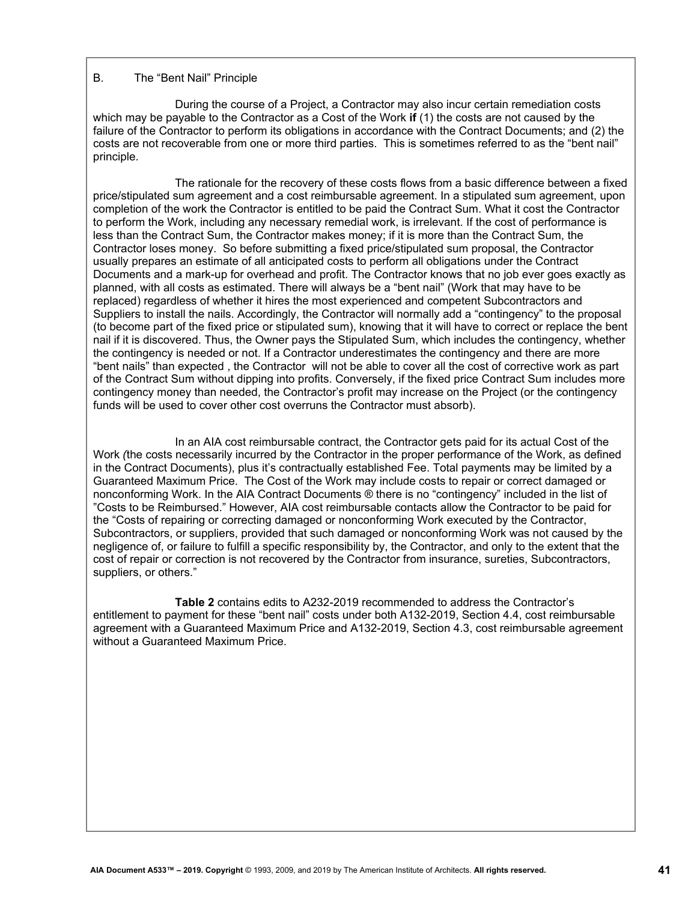# B. The "Bent Nail" Principle

During the course of a Project, a Contractor may also incur certain remediation costs which may be payable to the Contractor as a Cost of the Work **if** (1) the costs are not caused by the failure of the Contractor to perform its obligations in accordance with the Contract Documents; and (2) the costs are not recoverable from one or more third parties. This is sometimes referred to as the "bent nail" principle.

The rationale for the recovery of these costs flows from a basic difference between a fixed price/stipulated sum agreement and a cost reimbursable agreement. In a stipulated sum agreement, upon completion of the work the Contractor is entitled to be paid the Contract Sum. What it cost the Contractor to perform the Work, including any necessary remedial work, is irrelevant. If the cost of performance is less than the Contract Sum, the Contractor makes money; if it is more than the Contract Sum, the Contractor loses money. So before submitting a fixed price/stipulated sum proposal, the Contractor usually prepares an estimate of all anticipated costs to perform all obligations under the Contract Documents and a mark-up for overhead and profit. The Contractor knows that no job ever goes exactly as planned, with all costs as estimated. There will always be a "bent nail" (Work that may have to be replaced) regardless of whether it hires the most experienced and competent Subcontractors and Suppliers to install the nails. Accordingly, the Contractor will normally add a "contingency" to the proposal (to become part of the fixed price or stipulated sum), knowing that it will have to correct or replace the bent nail if it is discovered. Thus, the Owner pays the Stipulated Sum, which includes the contingency, whether the contingency is needed or not. If a Contractor underestimates the contingency and there are more "bent nails" than expected , the Contractor will not be able to cover all the cost of corrective work as part of the Contract Sum without dipping into profits. Conversely, if the fixed price Contract Sum includes more contingency money than needed, the Contractor's profit may increase on the Project (or the contingency funds will be used to cover other cost overruns the Contractor must absorb).

In an AIA cost reimbursable contract, the Contractor gets paid for its actual Cost of the Work *(*the costs necessarily incurred by the Contractor in the proper performance of the Work, as defined in the Contract Documents), plus it's contractually established Fee. Total payments may be limited by a Guaranteed Maximum Price. The Cost of the Work may include costs to repair or correct damaged or nonconforming Work. In the AIA Contract Documents ® there is no "contingency" included in the list of "Costs to be Reimbursed." However, AIA cost reimbursable contacts allow the Contractor to be paid for the "Costs of repairing or correcting damaged or nonconforming Work executed by the Contractor, Subcontractors, or suppliers, provided that such damaged or nonconforming Work was not caused by the negligence of, or failure to fulfill a specific responsibility by, the Contractor, and only to the extent that the cost of repair or correction is not recovered by the Contractor from insurance, sureties, Subcontractors, suppliers, or others."

**Table 2** contains edits to A232-2019 recommended to address the Contractor's entitlement to payment for these "bent nail" costs under both A132-2019, Section 4.4, cost reimbursable agreement with a Guaranteed Maximum Price and A132-2019, Section 4.3, cost reimbursable agreement without a Guaranteed Maximum Price.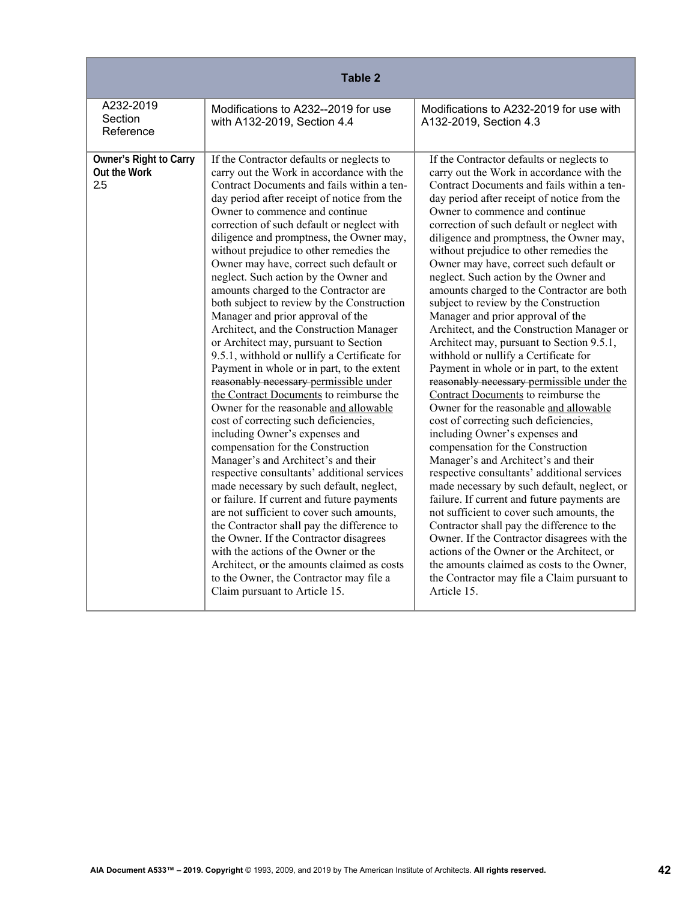| Table 2                                       |                                                                                                                                                                                                                                                                                                                                                                                                                                                                                                                                                                                                                                                                                                                                                                                                                                                                                                                                                                                                                                                                                                                                                                                                                                                                                                                                                                                                                                                                                                    |                                                                                                                                                                                                                                                                                                                                                                                                                                                                                                                                                                                                                                                                                                                                                                                                                                                                                                                                                                                                                                                                                                                                                                                                                                                                                                                                                                                                                                                                                                    |
|-----------------------------------------------|----------------------------------------------------------------------------------------------------------------------------------------------------------------------------------------------------------------------------------------------------------------------------------------------------------------------------------------------------------------------------------------------------------------------------------------------------------------------------------------------------------------------------------------------------------------------------------------------------------------------------------------------------------------------------------------------------------------------------------------------------------------------------------------------------------------------------------------------------------------------------------------------------------------------------------------------------------------------------------------------------------------------------------------------------------------------------------------------------------------------------------------------------------------------------------------------------------------------------------------------------------------------------------------------------------------------------------------------------------------------------------------------------------------------------------------------------------------------------------------------------|----------------------------------------------------------------------------------------------------------------------------------------------------------------------------------------------------------------------------------------------------------------------------------------------------------------------------------------------------------------------------------------------------------------------------------------------------------------------------------------------------------------------------------------------------------------------------------------------------------------------------------------------------------------------------------------------------------------------------------------------------------------------------------------------------------------------------------------------------------------------------------------------------------------------------------------------------------------------------------------------------------------------------------------------------------------------------------------------------------------------------------------------------------------------------------------------------------------------------------------------------------------------------------------------------------------------------------------------------------------------------------------------------------------------------------------------------------------------------------------------------|
| A232-2019<br>Section<br>Reference             | Modifications to A232--2019 for use<br>with A132-2019, Section 4.4                                                                                                                                                                                                                                                                                                                                                                                                                                                                                                                                                                                                                                                                                                                                                                                                                                                                                                                                                                                                                                                                                                                                                                                                                                                                                                                                                                                                                                 | Modifications to A232-2019 for use with<br>A132-2019, Section 4.3                                                                                                                                                                                                                                                                                                                                                                                                                                                                                                                                                                                                                                                                                                                                                                                                                                                                                                                                                                                                                                                                                                                                                                                                                                                                                                                                                                                                                                  |
| Owner's Right to Carry<br>Out the Work<br>2.5 | If the Contractor defaults or neglects to<br>carry out the Work in accordance with the<br>Contract Documents and fails within a ten-<br>day period after receipt of notice from the<br>Owner to commence and continue<br>correction of such default or neglect with<br>diligence and promptness, the Owner may,<br>without prejudice to other remedies the<br>Owner may have, correct such default or<br>neglect. Such action by the Owner and<br>amounts charged to the Contractor are<br>both subject to review by the Construction<br>Manager and prior approval of the<br>Architect, and the Construction Manager<br>or Architect may, pursuant to Section<br>9.5.1, withhold or nullify a Certificate for<br>Payment in whole or in part, to the extent<br>reasonably necessary permissible under<br>the Contract Documents to reimburse the<br>Owner for the reasonable and allowable<br>cost of correcting such deficiencies,<br>including Owner's expenses and<br>compensation for the Construction<br>Manager's and Architect's and their<br>respective consultants' additional services<br>made necessary by such default, neglect,<br>or failure. If current and future payments<br>are not sufficient to cover such amounts,<br>the Contractor shall pay the difference to<br>the Owner. If the Contractor disagrees<br>with the actions of the Owner or the<br>Architect, or the amounts claimed as costs<br>to the Owner, the Contractor may file a<br>Claim pursuant to Article 15. | If the Contractor defaults or neglects to<br>carry out the Work in accordance with the<br>Contract Documents and fails within a ten-<br>day period after receipt of notice from the<br>Owner to commence and continue<br>correction of such default or neglect with<br>diligence and promptness, the Owner may,<br>without prejudice to other remedies the<br>Owner may have, correct such default or<br>neglect. Such action by the Owner and<br>amounts charged to the Contractor are both<br>subject to review by the Construction<br>Manager and prior approval of the<br>Architect, and the Construction Manager or<br>Architect may, pursuant to Section 9.5.1,<br>withhold or nullify a Certificate for<br>Payment in whole or in part, to the extent<br>reasonably necessary permissible under the<br>Contract Documents to reimburse the<br>Owner for the reasonable and allowable<br>cost of correcting such deficiencies,<br>including Owner's expenses and<br>compensation for the Construction<br>Manager's and Architect's and their<br>respective consultants' additional services<br>made necessary by such default, neglect, or<br>failure. If current and future payments are<br>not sufficient to cover such amounts, the<br>Contractor shall pay the difference to the<br>Owner. If the Contractor disagrees with the<br>actions of the Owner or the Architect, or<br>the amounts claimed as costs to the Owner,<br>the Contractor may file a Claim pursuant to<br>Article 15. |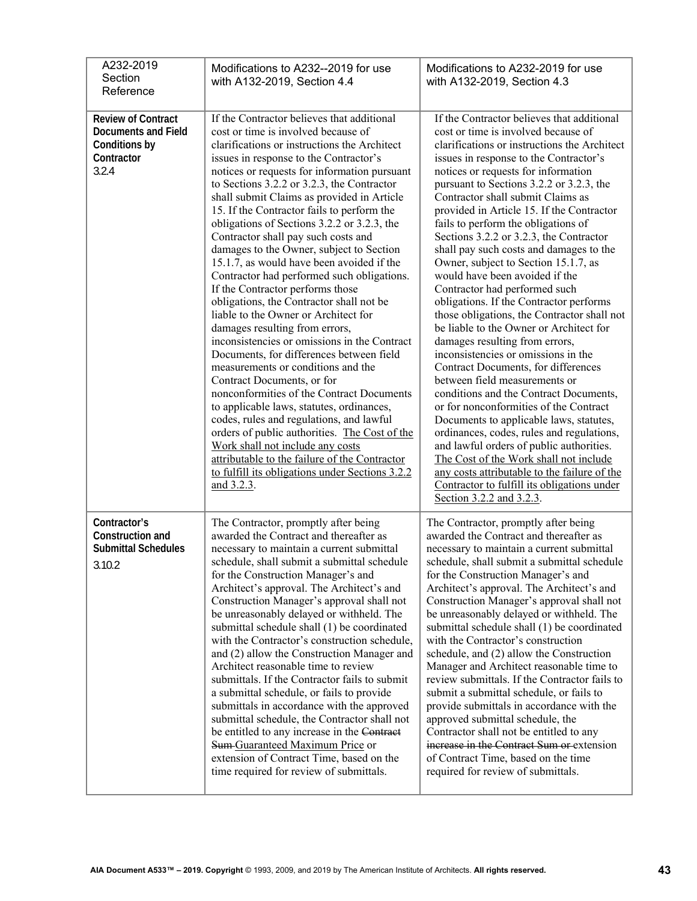| A232-2019<br>Section<br>Reference                                                               | Modifications to A232--2019 for use<br>with A132-2019, Section 4.4                                                                                                                                                                                                                                                                                                                                                                                                                                                                                                                                                                                                                                                                                                                                                                                                                                                                                                                                                                                                                                                                                                                                                                                                        | Modifications to A232-2019 for use<br>with A132-2019, Section 4.3                                                                                                                                                                                                                                                                                                                                                                                                                                                                                                                                                                                                                                                                                                                                                                                                                                                                                                                                                                                                                                                                                                                                                                                                           |
|-------------------------------------------------------------------------------------------------|---------------------------------------------------------------------------------------------------------------------------------------------------------------------------------------------------------------------------------------------------------------------------------------------------------------------------------------------------------------------------------------------------------------------------------------------------------------------------------------------------------------------------------------------------------------------------------------------------------------------------------------------------------------------------------------------------------------------------------------------------------------------------------------------------------------------------------------------------------------------------------------------------------------------------------------------------------------------------------------------------------------------------------------------------------------------------------------------------------------------------------------------------------------------------------------------------------------------------------------------------------------------------|-----------------------------------------------------------------------------------------------------------------------------------------------------------------------------------------------------------------------------------------------------------------------------------------------------------------------------------------------------------------------------------------------------------------------------------------------------------------------------------------------------------------------------------------------------------------------------------------------------------------------------------------------------------------------------------------------------------------------------------------------------------------------------------------------------------------------------------------------------------------------------------------------------------------------------------------------------------------------------------------------------------------------------------------------------------------------------------------------------------------------------------------------------------------------------------------------------------------------------------------------------------------------------|
| <b>Review of Contract</b><br><b>Documents and Field</b><br>Conditions by<br>Contractor<br>3.2.4 | If the Contractor believes that additional<br>cost or time is involved because of<br>clarifications or instructions the Architect<br>issues in response to the Contractor's<br>notices or requests for information pursuant<br>to Sections 3.2.2 or 3.2.3, the Contractor<br>shall submit Claims as provided in Article<br>15. If the Contractor fails to perform the<br>obligations of Sections 3.2.2 or 3.2.3, the<br>Contractor shall pay such costs and<br>damages to the Owner, subject to Section<br>15.1.7, as would have been avoided if the<br>Contractor had performed such obligations.<br>If the Contractor performs those<br>obligations, the Contractor shall not be<br>liable to the Owner or Architect for<br>damages resulting from errors,<br>inconsistencies or omissions in the Contract<br>Documents, for differences between field<br>measurements or conditions and the<br>Contract Documents, or for<br>nonconformities of the Contract Documents<br>to applicable laws, statutes, ordinances,<br>codes, rules and regulations, and lawful<br>orders of public authorities. The Cost of the<br>Work shall not include any costs<br>attributable to the failure of the Contractor<br>to fulfill its obligations under Sections 3.2.2<br>and 3.2.3. | If the Contractor believes that additional<br>cost or time is involved because of<br>clarifications or instructions the Architect<br>issues in response to the Contractor's<br>notices or requests for information<br>pursuant to Sections 3.2.2 or 3.2.3, the<br>Contractor shall submit Claims as<br>provided in Article 15. If the Contractor<br>fails to perform the obligations of<br>Sections 3.2.2 or 3.2.3, the Contractor<br>shall pay such costs and damages to the<br>Owner, subject to Section 15.1.7, as<br>would have been avoided if the<br>Contractor had performed such<br>obligations. If the Contractor performs<br>those obligations, the Contractor shall not<br>be liable to the Owner or Architect for<br>damages resulting from errors,<br>inconsistencies or omissions in the<br>Contract Documents, for differences<br>between field measurements or<br>conditions and the Contract Documents,<br>or for nonconformities of the Contract<br>Documents to applicable laws, statutes,<br>ordinances, codes, rules and regulations,<br>and lawful orders of public authorities.<br>The Cost of the Work shall not include<br>any costs attributable to the failure of the<br>Contractor to fulfill its obligations under<br>Section 3.2.2 and 3.2.3. |
| Contractor's<br>Construction and<br><b>Submittal Schedules</b><br>3.10.2                        | The Contractor, promptly after being<br>awarded the Contract and thereafter as<br>necessary to maintain a current submittal<br>schedule, shall submit a submittal schedule<br>for the Construction Manager's and<br>Architect's approval. The Architect's and<br>Construction Manager's approval shall not<br>be unreasonably delayed or withheld. The<br>submittal schedule shall (1) be coordinated<br>with the Contractor's construction schedule,<br>and (2) allow the Construction Manager and<br>Architect reasonable time to review<br>submittals. If the Contractor fails to submit<br>a submittal schedule, or fails to provide<br>submittals in accordance with the approved<br>submittal schedule, the Contractor shall not<br>be entitled to any increase in the Contract<br>Sum Guaranteed Maximum Price or<br>extension of Contract Time, based on the<br>time required for review of submittals.                                                                                                                                                                                                                                                                                                                                                           | The Contractor, promptly after being<br>awarded the Contract and thereafter as<br>necessary to maintain a current submittal<br>schedule, shall submit a submittal schedule<br>for the Construction Manager's and<br>Architect's approval. The Architect's and<br>Construction Manager's approval shall not<br>be unreasonably delayed or withheld. The<br>submittal schedule shall (1) be coordinated<br>with the Contractor's construction<br>schedule, and (2) allow the Construction<br>Manager and Architect reasonable time to<br>review submittals. If the Contractor fails to<br>submit a submittal schedule, or fails to<br>provide submittals in accordance with the<br>approved submittal schedule, the<br>Contractor shall not be entitled to any<br>increase in the Contract Sum or extension<br>of Contract Time, based on the time<br>required for review of submittals.                                                                                                                                                                                                                                                                                                                                                                                      |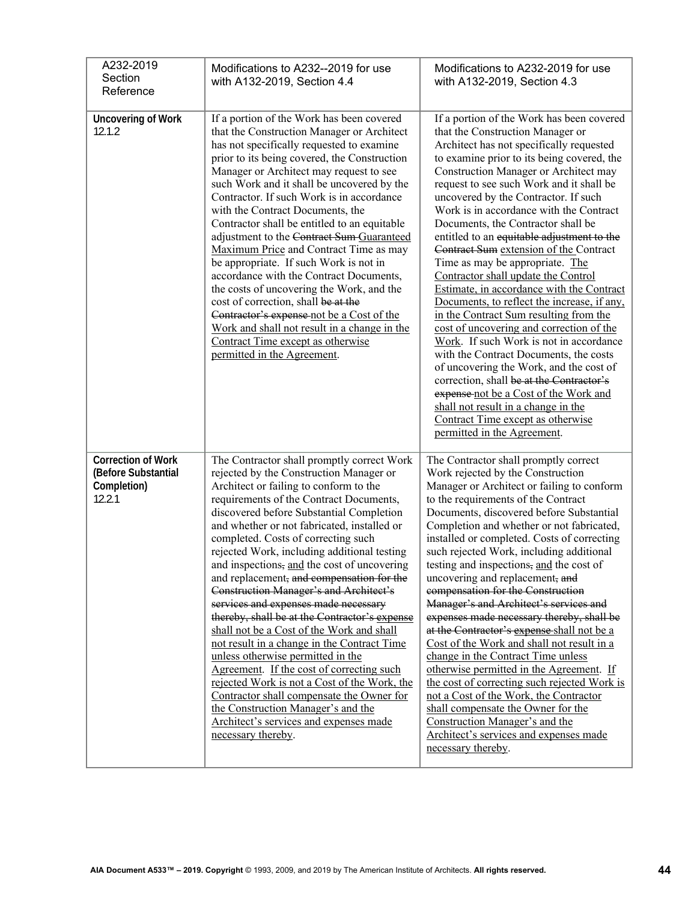| A232-2019<br>Section<br>Reference                                         | Modifications to A232--2019 for use<br>with A132-2019, Section 4.4                                                                                                                                                                                                                                                                                                                                                                                                                                                                                                                                                                                                                                                                                                                                                                                                                                                                                                          | Modifications to A232-2019 for use<br>with A132-2019, Section 4.3                                                                                                                                                                                                                                                                                                                                                                                                                                                                                                                                                                                                                                                                                                                                                                                                                                                                                                                                                                                                         |
|---------------------------------------------------------------------------|-----------------------------------------------------------------------------------------------------------------------------------------------------------------------------------------------------------------------------------------------------------------------------------------------------------------------------------------------------------------------------------------------------------------------------------------------------------------------------------------------------------------------------------------------------------------------------------------------------------------------------------------------------------------------------------------------------------------------------------------------------------------------------------------------------------------------------------------------------------------------------------------------------------------------------------------------------------------------------|---------------------------------------------------------------------------------------------------------------------------------------------------------------------------------------------------------------------------------------------------------------------------------------------------------------------------------------------------------------------------------------------------------------------------------------------------------------------------------------------------------------------------------------------------------------------------------------------------------------------------------------------------------------------------------------------------------------------------------------------------------------------------------------------------------------------------------------------------------------------------------------------------------------------------------------------------------------------------------------------------------------------------------------------------------------------------|
| <b>Uncovering of Work</b><br>12.1.2                                       | If a portion of the Work has been covered<br>that the Construction Manager or Architect<br>has not specifically requested to examine<br>prior to its being covered, the Construction<br>Manager or Architect may request to see<br>such Work and it shall be uncovered by the<br>Contractor. If such Work is in accordance<br>with the Contract Documents, the<br>Contractor shall be entitled to an equitable<br>adjustment to the Contract Sum-Guaranteed<br>Maximum Price and Contract Time as may<br>be appropriate. If such Work is not in<br>accordance with the Contract Documents,<br>the costs of uncovering the Work, and the<br>cost of correction, shall be at the<br>Contractor's expense not be a Cost of the<br>Work and shall not result in a change in the<br>Contract Time except as otherwise<br>permitted in the Agreement.                                                                                                                             | If a portion of the Work has been covered<br>that the Construction Manager or<br>Architect has not specifically requested<br>to examine prior to its being covered, the<br>Construction Manager or Architect may<br>request to see such Work and it shall be<br>uncovered by the Contractor. If such<br>Work is in accordance with the Contract<br>Documents, the Contractor shall be<br>entitled to an equitable adjustment to the<br>Contract Sum extension of the Contract<br>Time as may be appropriate. The<br>Contractor shall update the Control<br>Estimate, in accordance with the Contract<br>Documents, to reflect the increase, if any,<br>in the Contract Sum resulting from the<br>cost of uncovering and correction of the<br>Work. If such Work is not in accordance<br>with the Contract Documents, the costs<br>of uncovering the Work, and the cost of<br>correction, shall be at the Contractor's<br>expense not be a Cost of the Work and<br>shall not result in a change in the<br>Contract Time except as otherwise<br>permitted in the Agreement. |
| <b>Correction of Work</b><br>(Before Substantial<br>Completion)<br>12.2.1 | The Contractor shall promptly correct Work<br>rejected by the Construction Manager or<br>Architect or failing to conform to the<br>requirements of the Contract Documents,<br>discovered before Substantial Completion<br>and whether or not fabricated, installed or<br>completed. Costs of correcting such<br>rejected Work, including additional testing<br>and inspections, and the cost of uncovering<br>and replacement, and compensation for the<br>Construction Manager's and Architect's<br>services and expenses made necessary<br>thereby, shall be at the Contractor's expense<br>shall not be a Cost of the Work and shall<br>not result in a change in the Contract Time<br>unless otherwise permitted in the<br>Agreement. If the cost of correcting such<br>rejected Work is not a Cost of the Work, the<br>Contractor shall compensate the Owner for<br>the Construction Manager's and the<br>Architect's services and expenses made<br>necessary thereby. | The Contractor shall promptly correct<br>Work rejected by the Construction<br>Manager or Architect or failing to conform<br>to the requirements of the Contract<br>Documents, discovered before Substantial<br>Completion and whether or not fabricated,<br>installed or completed. Costs of correcting<br>such rejected Work, including additional<br>testing and inspections, and the cost of<br>uncovering and replacement, and<br>compensation for the Construction<br>Manager's and Architect's services and<br>expenses made necessary thereby, shall be<br>at the Contractor's expense shall not be a<br>Cost of the Work and shall not result in a<br>change in the Contract Time unless<br>otherwise permitted in the Agreement. If<br>the cost of correcting such rejected Work is<br>not a Cost of the Work, the Contractor<br>shall compensate the Owner for the<br>Construction Manager's and the<br>Architect's services and expenses made<br>necessary thereby.                                                                                            |